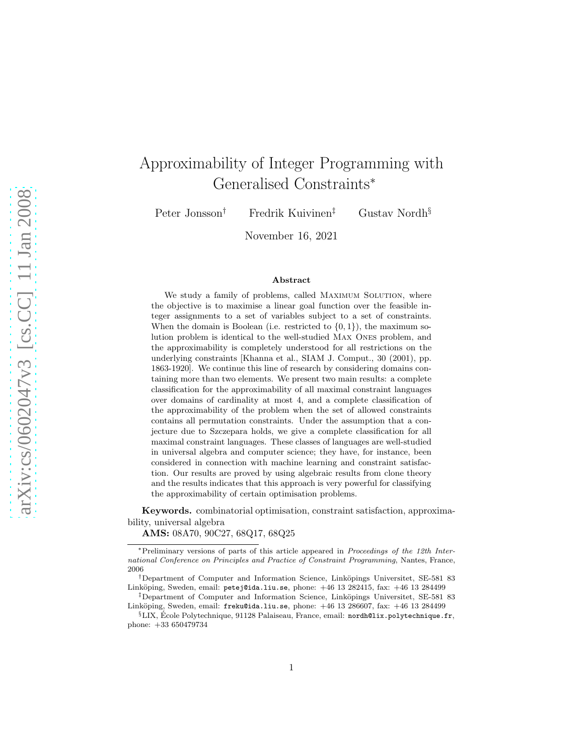# Approximability of Integer Programming with Generalised Constraints<sup>∗</sup>

Peter Jonsson<sup>†</sup> Fredrik Kuivinen<sup>‡</sup> Gustav Nordh<sup>§</sup>

November 16, 2021

#### Abstract

We study a family of problems, called MAXIMUM SOLUTION, where the objective is to maximise a linear goal function over the feasible integer assignments to a set of variables subject to a set of constraints. When the domain is Boolean (i.e. restricted to  $\{0, 1\}$ ), the maximum solution problem is identical to the well-studied Max Ones problem, and the approximability is completely understood for all restrictions on the underlying constraints [Khanna et al., SIAM J. Comput., 30 (2001), pp. 1863-1920]. We continue this line of research by considering domains containing more than two elements. We present two main results: a complete classification for the approximability of all maximal constraint languages over domains of cardinality at most 4, and a complete classification of the approximability of the problem when the set of allowed constraints contains all permutation constraints. Under the assumption that a conjecture due to Szczepara holds, we give a complete classification for all maximal constraint languages. These classes of languages are well-studied in universal algebra and computer science; they have, for instance, been considered in connection with machine learning and constraint satisfaction. Our results are proved by using algebraic results from clone theory and the results indicates that this approach is very powerful for classifying the approximability of certain optimisation problems.

Keywords. combinatorial optimisation, constraint satisfaction, approximability, universal algebra

AMS: 08A70, 90C27, 68Q17, 68Q25

<sup>∗</sup>Preliminary versions of parts of this article appeared in Proceedings of the 12th International Conference on Principles and Practice of Constraint Programming, Nantes, France, 2006

<sup>&</sup>lt;sup>†</sup>Department of Computer and Information Science, Linköpings Universitet, SE-581 83 Linköping, Sweden, email: petej@ida.liu.se, phone: +46 13 282415, fax: +46 13 284499

<sup>&</sup>lt;sup>‡</sup>Department of Computer and Information Science, Linköpings Universitet, SE-581 83 Linköping, Sweden, email: freku@ida.liu.se, phone: +46 13 286607, fax: +46 13 284499

<sup>&</sup>lt;sup>§</sup>LIX, École Polytechnique, 91128 Palaiseau, France, email: nordh@lix.polytechnique.fr, phone: +33 650479734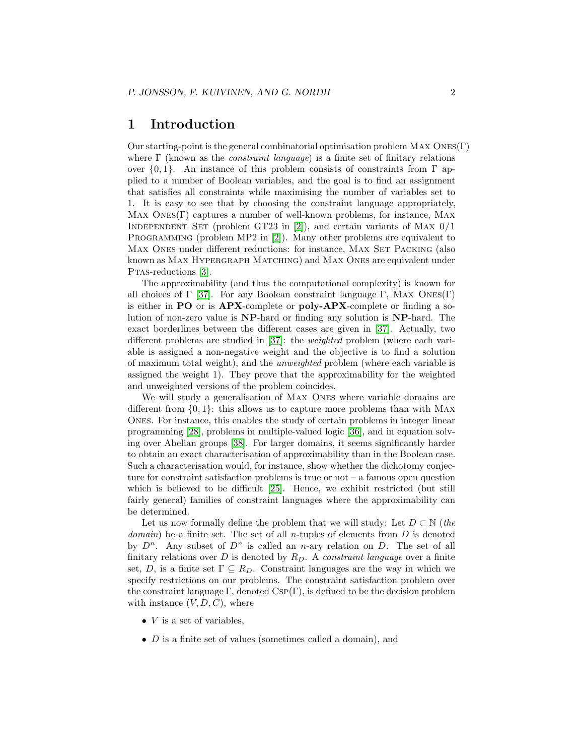### 1 Introduction

Our starting-point is the general combinatorial optimisation problem Max Ones(Γ) where  $\Gamma$  (known as the *constraint language*) is a finite set of finitary relations over  $\{0, 1\}$ . An instance of this problem consists of constraints from  $\Gamma$  applied to a number of Boolean variables, and the goal is to find an assignment that satisfies all constraints while maximising the number of variables set to 1. It is easy to see that by choosing the constraint language appropriately, Max Ones(Γ) captures a number of well-known problems, for instance, Max INDEPENDENT SET (problem GT23 in [\[2\]](#page-44-0)), and certain variants of MAX  $0/1$ PROGRAMMING (problem MP2 in [\[2\]](#page-44-0)). Many other problems are equivalent to MAX ONES under different reductions: for instance, MAX SET PACKING (also known as MAX HYPERGRAPH MATCHING) and MAX ONES are equivalent under PTAS-reductions [\[3\]](#page-44-1).

The approximability (and thus the computational complexity) is known for all choices of Γ [\[37\]](#page-46-0). For any Boolean constraint language Γ, ΜΑΧ  $ONES(Γ)$ is either in PO or is APX-complete or poly-APX-complete or finding a solution of non-zero value is NP-hard or finding any solution is NP-hard. The exact borderlines between the different cases are given in [\[37\]](#page-46-0). Actually, two different problems are studied in [\[37\]](#page-46-0): the weighted problem (where each variable is assigned a non-negative weight and the objective is to find a solution of maximum total weight), and the unweighted problem (where each variable is assigned the weight 1). They prove that the approximability for the weighted and unweighted versions of the problem coincides.

We will study a generalisation of Max Ones where variable domains are different from  $\{0, 1\}$ : this allows us to capture more problems than with MAX Ones. For instance, this enables the study of certain problems in integer linear programming [\[28\]](#page-46-1), problems in multiple-valued logic [\[36\]](#page-46-2), and in equation solving over Abelian groups [\[38\]](#page-46-3). For larger domains, it seems significantly harder to obtain an exact characterisation of approximability than in the Boolean case. Such a characterisation would, for instance, show whether the dichotomy conjecture for constraint satisfaction problems is true or not – a famous open question which is believed to be difficult [\[25\]](#page-45-0). Hence, we exhibit restricted (but still fairly general) families of constraint languages where the approximability can be determined.

Let us now formally define the problem that we will study: Let  $D \subset \mathbb{N}$  (the *domain*) be a finite set. The set of all *n*-tuples of elements from  $D$  is denoted by  $D^n$ . Any subset of  $D^n$  is called an *n*-ary relation on D. The set of all finitary relations over D is denoted by  $R_D$ . A *constraint language* over a finite set, D, is a finite set  $\Gamma \subseteq R_D$ . Constraint languages are the way in which we specify restrictions on our problems. The constraint satisfaction problem over the constraint language  $\Gamma$ , denoted  $CSP(\Gamma)$ , is defined to be the decision problem with instance  $(V, D, C)$ , where

- $V$  is a set of variables,
- $\bullet$  *D* is a finite set of values (sometimes called a domain), and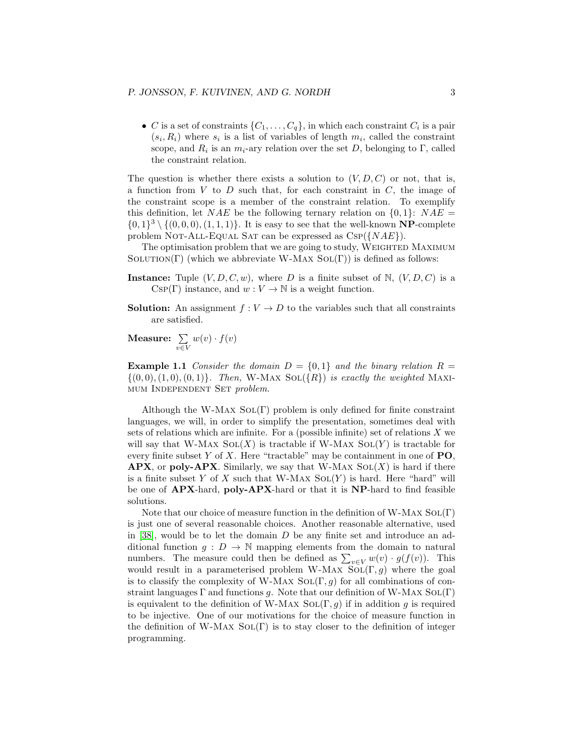• C is a set of constraints  $\{C_1, \ldots, C_q\}$ , in which each constraint  $C_i$  is a pair  $(s_i, R_i)$  where  $s_i$  is a list of variables of length  $m_i$ , called the constraint scope, and  $R_i$  is an  $m_i$ -ary relation over the set D, belonging to  $\Gamma$ , called the constraint relation.

The question is whether there exists a solution to  $(V, D, C)$  or not, that is, a function from  $V$  to  $D$  such that, for each constraint in  $C$ , the image of the constraint scope is a member of the constraint relation. To exemplify this definition, let NAE be the following ternary relation on  $\{0, 1\}$ : NAE =  $\{0,1\}^3 \setminus \{(0,0,0), (1,1,1)\}$ . It is easy to see that the well-known **NP**-complete problem NOT-ALL-EQUAL SAT can be expressed as  $CSP({\lbrace NAE \rbrace}).$ 

The optimisation problem that we are going to study, WEIGHTED MAXIMUM SOLUTION(Γ) (which we abbreviate W-MAX SOL(Γ)) is defined as follows:

- **Instance:** Tuple  $(V, D, C, w)$ , where D is a finite subset of N,  $(V, D, C)$  is a Csp(Γ) instance, and  $w: V \to \mathbb{N}$  is a weight function.
- **Solution:** An assignment  $f: V \to D$  to the variables such that all constraints are satisfied.

Measure:  $\sum$ v∈V  $w(v) \cdot f(v)$ 

**Example 1.1** Consider the domain  $D = \{0, 1\}$  and the binary relation  $R =$  $\{(0,0), (1,0), (0,1)\}.$  Then, W-MAX SOL $(\{R\})$  is exactly the weighted MAXImum Independent Set problem.

Although the W-Max  $SOL(\Gamma)$  problem is only defined for finite constraint languages, we will, in order to simplify the presentation, sometimes deal with sets of relations which are infinite. For a (possible infinite) set of relations  $X$  we will say that W-Max  $SOL(X)$  is tractable if W-Max  $SOL(Y)$  is tractable for every finite subset Y of X. Here "tractable" may be containment in one of  $\mathbf{PO}$ ,  $APX$ , or poly- $APX$ . Similarly, we say that W-MAX  $SOL(X)$  is hard if there is a finite subset Y of X such that W-MAX  $SOL(Y)$  is hard. Here "hard" will be one of APX-hard, poly-APX-hard or that it is NP-hard to find feasible solutions.

Note that our choice of measure function in the definition of W-MAX  $SO(L)$ is just one of several reasonable choices. Another reasonable alternative, used in  $[38]$ , would be to let the domain D be any finite set and introduce an additional function  $g: D \to \mathbb{N}$  mapping elements from the domain to natural numbers. The measure could then be defined as  $\sum_{v \in V} w(v) \cdot g(f(v))$ . This would result in a parameterised problem W-MAX  $SOL(\Gamma, g)$  where the goal is to classify the complexity of W-Max  $SOL(\Gamma, g)$  for all combinations of constraint languages  $\Gamma$  and functions g. Note that our definition of W-MAX SOL( $\Gamma$ ) is equivalent to the definition of W-Max  $SOL(\Gamma, g)$  if in addition g is required to be injective. One of our motivations for the choice of measure function in the definition of W-Max  $SOL(\Gamma)$  is to stay closer to the definition of integer programming.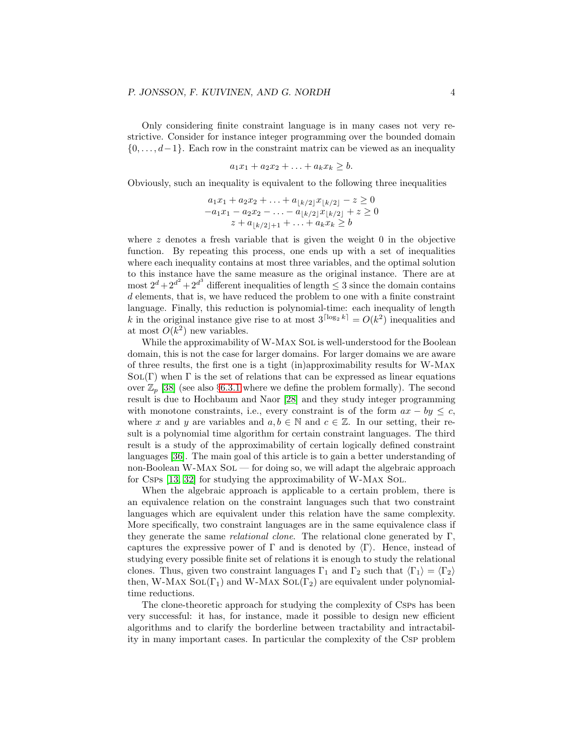Only considering finite constraint language is in many cases not very restrictive. Consider for instance integer programming over the bounded domain  $\{0, \ldots, d-1\}$ . Each row in the constraint matrix can be viewed as an inequality

$$
a_1x_1 + a_2x_2 + \ldots + a_kx_k \ge b.
$$

Obviously, such an inequality is equivalent to the following three inequalities

$$
a_1x_1 + a_2x_2 + \dots + a_{\lfloor k/2 \rfloor}x_{\lfloor k/2 \rfloor} - z \ge 0
$$
  
-a\_1x\_1 - a\_2x\_2 - \dots - a\_{\lfloor k/2 \rfloor}x\_{\lfloor k/2 \rfloor} + z \ge 0  
z + a\_{\lfloor k/2 \rfloor + 1} + \dots + a\_kx\_k \ge b

where  $z$  denotes a fresh variable that is given the weight 0 in the objective function. By repeating this process, one ends up with a set of inequalities where each inequality contains at most three variables, and the optimal solution to this instance have the same measure as the original instance. There are at most  $2^d + 2^{d^2} + 2^{d^3}$  different inequalities of length  $\leq 3$  since the domain contains d elements, that is, we have reduced the problem to one with a finite constraint language. Finally, this reduction is polynomial-time: each inequality of length k in the original instance give rise to at most  $3^{\lceil \log_2 k \rceil} = O(k^2)$  inequalities and at most  $O(k^2)$  new variables.

While the approximability of W-MAX SOL is well-understood for the Boolean domain, this is not the case for larger domains. For larger domains we are aware of three results, the first one is a tight (in)approximability results for W-Max  $SOL(\Gamma)$  when  $\Gamma$  is the set of relations that can be expressed as linear equations over  $\mathbb{Z}_p$  [\[38\]](#page-46-3) (see also §[6.3.1](#page-20-0) where we define the problem formally). The second result is due to Hochbaum and Naor [\[28\]](#page-46-1) and they study integer programming with monotone constraints, i.e., every constraint is of the form  $ax - by \leq c$ , where x and y are variables and  $a, b \in \mathbb{N}$  and  $c \in \mathbb{Z}$ . In our setting, their result is a polynomial time algorithm for certain constraint languages. The third result is a study of the approximability of certain logically defined constraint languages [\[36\]](#page-46-2). The main goal of this article is to gain a better understanding of non-Boolean W-MAX SOL — for doing so, we will adapt the algebraic approach for Csps [\[13,](#page-45-1) [32\]](#page-46-4) for studying the approximability of W-MAX SOL.

When the algebraic approach is applicable to a certain problem, there is an equivalence relation on the constraint languages such that two constraint languages which are equivalent under this relation have the same complexity. More specifically, two constraint languages are in the same equivalence class if they generate the same *relational clone*. The relational clone generated by  $\Gamma$ , captures the expressive power of Γ and is denoted by  $\langle \Gamma \rangle$ . Hence, instead of studying every possible finite set of relations it is enough to study the relational clones. Thus, given two constraint languages  $\Gamma_1$  and  $\Gamma_2$  such that  $\langle \Gamma_1 \rangle = \langle \Gamma_2 \rangle$ then, W-Max SoL( $\Gamma_1$ ) and W-Max SoL( $\Gamma_2$ ) are equivalent under polynomialtime reductions.

The clone-theoretic approach for studying the complexity of Csps has been very successful: it has, for instance, made it possible to design new efficient algorithms and to clarify the borderline between tractability and intractability in many important cases. In particular the complexity of the Csp problem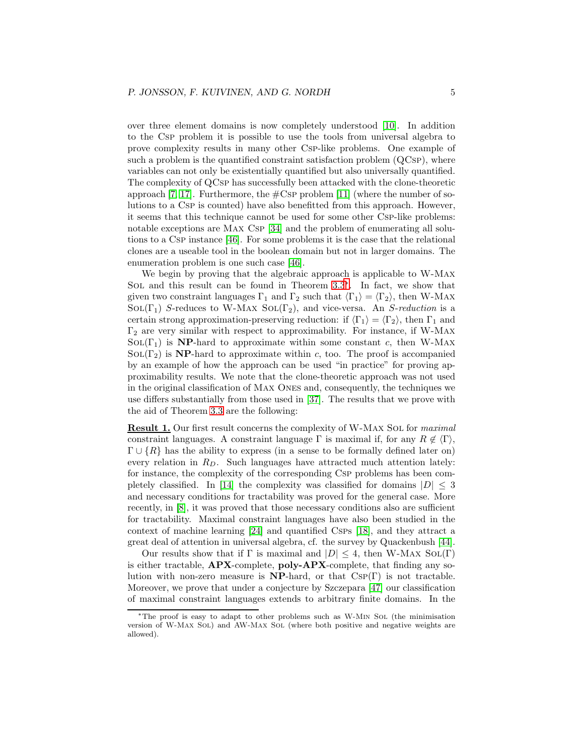over three element domains is now completely understood [\[10\]](#page-44-2). In addition to the Csp problem it is possible to use the tools from universal algebra to prove complexity results in many other Csp-like problems. One example of such a problem is the quantified constraint satisfaction problem  $(QCSP)$ , where variables can not only be existentially quantified but also universally quantified. The complexity of QCsp has successfully been attacked with the clone-theoretic approach [\[7,](#page-44-3) [17\]](#page-45-2). Furthermore, the  $\#\text{Csp}$  problem [\[11\]](#page-44-4) (where the number of solutions to a Csp is counted) have also benefitted from this approach. However, it seems that this technique cannot be used for some other Csp-like problems: notable exceptions are MAX Csp [\[34\]](#page-46-5) and the problem of enumerating all solutions to a Csp instance [\[46\]](#page-47-0). For some problems it is the case that the relational clones are a useable tool in the boolean domain but not in larger domains. The enumeration problem is one such case [\[46\]](#page-47-0).

We begin by proving that the algebraic approach is applicable to W-Max Sol and this result can be found in Theorem [3.3](#page-9-0)[∗](#page-4-0) . In fact, we show that given two constraint languages  $\Gamma_1$  and  $\Gamma_2$  such that  $\langle \Gamma_1 \rangle = \langle \Gamma_2 \rangle$ , then W-Max  $SOL(\Gamma_1)$  S-reduces to W-MAX  $SOL(\Gamma_2)$ , and vice-versa. An S-reduction is a certain strong approximation-preserving reduction: if  $\langle \Gamma_1 \rangle = \langle \Gamma_2 \rangle$ , then  $\Gamma_1$  and  $\Gamma_2$  are very similar with respect to approximability. For instance, if W-MAX  $SOL(\Gamma_1)$  is NP-hard to approximate within some constant c, then W-MAX  $\text{SOL}(\Gamma_2)$  is NP-hard to approximate within c, too. The proof is accompanied by an example of how the approach can be used "in practice" for proving approximability results. We note that the clone-theoretic approach was not used in the original classification of Max Ones and, consequently, the techniques we use differs substantially from those used in [\[37\]](#page-46-0). The results that we prove with the aid of Theorem [3.3](#page-9-0) are the following:

Result 1. Our first result concerns the complexity of W-MAX SOL for maximal constraint languages. A constraint language  $\Gamma$  is maximal if, for any  $R \notin \langle \Gamma \rangle$ ,  $\Gamma \cup \{R\}$  has the ability to express (in a sense to be formally defined later on) every relation in  $R_D$ . Such languages have attracted much attention lately: for instance, the complexity of the corresponding Csp problems has been com-pletely classified. In [\[14\]](#page-45-3) the complexity was classified for domains  $|D| < 3$ and necessary conditions for tractability was proved for the general case. More recently, in [\[8\]](#page-44-5), it was proved that those necessary conditions also are sufficient for tractability. Maximal constraint languages have also been studied in the context of machine learning [\[24\]](#page-45-4) and quantified Csps [\[18\]](#page-45-5), and they attract a great deal of attention in universal algebra, cf. the survey by Quackenbush [\[44\]](#page-47-1).

Our results show that if  $\Gamma$  is maximal and  $|D| \leq 4$ , then W-MAX SOL(Γ) is either tractable, APX-complete, poly-APX-complete, that finding any solution with non-zero measure is  $NP$ -hard, or that  $CSP(\Gamma)$  is not tractable. Moreover, we prove that under a conjecture by Szczepara [\[47\]](#page-47-2) our classification of maximal constraint languages extends to arbitrary finite domains. In the

<span id="page-4-0"></span><sup>∗</sup>The proof is easy to adapt to other problems such as W-Min Sol (the minimisation version of W-Max Sol) and AW-Max Sol (where both positive and negative weights are allowed).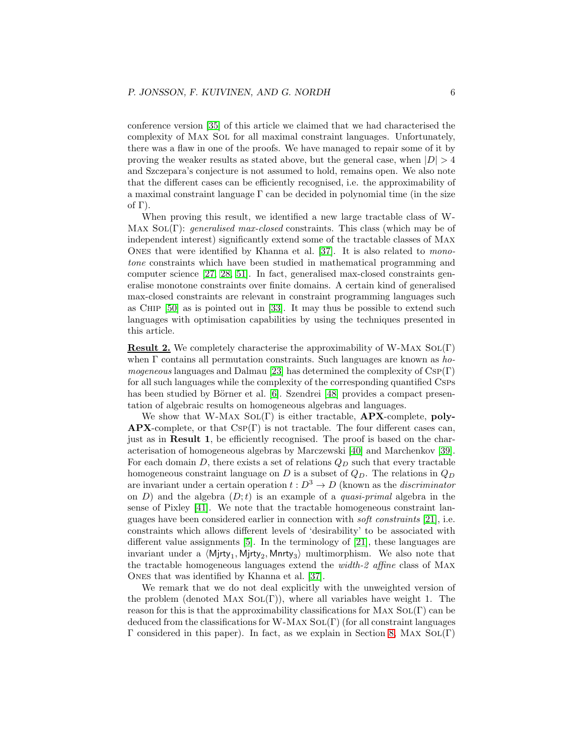conference version [\[35\]](#page-46-6) of this article we claimed that we had characterised the complexity of Max Sol for all maximal constraint languages. Unfortunately, there was a flaw in one of the proofs. We have managed to repair some of it by proving the weaker results as stated above, but the general case, when  $|D| > 4$ and Szczepara's conjecture is not assumed to hold, remains open. We also note that the different cases can be efficiently recognised, i.e. the approximability of a maximal constraint language  $\Gamma$  can be decided in polynomial time (in the size of Γ).

When proving this result, we identified a new large tractable class of W-Max  $SOL(\Gamma)$ : generalised max-closed constraints. This class (which may be of independent interest) significantly extend some of the tractable classes of Max Ones that were identified by Khanna et al. [\[37\]](#page-46-0). It is also related to monotone constraints which have been studied in mathematical programming and computer science [\[27,](#page-46-7) [28,](#page-46-1) [51\]](#page-47-3). In fact, generalised max-closed constraints generalise monotone constraints over finite domains. A certain kind of generalised max-closed constraints are relevant in constraint programming languages such as Chip [\[50\]](#page-47-4) as is pointed out in [\[33\]](#page-46-8). It may thus be possible to extend such languages with optimisation capabilities by using the techniques presented in this article.

**Result 2.** We completely characterise the approximability of W-MAX  $SO(L)$ when  $\Gamma$  contains all permutation constraints. Such languages are known as ho-mogeneous languages and Dalmau [\[23\]](#page-45-6) has determined the complexity of  $CSP(\Gamma)$ for all such languages while the complexity of the corresponding quantified Csps has been studied by Börner et al. [\[6\]](#page-44-6). Szendrei [\[48\]](#page-47-5) provides a compact presentation of algebraic results on homogeneous algebras and languages.

We show that W-MAX  $SOL(\Gamma)$  is either tractable,  $APX$ -complete, poly- $APX$ -complete, or that  $CSP(\Gamma)$  is not tractable. The four different cases can, just as in **Result 1**, be efficiently recognised. The proof is based on the characterisation of homogeneous algebras by Marczewski [\[40\]](#page-47-6) and Marchenkov [\[39\]](#page-47-7). For each domain D, there exists a set of relations  $Q_D$  such that every tractable homogeneous constraint language on D is a subset of  $Q_D$ . The relations in  $Q_D$ are invariant under a certain operation  $t : D^3 \to D$  (known as the *discriminator* on D) and the algebra  $(D, t)$  is an example of a *quasi-primal* algebra in the sense of Pixley [\[41\]](#page-47-8). We note that the tractable homogeneous constraint languages have been considered earlier in connection with soft constraints [\[21\]](#page-45-7), i.e. constraints which allows different levels of 'desirability' to be associated with different value assignments [\[5\]](#page-44-7). In the terminology of [\[21\]](#page-45-7), these languages are invariant under a  $\langle$ Mjrty<sub>1</sub>, Mjrty<sub>2</sub>, Mnrty<sub>3</sub> $\rangle$  multimorphism. We also note that the tractable homogeneous languages extend the width-2 affine class of Max Ones that was identified by Khanna et al. [\[37\]](#page-46-0).

We remark that we do not deal explicitly with the unweighted version of the problem (denoted MAX  $SOL(\Gamma)$ ), where all variables have weight 1. The reason for this is that the approximability classifications for MAX  $SOL(\Gamma)$  can be deduced from the classifications for W-MAX  $SOL(\Gamma)$  (for all constraint languages  $Γ$  considered in this paper). In fact, as we explain in Section [8,](#page-42-0) MAX SOL(Γ)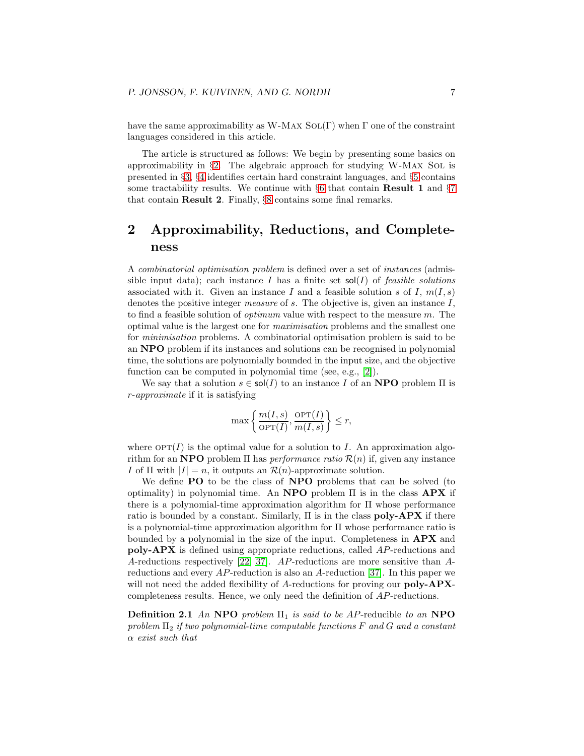have the same approximability as W-MAX  $SOL(\Gamma)$  when  $\Gamma$  one of the constraint languages considered in this article.

The article is structured as follows: We begin by presenting some basics on approximability in  $\S2$ . The algebraic approach for studying W-MAX SOL is presented in §[3,](#page-8-0) §[4](#page-11-0) identifies certain hard constraint languages, and §[5](#page-13-0) contains some tractability results. We continue with  $\S6$  $\S6$  that contain **Result 1** and  $\S7$  $\S7$ that contain Result 2. Finally, §[8](#page-42-0) contains some final remarks.

## <span id="page-6-0"></span>2 Approximability, Reductions, and Completeness

A combinatorial optimisation problem is defined over a set of instances (admissible input data); each instance I has a finite set  $sol(I)$  of feasible solutions associated with it. Given an instance I and a feasible solution s of I,  $m(I, s)$ denotes the positive integer *measure* of  $s$ . The objective is, given an instance  $I$ , to find a feasible solution of optimum value with respect to the measure m. The optimal value is the largest one for maximisation problems and the smallest one for minimisation problems. A combinatorial optimisation problem is said to be an NPO problem if its instances and solutions can be recognised in polynomial time, the solutions are polynomially bounded in the input size, and the objective function can be computed in polynomial time (see, e.g., [\[2\]](#page-44-0)).

We say that a solution  $s \in sol(I)$  to an instance I of an **NPO** problem  $\Pi$  is r-approximate if it is satisfying

$$
\max \left\{ \frac{m(I,s)}{\text{OPT}(I)}, \frac{\text{OPT}(I)}{m(I,s)} \right\} \le r,
$$

where  $\text{OPT}(I)$  is the optimal value for a solution to I. An approximation algorithm for an NPO problem  $\Pi$  has *performance ratio*  $\mathcal{R}(n)$  if, given any instance I of  $\Pi$  with  $|I|=n$ , it outputs an  $\mathcal{R}(n)$ -approximate solution.

We define **PO** to be the class of **NPO** problems that can be solved (to optimality) in polynomial time. An **NPO** problem  $\Pi$  is in the class  $APX$  if there is a polynomial-time approximation algorithm for Π whose performance ratio is bounded by a constant. Similarly,  $\Pi$  is in the class **poly-APX** if there is a polynomial-time approximation algorithm for Π whose performance ratio is bounded by a polynomial in the size of the input. Completeness in  $APX$  and poly-APX is defined using appropriate reductions, called AP-reductions and A-reductions respectively [\[22,](#page-45-8) [37\]](#page-46-0). AP-reductions are more sensitive than Areductions and every AP-reduction is also an A-reduction [\[37\]](#page-46-0). In this paper we will not need the added flexibility of A-reductions for proving our **poly-APX**completeness results. Hence, we only need the definition of AP-reductions.

**Definition 2.1** An NPO problem  $\Pi_1$  is said to be AP-reducible to an NPO problem  $\Pi_2$  if two polynomial-time computable functions F and G and a constant  $\alpha$  exist such that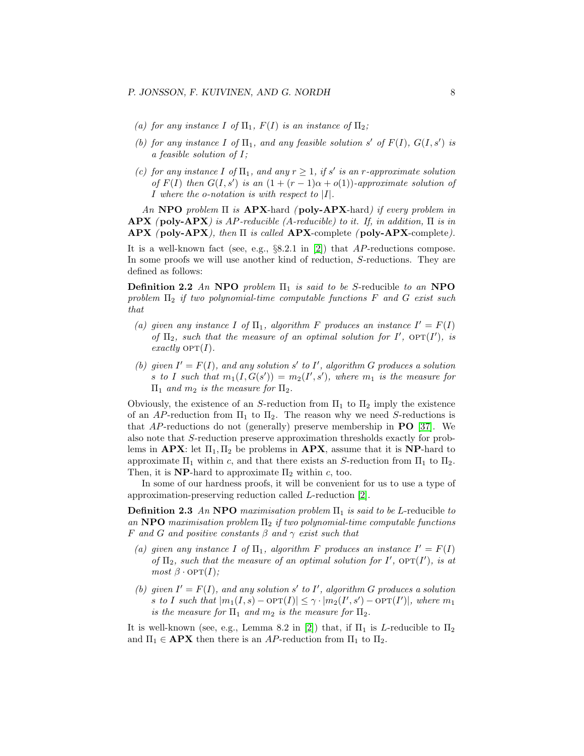- (a) for any instance I of  $\Pi_1$ ,  $F(I)$  is an instance of  $\Pi_2$ ;
- (b) for any instance I of  $\Pi_1$ , and any feasible solution s' of  $F(I)$ ,  $G(I, s')$  is a feasible solution of I;
- (c) for any instance I of  $\Pi_1$ , and any  $r \geq 1$ , if s' is an r-approximate solution of  $F(I)$  then  $G(I, s')$  is an  $(1 + (r - 1)\alpha + o(1))$ -approximate solution of I where the o-notation is with respect to  $|I|$ .

An NPO problem  $\Pi$  is  $APX$ -hard (poly-APX-hard) if every problem in  $APX$  (poly-APX) is AP-reducible (A-reducible) to it. If, in addition,  $\Pi$  is in APX (poly-APX), then Π is called APX-complete (poly-APX-complete).

It is a well-known fact (see, e.g., §8.2.1 in [\[2\]](#page-44-0)) that AP-reductions compose. In some proofs we will use another kind of reduction, S-reductions. They are defined as follows:

**Definition 2.2** An NPO problem  $\Pi_1$  is said to be S-reducible to an NPO problem  $\Pi_2$  if two polynomial-time computable functions F and G exist such that

- (a) given any instance I of  $\Pi_1$ , algorithm F produces an instance  $I' = F(I)$ of  $\Pi_2$ , such that the measure of an optimal solution for I', OPT(I'), is exactly  $\text{OPT}(I)$ .
- (b) given  $I' = F(I)$ , and any solution s' to I', algorithm G produces a solution s to I such that  $m_1(I, G(s')) = m_2(I', s')$ , where  $m_1$  is the measure for  $\Pi_1$  and  $m_2$  is the measure for  $\Pi_2$ .

Obviously, the existence of an S-reduction from  $\Pi_1$  to  $\Pi_2$  imply the existence of an AP-reduction from  $\Pi_1$  to  $\Pi_2$ . The reason why we need S-reductions is that  $AP$ -reductions do not (generally) preserve membership in **PO** [\[37\]](#page-46-0). We also note that S-reduction preserve approximation thresholds exactly for problems in  $APX$ : let  $\Pi_1, \Pi_2$  be problems in  $APX$ , assume that it is NP-hard to approximate  $\Pi_1$  within c, and that there exists an S-reduction from  $\Pi_1$  to  $\Pi_2$ . Then, it is NP-hard to approximate  $\Pi_2$  within c, too.

In some of our hardness proofs, it will be convenient for us to use a type of approximation-preserving reduction called L-reduction [\[2\]](#page-44-0).

**Definition 2.3** An NPO maximisation problem  $\Pi_1$  is said to be L-reducible to an NPO maximisation problem  $\Pi_2$  if two polynomial-time computable functions F and G and positive constants  $\beta$  and  $\gamma$  exist such that

- (a) given any instance I of  $\Pi_1$ , algorithm F produces an instance  $I' = F(I)$ of  $\Pi_2$ , such that the measure of an optimal solution for I', OPT(I'), is at  $most \beta \cdot \text{OPT}(I);$
- (b) given  $I' = F(I)$ , and any solution s' to I', algorithm G produces a solution s to I such that  $|m_1(I, s) - \text{OPT}(I)| \leq \gamma \cdot |m_2(I', s') - \text{OPT}(I')|$ , where  $m_1$ is the measure for  $\Pi_1$  and  $m_2$  is the measure for  $\Pi_2$ .

It is well-known (see, e.g., Lemma 8.2 in [\[2\]](#page-44-0)) that, if  $\Pi_1$  is L-reducible to  $\Pi_2$ and  $\Pi_1 \in \mathbf{APX}$  then there is an AP-reduction from  $\Pi_1$  to  $\Pi_2$ .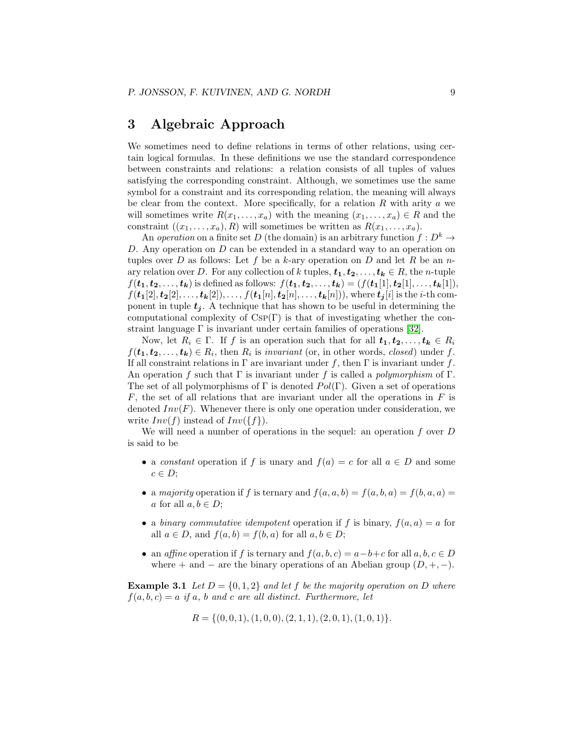### <span id="page-8-0"></span>3 Algebraic Approach

We sometimes need to define relations in terms of other relations, using certain logical formulas. In these definitions we use the standard correspondence between constraints and relations: a relation consists of all tuples of values satisfying the corresponding constraint. Although, we sometimes use the same symbol for a constraint and its corresponding relation, the meaning will always be clear from the context. More specifically, for a relation  $R$  with arity  $a$  we will sometimes write  $R(x_1, \ldots, x_a)$  with the meaning  $(x_1, \ldots, x_a) \in R$  and the constraint  $((x_1, \ldots, x_a), R)$  will sometimes be written as  $R(x_1, \ldots, x_a)$ .

An operation on a finite set D (the domain) is an arbitrary function  $f: D^k \to$ D. Any operation on D can be extended in a standard way to an operation on tuples over D as follows: Let f be a k-ary operation on D and let R be an nary relation over D. For any collection of k tuples,  $t_1, t_2, \ldots, t_k \in R$ , the n-tuple  $f(\boldsymbol{t_1}, \boldsymbol{t_2}, \dots, \boldsymbol{t_k})$  is defined as follows:  $f(\boldsymbol{t_1}, \boldsymbol{t_2}, \dots, \boldsymbol{t_k}) = (f(\boldsymbol{t_1}[1], \boldsymbol{t_2}[1], \dots, \boldsymbol{t_k}[1]),$  $f(t_1[2], t_2[2], \ldots, t_k[2]), \ldots, f(t_1[n], t_2[n], \ldots, t_k[n]),$  where  $t_j[i]$  is the *i*-th component in tuple  $t_i$ . A technique that has shown to be useful in determining the computational complexity of  $CSP(\Gamma)$  is that of investigating whether the constraint language  $\Gamma$  is invariant under certain families of operations [\[32\]](#page-46-4).

Now, let  $R_i \in \Gamma$ . If f is an operation such that for all  $t_1, t_2, \ldots, t_k \in R_i$  $f(\mathbf{t_1}, \mathbf{t_2}, \dots, \mathbf{t_k}) \in R_i$ , then  $R_i$  is *invariant* (or, in other words, *closed*) under f. If all constraint relations in  $\Gamma$  are invariant under f, then  $\Gamma$  is invariant under f. An operation f such that  $\Gamma$  is invariant under f is called a *polymorphism* of  $\Gamma$ . The set of all polymorphisms of Γ is denoted  $Pol(\Gamma)$ . Given a set of operations  $F$ , the set of all relations that are invariant under all the operations in  $F$  is denoted  $Inv(F)$ . Whenever there is only one operation under consideration, we write  $Inv(f)$  instead of  $Inv({f}).$ 

We will need a number of operations in the sequel: an operation f over D is said to be

- a constant operation if f is unary and  $f(a) = c$  for all  $a \in D$  and some  $c \in D$ ;
- a majority operation if f is ternary and  $f(a, a, b) = f(a, b, a) = f(b, a, a) =$ a for all  $a, b \in D$ ;
- a binary commutative idempotent operation if f is binary,  $f(a, a) = a$  for all  $a \in D$ , and  $f(a, b) = f(b, a)$  for all  $a, b \in D$ ;
- an affine operation if f is ternary and  $f(a, b, c) = a b + c$  for all  $a, b, c \in D$ where + and – are the binary operations of an Abelian group  $(D, +, -)$ .

**Example 3.1** Let  $D = \{0, 1, 2\}$  and let f be the majority operation on D where  $f(a, b, c) = a$  if a, b and c are all distinct. Furthermore, let

$$
R = \{(0,0,1), (1,0,0), (2,1,1), (2,0,1), (1,0,1)\}.
$$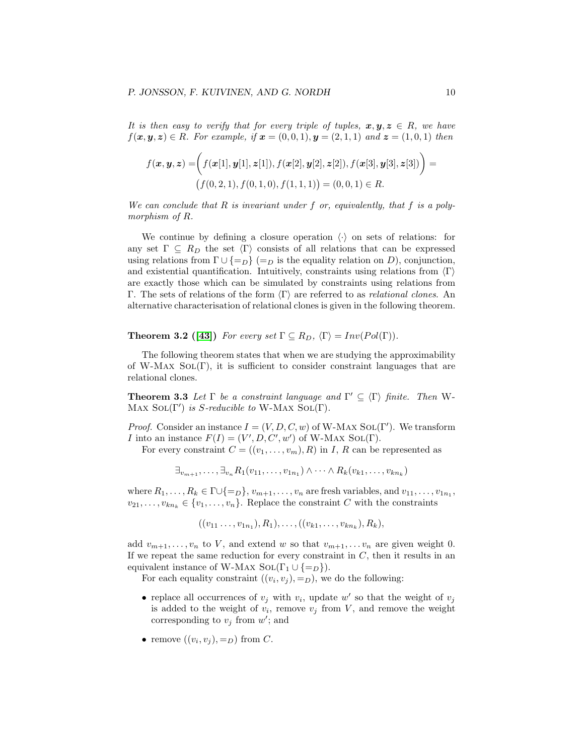It is then easy to verify that for every triple of tuples,  $x, y, z \in R$ , we have  $f(x, y, z) \in R$ . For example, if  $x = (0, 0, 1), y = (2, 1, 1)$  and  $z = (1, 0, 1)$  then

$$
f(\mathbf{x}, \mathbf{y}, \mathbf{z}) = \bigg( f(\mathbf{x}[1], \mathbf{y}[1], \mathbf{z}[1]), f(\mathbf{x}[2], \mathbf{y}[2], \mathbf{z}[2]), f(\mathbf{x}[3], \mathbf{y}[3], \mathbf{z}[3]) \bigg) =
$$
  

$$
(f(0, 2, 1), f(0, 1, 0), f(1, 1, 1)) = (0, 0, 1) \in R.
$$

We can conclude that  $R$  is invariant under  $f$  or, equivalently, that  $f$  is a polymorphism of R.

We continue by defining a closure operation  $\langle \cdot \rangle$  on sets of relations: for any set  $\Gamma \subseteq R_D$  the set  $\langle \Gamma \rangle$  consists of all relations that can be expressed using relations from  $\Gamma \cup \{=_D\}$  (= D is the equality relation on D), conjunction, and existential quantification. Intuitively, constraints using relations from  $\langle \Gamma \rangle$ are exactly those which can be simulated by constraints using relations from Γ. The sets of relations of the form  $\langle \Gamma \rangle$  are referred to as *relational clones*. An alternative characterisation of relational clones is given in the following theorem.

**Theorem 3.2** ([\[43\]](#page-47-9)) For every set  $\Gamma \subseteq R_D$ ,  $\langle \Gamma \rangle = Inv(Pol(\Gamma)).$ 

The following theorem states that when we are studying the approximability of W-Max  $SOL(\Gamma)$ , it is sufficient to consider constraint languages that are relational clones.

<span id="page-9-0"></span>**Theorem 3.3** Let  $\Gamma$  be a constraint language and  $\Gamma' \subseteq \langle \Gamma \rangle$  finite. Then W-MAX  $SOL(\Gamma')$  is S-reducible to W-MAX  $SOL(\Gamma)$ .

*Proof.* Consider an instance  $I = (V, D, C, w)$  of W-MAX SOL(Γ'). We transform *I* into an instance  $F(I) = (V', D, C', w')$  of W-MAX SOL(Γ).

For every constraint  $C = ((v_1, \ldots, v_m), R)$  in I, R can be represented as

$$
\exists_{v_{m+1}},\ldots,\exists_{v_n} R_1(v_{11},\ldots,v_{1n_1}) \wedge \cdots \wedge R_k(v_{k1},\ldots,v_{kn_k})
$$

where  $R_1, \ldots, R_k \in \Gamma \cup \{\equiv_D\}, v_{m+1}, \ldots, v_n$  are fresh variables, and  $v_{11}, \ldots, v_{1n_1},$  $v_{21}, \ldots, v_{kn_k} \in \{v_1, \ldots, v_n\}.$  Replace the constraint C with the constraints

 $((v_{11}\ldots,v_{1n_1}),R_1),\ldots,((v_{k1},\ldots,v_{kn_k}),R_k),$ 

add  $v_{m+1}, \ldots, v_n$  to V, and extend w so that  $v_{m+1}, \ldots, v_n$  are given weight 0. If we repeat the same reduction for every constraint in  $C$ , then it results in an equivalent instance of W-Max Sol( $\Gamma_1 \cup \{=_D\}$ ).

For each equality constraint  $((v_i, v_j) = D)$ , we do the following:

- replace all occurrences of  $v_j$  with  $v_i$ , update w' so that the weight of  $v_j$ is added to the weight of  $v_i$ , remove  $v_j$  from V, and remove the weight corresponding to  $v_j$  from  $w'$ ; and
- remove  $((v_i, v_j), =_D)$  from C.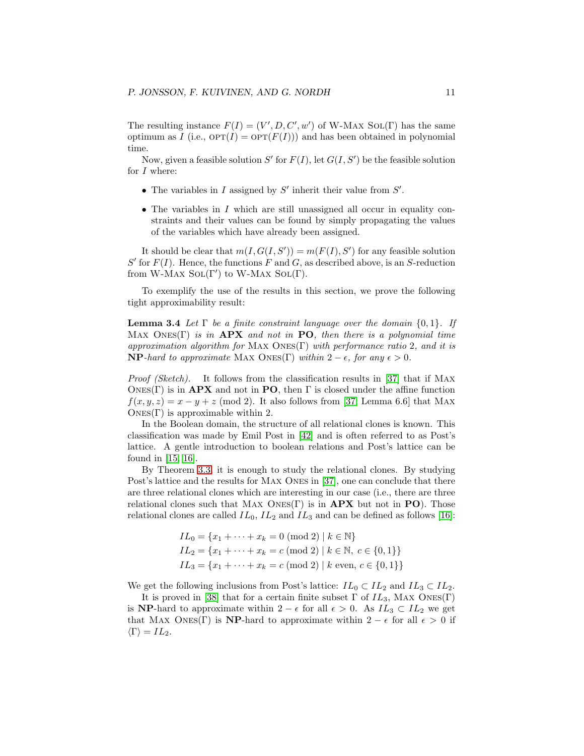The resulting instance  $F(I) = (V', D, C', w')$  of W-MAX SOL(Γ) has the same optimum as I (i.e.,  $\text{OPT}(I) = \text{OPT}(F(I))$ ) and has been obtained in polynomial time.

Now, given a feasible solution S' for  $F(I)$ , let  $G(I, S')$  be the feasible solution for *I* where:

- The variables in  $I$  assigned by  $S'$  inherit their value from  $S'$ .
- The variables in  $I$  which are still unassigned all occur in equality constraints and their values can be found by simply propagating the values of the variables which have already been assigned.

It should be clear that  $m(I, G(I, S')) = m(F(I), S')$  for any feasible solution  $S'$  for  $F(I)$ . Hence, the functions F and G, as described above, is an S-reduction from W-Max  $\text{SOL}(\Gamma')$  to W-Max  $\text{SOL}(\Gamma)$ .

To exemplify the use of the results in this section, we prove the following tight approximability result:

**Lemma 3.4** Let  $\Gamma$  be a finite constraint language over the domain  $\{0, 1\}$ . If MAX ONES( $\Gamma$ ) is in **APX** and not in **PO**, then there is a polynomial time approximation algorithm for MAX ONES(Γ) with performance ratio 2, and it is **NP**-hard to approximate MAX ONES(Γ) within  $2 - \epsilon$ , for any  $\epsilon > 0$ .

Proof (Sketch). It follows from the classification results in [\[37\]](#page-46-0) that if MAX ONES(Γ) is in **APX** and not in **PO**, then  $\Gamma$  is closed under the affine function  $f(x, y, z) = x - y + z \pmod{2}$ . It also follows from [\[37,](#page-46-0) Lemma 6.6] that MAX  $\text{ONES}(\Gamma)$  is approximable within 2.

In the Boolean domain, the structure of all relational clones is known. This classification was made by Emil Post in [\[42\]](#page-47-10) and is often referred to as Post's lattice. A gentle introduction to boolean relations and Post's lattice can be found in [\[15,](#page-45-9) [16\]](#page-45-10).

By Theorem [3.3,](#page-9-0) it is enough to study the relational clones. By studying Post's lattice and the results for MAX ONES in [\[37\]](#page-46-0), one can conclude that there are three relational clones which are interesting in our case (i.e., there are three relational clones such that MAX ONES(Γ) is in  $APX$  but not in PO). Those relational clones are called  $IL_0$ ,  $IL_2$  and  $IL_3$  and can be defined as follows [\[16\]](#page-45-10):

$$
IL_0 = \{x_1 + \dots + x_k = 0 \text{ (mod 2)} \mid k \in \mathbb{N}\}
$$
  
\n
$$
IL_2 = \{x_1 + \dots + x_k = c \text{ (mod 2)} \mid k \in \mathbb{N}, c \in \{0, 1\}\}
$$
  
\n
$$
IL_3 = \{x_1 + \dots + x_k = c \text{ (mod 2)} \mid k \text{ even}, c \in \{0, 1\}\}
$$

We get the following inclusions from Post's lattice:  $IL_0 \subset IL_2$  and  $IL_3 \subset IL_2$ .

It is proved in [\[38\]](#page-46-3) that for a certain finite subset  $\Gamma$  of  $IL_3$ , MAX ONES(Γ) is NP-hard to approximate within  $2 - \epsilon$  for all  $\epsilon > 0$ . As  $IL_3 \subset IL_2$  we get that MAX ONES(Γ) is **NP**-hard to approximate within  $2 - \epsilon$  for all  $\epsilon > 0$  if  $\langle \Gamma \rangle = IL_2.$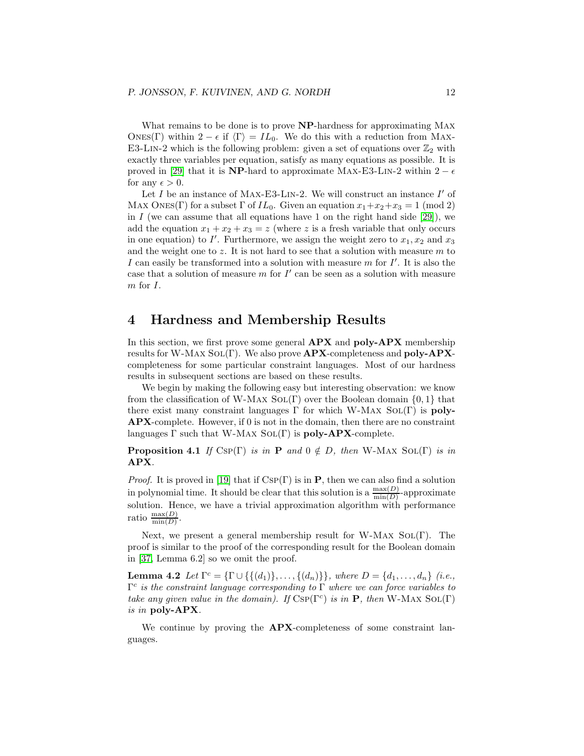What remains to be done is to prove **NP**-hardness for approximating MAX ONES(Γ) within  $2 - \epsilon$  if  $\langle \Gamma \rangle = IL_0$ . We do this with a reduction from MAX-E3-LIN-2 which is the following problem: given a set of equations over  $\mathbb{Z}_2$  with exactly three variables per equation, satisfy as many equations as possible. It is proved in [\[29\]](#page-46-9) that it is NP-hard to approximate MAX-E3-LIN-2 within  $2 - \epsilon$ for any  $\epsilon > 0$ .

Let  $I$  be an instance of MAX-E3-LIN-2. We will construct an instance  $I'$  of MAX ONES(Γ) for a subset Γ of  $IL_0$ . Given an equation  $x_1+x_2+x_3=1 \pmod{2}$ in I (we can assume that all equations have 1 on the right hand side  $[29]$ ), we add the equation  $x_1 + x_2 + x_3 = z$  (where z is a fresh variable that only occurs in one equation) to  $I'$ . Furthermore, we assign the weight zero to  $x_1, x_2$  and  $x_3$ and the weight one to  $z$ . It is not hard to see that a solution with measure  $m$  to I can easily be transformed into a solution with measure  $m$  for  $I'$ . It is also the case that a solution of measure  $m$  for  $I'$  can be seen as a solution with measure m for I.

### <span id="page-11-0"></span>4 Hardness and Membership Results

In this section, we first prove some general **APX** and **poly-APX** membership results for W-MAX  $SOL(\Gamma)$ . We also prove  $APX$ -completeness and  $poly-APX$ completeness for some particular constraint languages. Most of our hardness results in subsequent sections are based on these results.

We begin by making the following easy but interesting observation: we know from the classification of W-MAX  $SOL(\Gamma)$  over the Boolean domain  $\{0, 1\}$  that there exist many constraint languages  $\Gamma$  for which W-MAX SOL(Γ) is **poly-**APX-complete. However, if 0 is not in the domain, then there are no constraint languages  $\Gamma$  such that W-MAX SOL( $\Gamma$ ) is **poly-APX**-complete.

<span id="page-11-1"></span>**Proposition 4.1** If CSP(Γ) is in **P** and  $0 \notin D$ , then W-MAX SOL(Γ) is in APX.

*Proof.* It is proved in [\[19\]](#page-45-11) that if  $CSP(\Gamma)$  is in **P**, then we can also find a solution in polynomial time. It should be clear that this solution is a  $\frac{\max(D)}{\min(D)}$ -approximate solution. Hence, we have a trivial approximation algorithm with performance ratio  $\frac{\max(D)}{\min(D)}$ .

Next, we present a general membership result for W-MAX  $SOL(\Gamma)$ . The proof is similar to the proof of the corresponding result for the Boolean domain in [\[37,](#page-46-0) Lemma 6.2] so we omit the proof.

<span id="page-11-2"></span>**Lemma 4.2** Let  $\Gamma^c = {\{\Gamma \cup \{\{(d_1)\}, \dots, \{(d_n)\}\}\}}$ , where  $D = \{d_1, \dots, d_n\}$  (i.e.,  $\Gamma^c$  is the constraint language corresponding to  $\Gamma$  where we can force variables to take any given value in the domain). If  $CSP(\Gamma^c)$  is in **P**, then W-MAX  $SOL(\Gamma)$ is in poly-APX.

<span id="page-11-3"></span>We continue by proving the **APX**-completeness of some constraint languages.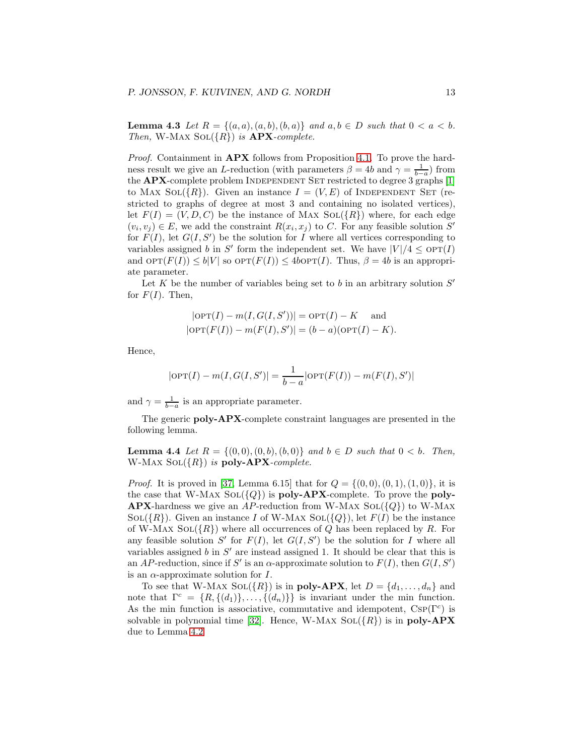**Lemma 4.3** Let  $R = \{(a, a), (a, b), (b, a)\}\$  and  $a, b \in D$  such that  $0 < a < b$ . Then, W-MAX  $\text{Sol}(\{R\})$  is  $\text{APX-complete.}$ 

Proof. Containment in **APX** follows from Proposition [4.1.](#page-11-1) To prove the hardness result we give an L-reduction (with parameters  $\beta = 4b$  and  $\gamma = \frac{1}{b-a}$ ) from the **APX**-complete problem INDEPENDENT SET restricted to degree 3 graphs [\[1\]](#page-44-8) to MAX SOL( $\{R\}$ ). Given an instance  $I = (V, E)$  of INDEPENDENT SET (restricted to graphs of degree at most 3 and containing no isolated vertices), let  $F(I) = (V, D, C)$  be the instance of MAX SOL( $\{R\}$ ) where, for each edge  $(v_i, v_j) \in E$ , we add the constraint  $R(x_i, x_j)$  to C. For any feasible solution S' for  $F(I)$ , let  $G(I, S')$  be the solution for I where all vertices corresponding to variables assigned b in S' form the independent set. We have  $|V|/4 \leq \text{OPT}(I)$ and  $\text{OPT}(F(I)) \leq b|V|$  so  $\text{OPT}(F(I)) \leq 4b \text{OPT}(I)$ . Thus,  $\beta = 4b$  is an appropriate parameter.

Let  $K$  be the number of variables being set to  $b$  in an arbitrary solution  $S'$ for  $F(I)$ . Then,

$$
|\text{OPT}(I) - m(I, G(I, S'))| = \text{OPT}(I) - K \text{ and}
$$
  

$$
|\text{OPT}(F(I)) - m(F(I), S')| = (b - a)(\text{OPT}(I) - K).
$$

Hence,

$$
|\text{OPT}(I) - m(I, G(I, S'))| = \frac{1}{b-a} |\text{OPT}(F(I)) - m(F(I), S')|
$$

and  $\gamma = \frac{1}{b-a}$  is an appropriate parameter.

<span id="page-12-0"></span>The generic poly-APX-complete constraint languages are presented in the following lemma.

**Lemma 4.4** Let  $R = \{(0, 0), (0, b), (b, 0)\}$  and  $b \in D$  such that  $0 < b$ . Then, W-MAX  $\text{SOL}(\{R\})$  is poly-APX-complete.

*Proof.* It is proved in [\[37,](#page-46-0) Lemma 6.15] that for  $Q = \{(0,0), (0,1), (1,0)\}\,$ , it is the case that W-MAX  $\text{SOL}(\lbrace Q \rbrace)$  is **poly-APX**-complete. To prove the **poly-APX**-hardness we give an AP-reduction from W-MAX SOL( $\{Q\}$ ) to W-MAX  $\text{SOL}(\{R\})$ . Given an instance I of W-MAX  $\text{SOL}(\{Q\})$ , let  $F(I)$  be the instance of W-Max  $\text{Sol}(\{R\})$  where all occurrences of Q has been replaced by R. For any feasible solution  $S'$  for  $F(I)$ , let  $G(I, S')$  be the solution for I where all variables assigned  $b$  in  $S'$  are instead assigned 1. It should be clear that this is an AP-reduction, since if S' is an  $\alpha$ -approximate solution to  $F(I)$ , then  $G(I, S')$ is an  $\alpha$ -approximate solution for I.

To see that W-MAX SOL( $\{R\}$ ) is in **poly-APX**, let  $D = \{d_1, \ldots, d_n\}$  and note that  $\Gamma^c = \{R, \{(d_1)\}, \ldots, \{(d_n)\}\}\$ is invariant under the min function. As the min function is associative, commutative and idempotent,  $CSP(\Gamma^c)$  is solvable in polynomial time [\[32\]](#page-46-4). Hence, W-MAX  $\text{SOL}(\{R\})$  is in poly-APX due to Lemma [4.2](#page-11-2)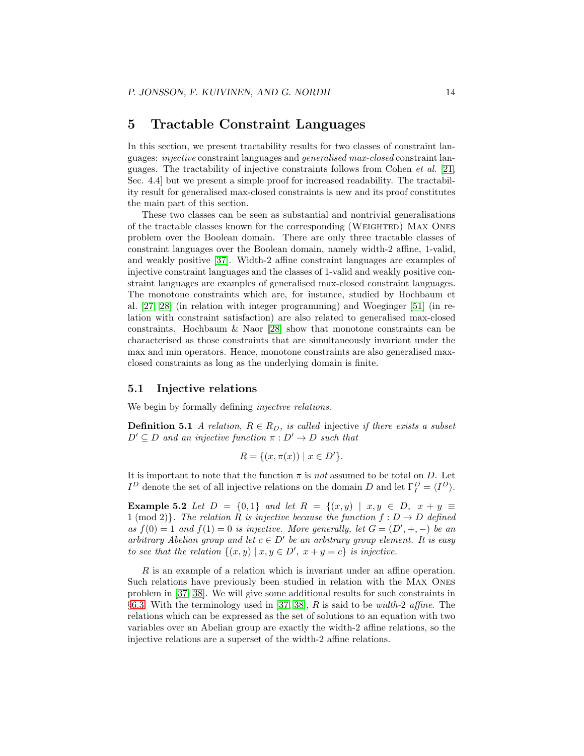### <span id="page-13-0"></span>5 Tractable Constraint Languages

In this section, we present tractability results for two classes of constraint languages: injective constraint languages and generalised max-closed constraint languages. The tractability of injective constraints follows from Cohen et al. [\[21,](#page-45-7) Sec. 4.4] but we present a simple proof for increased readability. The tractability result for generalised max-closed constraints is new and its proof constitutes the main part of this section.

These two classes can be seen as substantial and nontrivial generalisations of the tractable classes known for the corresponding (Weighted) Max Ones problem over the Boolean domain. There are only three tractable classes of constraint languages over the Boolean domain, namely width-2 affine, 1-valid, and weakly positive [\[37\]](#page-46-0). Width-2 affine constraint languages are examples of injective constraint languages and the classes of 1-valid and weakly positive constraint languages are examples of generalised max-closed constraint languages. The monotone constraints which are, for instance, studied by Hochbaum et al. [\[27,](#page-46-7) [28\]](#page-46-1) (in relation with integer programming) and Woeginger [\[51\]](#page-47-3) (in relation with constraint satisfaction) are also related to generalised max-closed constraints. Hochbaum & Naor [\[28\]](#page-46-1) show that monotone constraints can be characterised as those constraints that are simultaneously invariant under the max and min operators. Hence, monotone constraints are also generalised maxclosed constraints as long as the underlying domain is finite.

#### <span id="page-13-1"></span>5.1 Injective relations

We begin by formally defining *injective relations*.

**Definition 5.1** A relation,  $R \in R_D$ , is called injective if there exists a subset  $D' \subseteq D$  and an injective function  $\pi : D' \to D$  such that

$$
R = \{(x, \pi(x)) \mid x \in D'\}.
$$

It is important to note that the function  $\pi$  is not assumed to be total on D. Let  $I^D$  denote the set of all injective relations on the domain D and let  $\Gamma_I^D = \langle I^D \rangle$ .

**Example 5.2** Let  $D = \{0, 1\}$  and let  $R = \{(x, y) | x, y \in D, x + y \equiv$ 1 (mod 2). The relation R is injective because the function  $f: D \to D$  defined as  $f(0) = 1$  and  $f(1) = 0$  is injective. More generally, let  $G = (D', +, -)$  be an arbitrary Abelian group and let  $c \in D'$  be an arbitrary group element. It is easy to see that the relation  $\{(x, y) | x, y \in D', x + y = c\}$  is injective.

R is an example of a relation which is invariant under an affine operation. Such relations have previously been studied in relation with the Max Ones problem in [\[37,](#page-46-0) [38\]](#page-46-3). We will give some additional results for such constraints in  $\S6.3$ . With the terminology used in [\[37,](#page-46-0) [38\]](#page-46-3), R is said to be *width-2 affine*. The relations which can be expressed as the set of solutions to an equation with two variables over an Abelian group are exactly the width-2 affine relations, so the injective relations are a superset of the width-2 affine relations.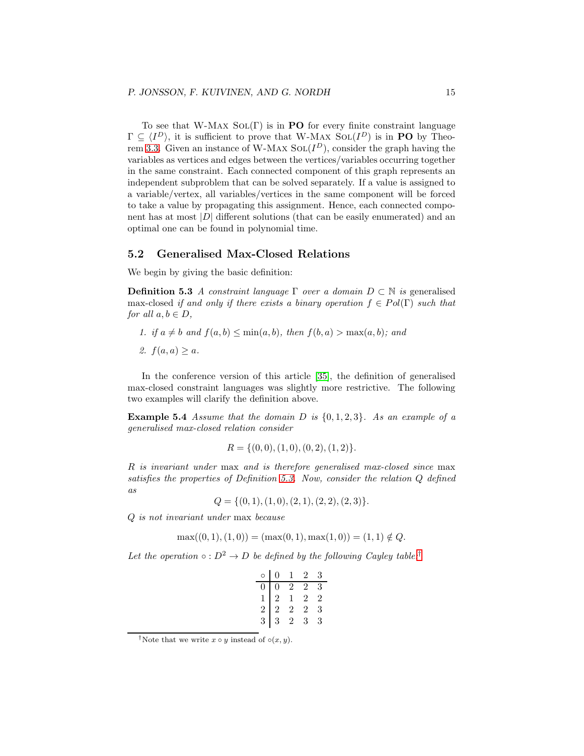To see that W-MAX  $SOL(\Gamma)$  is in **PO** for every finite constraint language  $\Gamma \subseteq \langle I^D \rangle$ , it is sufficient to prove that W-MAX SOL( $I^D$ ) is in **PO** by Theo-rem [3.3.](#page-9-0) Given an instance of W-MAX  $\text{SOL}(I^D)$ , consider the graph having the variables as vertices and edges between the vertices/variables occurring together in the same constraint. Each connected component of this graph represents an independent subproblem that can be solved separately. If a value is assigned to a variable/vertex, all variables/vertices in the same component will be forced to take a value by propagating this assignment. Hence, each connected component has at most  $|D|$  different solutions (that can be easily enumerated) and an optimal one can be found in polynomial time.

#### 5.2 Generalised Max-Closed Relations

We begin by giving the basic definition:

**Definition 5.3** A constraint language  $\Gamma$  over a domain  $D \subset \mathbb{N}$  is generalised max-closed if and only if there exists a binary operation  $f \in Pol(\Gamma)$  such that for all  $a, b \in D$ ,

- <span id="page-14-0"></span>1. if  $a \neq b$  and  $f(a, b) \leq \min(a, b)$ , then  $f(b, a) > \max(a, b)$ ; and
- 2.  $f(a, a) > a$ .

In the conference version of this article [\[35\]](#page-46-6), the definition of generalised max-closed constraint languages was slightly more restrictive. The following two examples will clarify the definition above.

**Example 5.4** Assume that the domain  $D$  is  $\{0, 1, 2, 3\}$ . As an example of a generalised max-closed relation consider

$$
R = \{(0,0), (1,0), (0,2), (1,2)\}.
$$

R is invariant under max and is therefore generalised max-closed since max satisfies the properties of Definition [5.3.](#page-14-0) Now, consider the relation Q defined as

$$
Q = \{(0, 1), (1, 0), (2, 1), (2, 2), (2, 3)\}.
$$

Q is not invariant under max because

$$
\max((0,1),(1,0)) = (\max(0,1), \max(1,0)) = (1,1) \notin Q.
$$

Let the operation  $\circ: D^2 \to D$  be defined by the following Cayley table:<sup>[†](#page-14-1)</sup>

|                | 0              | 1              | 2 | 3              |
|----------------|----------------|----------------|---|----------------|
|                | N              | $\overline{2}$ | 2 | 3              |
|                | $\overline{2}$ | T              | 2 | $\overline{2}$ |
| $\overline{2}$ | $\overline{2}$ | $\overline{c}$ | 2 | 3              |
| 3              | 3              | 2              | 3 | 3              |

<span id="page-14-1"></span><sup>&</sup>lt;sup>†</sup>Note that we write  $x \circ y$  instead of  $\circ (x, y)$ .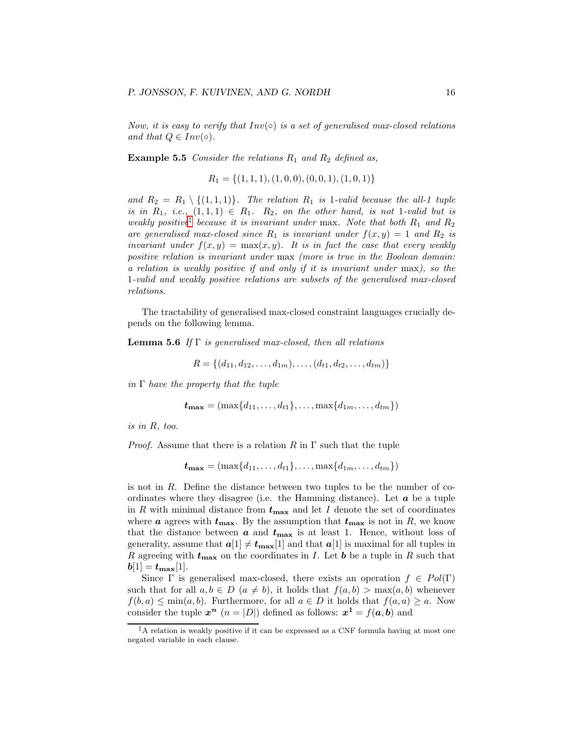Now, it is easy to verify that  $Inv(\circ)$  is a set of generalised max-closed relations and that  $Q \in Inv(\circ)$ .

**Example 5.5** Consider the relations  $R_1$  and  $R_2$  defined as,

$$
R_1 = \{(1,1,1), (1,0,0), (0,0,1), (1,0,1)\}
$$

and  $R_2 = R_1 \setminus \{(1,1,1)\}\.$  The relation  $R_1$  is 1-valid because the all-1 tuple is in  $R_1$ , i.e.,  $(1,1,1) \in R_1$ .  $R_2$ , on the other hand, is not 1-valid but is weakly positive<sup>†</sup> because it is invariant under max. Note that both  $R_1$  and  $R_2$ are generalised max-closed since  $R_1$  is invariant under  $f(x,y) = 1$  and  $R_2$  is invariant under  $f(x, y) = \max(x, y)$ . It is in fact the case that every weakly positive relation is invariant under max (more is true in the Boolean domain: a relation is weakly positive if and only if it is invariant under max), so the 1-valid and weakly positive relations are subsets of the generalised max-closed relations.

The tractability of generalised max-closed constraint languages crucially depends on the following lemma.

**Lemma 5.6** If  $\Gamma$  is generalised max-closed, then all relations

$$
R = \{(d_{11}, d_{12}, \dots, d_{1m}), \dots, (d_{t1}, d_{t2}, \dots, d_{tm})\}
$$

in  $\Gamma$  have the property that the tuple

$$
\boldsymbol{t_{\max}} = (\max\{d_{11},\ldots,d_{t1}\},\ldots,\max\{d_{1m},\ldots,d_{tm}\})
$$

is in R, too.

*Proof.* Assume that there is a relation R in  $\Gamma$  such that the tuple

$$
t_{\max} = (\max\{d_{11}, \ldots, d_{t1}\}, \ldots, \max\{d_{1m}, \ldots, d_{tm}\})
$$

is not in  $R$ . Define the distance between two tuples to be the number of coordinates where they disagree (i.e. the Hamming distance). Let  $\boldsymbol{a}$  be a tuple in R with minimal distance from  $t_{\text{max}}$  and let I denote the set of coordinates where **a** agrees with  $t_{\text{max}}$ . By the assumption that  $t_{\text{max}}$  is not in R, we know that the distance between  $a$  and  $t_{\text{max}}$  is at least 1. Hence, without loss of generality, assume that  $a[1] \neq t_{\text{max}}[1]$  and that  $a[1]$  is maximal for all tuples in R agreeing with  $t_{\text{max}}$  on the coordinates in I. Let b be a tuple in R such that  $$ 

Since  $\Gamma$  is generalised max-closed, there exists an operation  $f \in Pol(\Gamma)$ such that for all  $a, b \in D$   $(a \neq b)$ , it holds that  $f(a, b) > \max(a, b)$  whenever  $f(b, a) \le \min(a, b)$ . Furthermore, for all  $a \in D$  it holds that  $f(a, a) \ge a$ . Now consider the tuple  $x^n$   $(n = |D|)$  defined as follows:  $x^1 = f(a, b)$  and

<span id="page-15-0"></span><sup>‡</sup>A relation is weakly positive if it can be expressed as a CNF formula having at most one negated variable in each clause.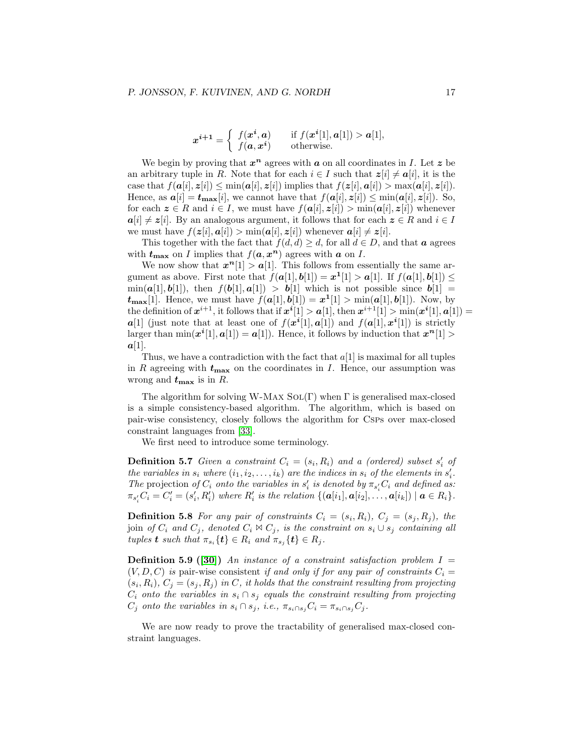$$
x^{i+1} = \begin{cases} f(x^i, a) & \text{if } f(x^i[1], a[1]) > a[1], \\ f(a, x^i) & \text{otherwise.} \end{cases}
$$

We begin by proving that  $x^n$  agrees with  $a$  on all coordinates in I. Let  $z$  be an arbitrary tuple in R. Note that for each  $i \in I$  such that  $z[i] \neq a[i]$ , it is the case that  $f(\mathbf{a}[i], \mathbf{z}[i]) \le \min(\mathbf{a}[i], \mathbf{z}[i])$  implies that  $f(\mathbf{z}[i], \mathbf{a}[i]) > \max(\mathbf{a}[i], \mathbf{z}[i])$ . Hence, as  $a[i] = t_{\text{max}}[i]$ , we cannot have that  $f(a[i], z[i]) \leq \min(a[i], z[i])$ . So, for each  $z \in R$  and  $i \in I$ , we must have  $f(\mathbf{a}[i], z[i]) > \min(\mathbf{a}[i], z[i])$  whenever  $a[i] \neq z[i]$ . By an analogous argument, it follows that for each  $z \in R$  and  $i \in I$ we must have  $f(z[i], a[i]) > \min(a[i], z[i])$  whenever  $a[i] \neq z[i]$ .

This together with the fact that  $f(d, d) \geq d$ , for all  $d \in D$ , and that **a** agrees with  $t_{\text{max}}$  on I implies that  $f(a, x^n)$  agrees with a on I.

We now show that  $x^n[1] > a[1]$ . This follows from essentially the same argument as above. First note that  $f(\boldsymbol{a}[1], \boldsymbol{b}[1]) = \boldsymbol{x}^1[1] > \boldsymbol{a}[1]$ . If  $f(\boldsymbol{a}[1], \boldsymbol{b}[1]) \leq$  $\min(a[1], b[1])$ , then  $f(b[1], a[1]) > b[1]$  which is not possible since  $b[1] =$  $t_{\text{max}}[1]$ . Hence, we must have  $f(a[1], b[1]) = x^1[1] > \min(a[1], b[1])$ . Now, by the definition of  $x^{i+1}$ , it follows that if  $x^{i}[1] > a[1]$ , then  $x^{i+1}[1] > min(x^{i}[1], a[1]) =$  $a[1]$  (just note that at least one of  $f(x^i[1], a[1])$  and  $f(a[1], x^i[1])$  is strictly larger than  $\min(x^i[1], a[1]) = a[1]$ . Hence, it follows by induction that  $x^n[1] >$  $a[1]$ .

Thus, we have a contradiction with the fact that  $a[1]$  is maximal for all tuples in R agreeing with  $t_{\text{max}}$  on the coordinates in I. Hence, our assumption was wrong and  $t_{\text{max}}$  is in R.

The algorithm for solving W-MAX  $SOL(\Gamma)$  when  $\Gamma$  is generalised max-closed is a simple consistency-based algorithm. The algorithm, which is based on pair-wise consistency, closely follows the algorithm for Csps over max-closed constraint languages from [\[33\]](#page-46-8).

We first need to introduce some terminology.

**Definition 5.7** Given a constraint  $C_i = (s_i, R_i)$  and a (ordered) subset  $s'_i$  of the variables in  $s_i$  where  $(i_1, i_2, \ldots, i_k)$  are the indices in  $s_i$  of the elements in  $s'_i$ . The projection of  $C_i$  onto the variables in  $s'_i$  is denoted by  $\pi_{s'_i} C_i$  and defined as:  $\pi_{s_i'} C_i = C_i' = (s_i', R_i')$  where  $R_i'$  is the relation  $\{(\boldsymbol{a}[i_1], \boldsymbol{a}[i_2], \ldots, \boldsymbol{a}[i_k]) \mid \boldsymbol{a} \in R_i\}$ .

**Definition 5.8** For any pair of constraints  $C_i = (s_i, R_i), C_j = (s_j, R_j),$  the join of  $C_i$  and  $C_j$ , denoted  $C_i \bowtie C_j$ , is the constraint on  $s_i \cup s_j$  containing all tuples **t** such that  $\pi_{s_i}\{\mathbf{t}\}\in R_i$  and  $\pi_{s_j}\{\mathbf{t}\}\in R_j$ .

**Definition 5.9 ([\[30\]](#page-46-10))** An instance of a constraint satisfaction problem  $I =$  $(V, D, C)$  is pair-wise consistent if and only if for any pair of constraints  $C_i =$  $(s_i, R_i), C_j = (s_j, R_j)$  in C, it holds that the constraint resulting from projecting  $C_i$  onto the variables in  $s_i \cap s_j$  equals the constraint resulting from projecting  $C_j$  onto the variables in  $s_i \cap s_j$ , i.e.,  $\pi_{s_i \cap s_j} C_i = \pi_{s_i \cap s_j} C_j$ .

<span id="page-16-0"></span>We are now ready to prove the tractability of generalised max-closed constraint languages.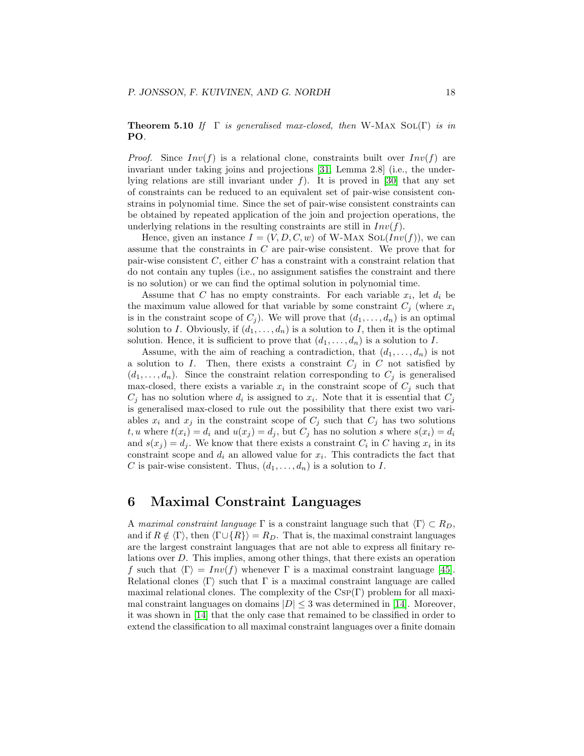**Theorem 5.10** If  $\Gamma$  is generalised max-closed, then W-MAX SOL( $\Gamma$ ) is in PO.

*Proof.* Since  $Inv(f)$  is a relational clone, constraints built over  $Inv(f)$  are invariant under taking joins and projections [\[31,](#page-46-11) Lemma 2.8] (i.e., the under-lying relations are still invariant under f). It is proved in [\[30\]](#page-46-10) that any set of constraints can be reduced to an equivalent set of pair-wise consistent constrains in polynomial time. Since the set of pair-wise consistent constraints can be obtained by repeated application of the join and projection operations, the underlying relations in the resulting constraints are still in  $Inv(f)$ .

Hence, given an instance  $I = (V, D, C, w)$  of W-MAX Sol $(Inv(f))$ , we can assume that the constraints in C are pair-wise consistent. We prove that for pair-wise consistent C, either C has a constraint with a constraint relation that do not contain any tuples (i.e., no assignment satisfies the constraint and there is no solution) or we can find the optimal solution in polynomial time.

Assume that C has no empty constraints. For each variable  $x_i$ , let  $d_i$  be the maximum value allowed for that variable by some constraint  $C_j$  (where  $x_i$ is in the constraint scope of  $C_j$ ). We will prove that  $(d_1, \ldots, d_n)$  is an optimal solution to I. Obviously, if  $(d_1, \ldots, d_n)$  is a solution to I, then it is the optimal solution. Hence, it is sufficient to prove that  $(d_1, \ldots, d_n)$  is a solution to I.

Assume, with the aim of reaching a contradiction, that  $(d_1, \ldots, d_n)$  is not a solution to I. Then, there exists a constraint  $C_j$  in C not satisfied by  $(d_1, \ldots, d_n)$ . Since the constraint relation corresponding to  $C_j$  is generalised max-closed, there exists a variable  $x_i$  in the constraint scope of  $C_j$  such that  $C_j$  has no solution where  $d_i$  is assigned to  $x_i$ . Note that it is essential that  $C_j$ is generalised max-closed to rule out the possibility that there exist two variables  $x_i$  and  $x_j$  in the constraint scope of  $C_j$  such that  $C_j$  has two solutions t, u where  $t(x_i) = d_i$  and  $u(x_i) = d_i$ , but  $C_i$  has no solution s where  $s(x_i) = d_i$ and  $s(x_j) = d_j$ . We know that there exists a constraint  $C_i$  in C having  $x_i$  in its constraint scope and  $d_i$  an allowed value for  $x_i$ . This contradicts the fact that C is pair-wise consistent. Thus,  $(d_1, \ldots, d_n)$  is a solution to I.

### <span id="page-17-0"></span>6 Maximal Constraint Languages

A maximal constraint language  $\Gamma$  is a constraint language such that  $\langle \Gamma \rangle \subset R_D$ , and if  $R \notin \langle \Gamma \rangle$ , then  $\langle \Gamma \cup \{R\} \rangle = R_D$ . That is, the maximal constraint languages are the largest constraint languages that are not able to express all finitary relations over D. This implies, among other things, that there exists an operation f such that  $\langle \Gamma \rangle = Inv(f)$  whenever  $\Gamma$  is a maximal constraint language [\[45\]](#page-47-11). Relational clones  $\langle \Gamma \rangle$  such that  $\Gamma$  is a maximal constraint language are called maximal relational clones. The complexity of the Csp(Γ) problem for all maximal constraint languages on domains  $|D| \leq 3$  was determined in [\[14\]](#page-45-3). Moreover, it was shown in [\[14\]](#page-45-3) that the only case that remained to be classified in order to extend the classification to all maximal constraint languages over a finite domain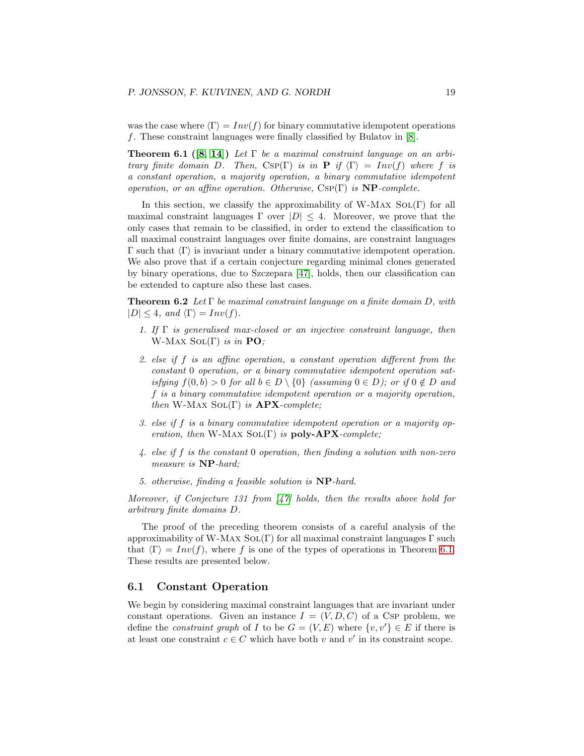<span id="page-18-0"></span>was the case where  $\langle \Gamma \rangle = Inv(f)$  for binary commutative idempotent operations f. These constraint languages were finally classified by Bulatov in [\[8\]](#page-44-5).

**Theorem 6.1** ([\[8,](#page-44-5) [14\]](#page-45-3)) Let  $\Gamma$  be a maximal constraint language on an arbitrary finite domain D. Then,  $CSP(\Gamma)$  is in **P** if  $\langle \Gamma \rangle = Inv(f)$  where f is a constant operation, a majority operation, a binary commutative idempotent operation, or an affine operation. Otherwise,  $CSP(\Gamma)$  is  $NP$ -complete.

In this section, we classify the approximability of W-MAX  $SOL(\Gamma)$  for all maximal constraint languages  $\Gamma$  over  $|D| \leq 4$ . Moreover, we prove that the only cases that remain to be classified, in order to extend the classification to all maximal constraint languages over finite domains, are constraint languages Γ such that  $\langle \Gamma \rangle$  is invariant under a binary commutative idempotent operation. We also prove that if a certain conjecture regarding minimal clones generated by binary operations, due to Szczepara [\[47\]](#page-47-2), holds, then our classification can be extended to capture also these last cases.

**Theorem 6.2** Let  $\Gamma$  be maximal constraint language on a finite domain D, with  $|D| \leq 4$ , and  $\langle \Gamma \rangle = Inv(f)$ .

- 1. If  $\Gamma$  is generalised max-closed or an injective constraint language, then W-MAX  $SOL(\Gamma)$  is in PO;
- 2. else if f is an affine operation, a constant operation different from the constant 0 operation, or a binary commutative idempotent operation satisfying  $f(0, b) > 0$  for all  $b \in D \setminus \{0\}$  (assuming  $0 \in D$ ); or if  $0 \notin D$  and f is a binary commutative idempotent operation or a majority operation, then W-MAX  $SOL(\Gamma)$  is  $APX$ -complete;
- 3. else if f is a binary commutative idempotent operation or a majority operation, then W-MAX  $SOL(\Gamma)$  is poly-APX-complete;
- 4. else if f is the constant 0 operation, then finding a solution with non-zero measure is  $NP$ -hard:
- 5. otherwise, finding a feasible solution is NP-hard.

Moreover, if Conjecture 131 from [\[47\]](#page-47-2) holds, then the results above hold for arbitrary finite domains D.

The proof of the preceding theorem consists of a careful analysis of the approximability of W-MAX  $SO(L)$  for all maximal constraint languages  $\Gamma$  such that  $\langle \Gamma \rangle = Inv(f)$ , where f is one of the types of operations in Theorem [6.1.](#page-18-0) These results are presented below.

#### 6.1 Constant Operation

We begin by considering maximal constraint languages that are invariant under constant operations. Given an instance  $I = (V, D, C)$  of a Csp problem, we define the *constraint graph* of I to be  $G = (V, E)$  where  $\{v, v'\} \in E$  if there is at least one constraint  $c \in C$  which have both v and v' in its constraint scope.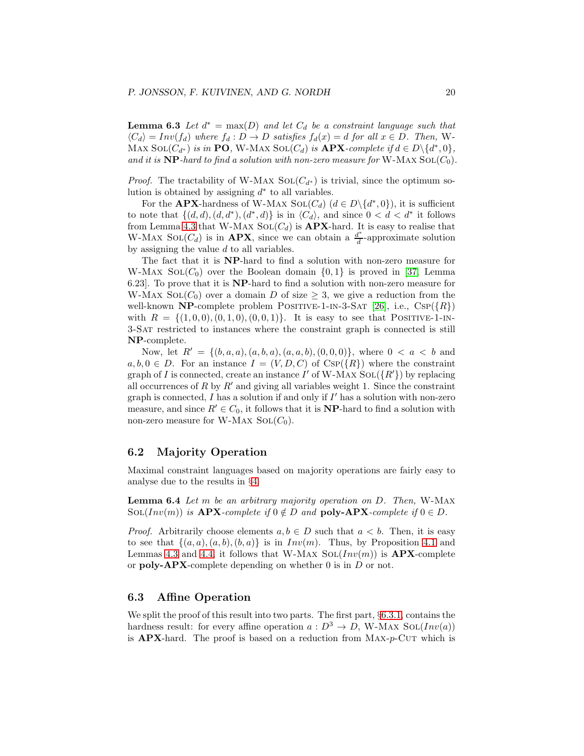**Lemma 6.3** Let  $d^* = \max(D)$  and let  $C_d$  be a constraint language such that  $\langle C_d \rangle = Inv(f_d)$  where  $f_d : D \to D$  satisfies  $f_d(x) = d$  for all  $x \in D$ . Then, W-MAX SOL $(C_{d^*})$  is in **PO**, W-MAX SOL $(C_d)$  is **APX**-complete if  $d \in D \setminus \{d^*, 0\}$ , and it is  $NP$ -hard to find a solution with non-zero measure for W-MAX  $Sol(C_0)$ .

*Proof.* The tractability of W-MAX  $\text{Sol}(C_{d^*})$  is trivial, since the optimum solution is obtained by assigning  $d^*$  to all variables.

For the **APX**-hardness of W-MAX  $\text{SOL}(C_d)$   $(d \in D \setminus \{d^*, 0\})$ , it is sufficient to note that  $\{(d, d), (d, d^*), (d^*, d)\}\$ is in  $\langle C_d \rangle$ , and since  $0 < d < d^*$  it follows from Lemma [4.3](#page-11-3) that W-MAX  $\text{SOL}(C_d)$  is **APX**-hard. It is easy to realise that W-MAX SOL $(C_d)$  is in **APX**, since we can obtain a  $\frac{d^*}{d}$  $\frac{d}{d}$ -approximate solution by assigning the value d to all variables.

The fact that it is NP-hard to find a solution with non-zero measure for W-MAX SOL $(C_0)$  over the Boolean domain  $\{0, 1\}$  is proved in [\[37,](#page-46-0) Lemma 6.23]. To prove that it is NP-hard to find a solution with non-zero measure for W-Max SoL( $C_0$ ) over a domain D of size  $\geq$  3, we give a reduction from the well-known **NP**-complete problem POSITIVE-1-IN-3-SAT [\[26\]](#page-46-12), i.e.,  $Csp({R})$ with  $R = \{(1, 0, 0), (0, 1, 0), (0, 0, 1)\}.$  It is easy to see that POSITIVE-1-IN-3-Sat restricted to instances where the constraint graph is connected is still NP-complete.

Now, let  $R' = \{(b, a, a), (a, b, a), (a, a, b), (0, 0, 0)\}$ , where  $0 < a < b$  and  $a, b, 0 \in D$ . For an instance  $I = (V, D, C)$  of  $CSP({R})$  where the constraint graph of I is connected, create an instance I' of W-MAX  $\text{SOL}(\lbrace R' \rbrace)$  by replacing all occurrences of  $R$  by  $R'$  and giving all variables weight 1. Since the constraint graph is connected,  $I$  has a solution if and only if  $I'$  has a solution with non-zero measure, and since  $R' \in C_0$ , it follows that it is **NP**-hard to find a solution with non-zero measure for W-MAX  $SOL(C_0)$ .

#### 6.2 Majority Operation

Maximal constraint languages based on majority operations are fairly easy to analyse due to the results in §[4.](#page-11-0)

Lemma 6.4 Let m be an arbitrary majority operation on D. Then, W-Max SOL(Inv(m)) is  $APX$ -complete if  $0 \notin D$  and  $poly-APX$ -complete if  $0 \in D$ .

*Proof.* Arbitrarily choose elements  $a, b \in D$  such that  $a < b$ . Then, it is easy to see that  $\{(a, a), (a, b), (b, a)\}\$ is in  $Inv(m)$ . Thus, by Proposition [4.1](#page-11-1) and Lemmas [4.3](#page-11-3) and [4.4,](#page-12-0) it follows that W-MAX  $\text{SOL}(Inv(m))$  is  $\mathbf{APX}\text{-complete}$ or **poly-APX**-complete depending on whether 0 is in  $D$  or not.

#### <span id="page-19-0"></span>6.3 Affine Operation

We split the proof of this result into two parts. The first part,  $\S 6.3.1$ , contains the hardness result: for every affine operation  $a: D^3 \to D$ , W-MAX SOL(Inv(a)) is  $APX$ -hard. The proof is based on a reduction from  $MAX-p-CUT$  which is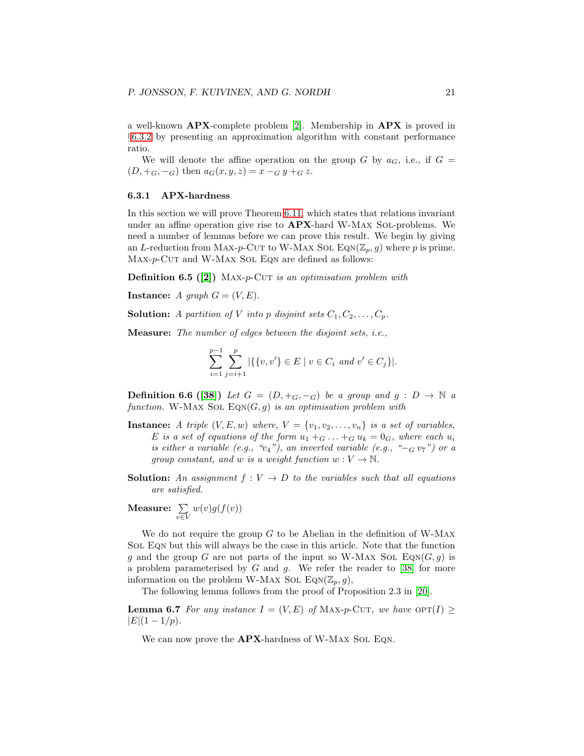a well-known APX-complete problem [\[2\]](#page-44-0). Membership in APX is proved in §[6.3.2](#page-22-0) by presenting an approximation algorithm with constant performance ratio.

We will denote the affine operation on the group G by  $a_G$ , i.e., if  $G =$  $(D, +G, -G)$  then  $a_G(x, y, z) = x - G y + G z$ .

#### <span id="page-20-0"></span>6.3.1 APX-hardness

In this section we will prove Theorem [6.11,](#page-22-1) which states that relations invariant under an affine operation give rise to **APX**-hard W-MAX SOL-problems. We need a number of lemmas before we can prove this result. We begin by giving an L-reduction from MAX-p-CUT to W-MAX SOL EQN( $\mathbb{Z}_p$ , g) where p is prime.  $MAX-p-CUT$  and  $W-MAX$  Sol Eqn are defined as follows:

**Definition 6.5** ([\[2\]](#page-44-0)) MAX-p-CUT is an optimisation problem with

**Instance:** A graph  $G = (V, E)$ .

**Solution:** A partition of V into p disjoint sets  $C_1, C_2, \ldots, C_p$ .

Measure: The number of edges between the disjoint sets, i.e.,

$$
\sum_{i=1}^{p-1} \sum_{j=i+1}^{p} |\{\{v, v'\} \in E \mid v \in C_i \text{ and } v' \in C_j\}|.
$$

**Definition 6.6 ([\[38\]](#page-46-3))** Let  $G = (D, +G, -G)$  be a group and  $g : D \to \mathbb{N}$  a function. W-MAX SOL  $\text{EqN}(G, g)$  is an optimisation problem with

- **Instance:** A triple  $(V, E, w)$  where,  $V = \{v_1, v_2, \ldots, v_n\}$  is a set of variables, E is a set of equations of the form  $u_1 +_G \ldots +_G u_k = 0_G$ , where each  $u_i$ is either a variable (e.g., "v<sub>4</sub>"), an inverted variable (e.g., " $-g v_7$ ") or a group constant, and w is a weight function  $w: V \to \mathbb{N}$ .
- **Solution:** An assignment  $f: V \to D$  to the variables such that all equations are satisfied.

Measure:  $\sum$ v∈V  $w(v)g(f(v))$ 

We do not require the group  $G$  to be Abelian in the definition of W-MAX Sol Eqn but this will always be the case in this article. Note that the function g and the group G are not parts of the input so W-MAX SOL EQN( $G, g$ ) is a problem parameterised by  $G$  and  $g$ . We refer the reader to [\[38\]](#page-46-3) for more information on the problem W-MAX SOL EQN( $\mathbb{Z}_p$ , g),

<span id="page-20-1"></span>The following lemma follows from the proof of Proposition 2.3 in [\[20\]](#page-45-12).

**Lemma 6.7** For any instance  $I = (V, E)$  of MAX-p-CUT, we have  $\text{OPT}(I) \geq$  $|E|(1-1/p).$ 

<span id="page-20-2"></span>We can now prove the **APX**-hardness of W-MAX SOL EQN.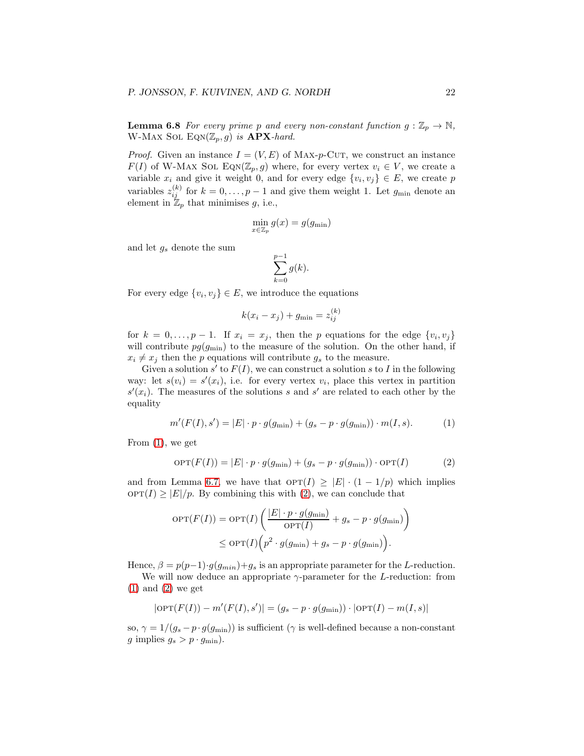**Lemma 6.8** For every prime p and every non-constant function  $g : \mathbb{Z}_p \to \mathbb{N}$ , W-MAX SOL EQN( $\mathbb{Z}_p$ , g) is **APX**-hard.

*Proof.* Given an instance  $I = (V, E)$  of MAX-p-CUT, we construct an instance  $F(I)$  of W-MAX SOL EQN( $\mathbb{Z}_p$ , g) where, for every vertex  $v_i \in V$ , we create a variable  $x_i$  and give it weight 0, and for every edge  $\{v_i, v_j\} \in E$ , we create p variables  $z_{ij}^{(k)}$  for  $k = 0, \ldots, p-1$  and give them weight 1. Let  $g_{\min}$  denote an element in  $\mathbb{Z}_p$  that minimises g, i.e.,

$$
\min_{x \in \mathbb{Z}_p} g(x) = g(g_{\min})
$$

and let  $g_s$  denote the sum

$$
\sum_{k=0}^{p-1}g(k).
$$

For every edge  $\{v_i, v_j\} \in E$ , we introduce the equations

$$
k(x_i - x_j) + g_{\min} = z_{ij}^{(k)}
$$

for  $k = 0, \ldots, p - 1$ . If  $x_i = x_j$ , then the p equations for the edge  $\{v_i, v_j\}$ will contribute  $pg(g_{\min})$  to the measure of the solution. On the other hand, if  $x_i \neq x_j$  then the p equations will contribute  $g_s$  to the measure.

Given a solution  $s'$  to  $F(I)$ , we can construct a solution s to I in the following way: let  $s(v_i) = s'(x_i)$ , i.e. for every vertex  $v_i$ , place this vertex in partition  $s'(x_i)$ . The measures of the solutions s and s' are related to each other by the equality

<span id="page-21-0"></span>
$$
m'(F(I),s') = |E| \cdot p \cdot g(g_{\min}) + (g_s - p \cdot g(g_{\min})) \cdot m(I,s). \tag{1}
$$

From [\(1\)](#page-21-0), we get

<span id="page-21-1"></span>
$$
\text{OPT}(F(I)) = |E| \cdot p \cdot g(g_{\min}) + (g_s - p \cdot g(g_{\min})) \cdot \text{OPT}(I) \tag{2}
$$

and from Lemma [6.7,](#page-20-1) we have that  $\text{OPT}(I) \geq |E| \cdot (1 - 1/p)$  which implies  $\text{OPT}(I) \geq |E|/p$ . By combining this with [\(2\)](#page-21-1), we can conclude that

$$
OPT(F(I)) = OPT(I) \left( \frac{|E| \cdot p \cdot g(g_{\min})}{OPT(I)} + g_s - p \cdot g(g_{\min}) \right)
$$
  

$$
\le OPT(I) \left( p^2 \cdot g(g_{\min}) + g_s - p \cdot g(g_{\min}) \right).
$$

Hence,  $\beta = p(p-1) \cdot g(g_{min}) + g_s$  is an appropriate parameter for the L-reduction.

We will now deduce an appropriate  $\gamma$ -parameter for the *L*-reduction: from  $(1)$  and  $(2)$  we get

$$
|\text{OPT}(F(I)) - m'(F(I), s')| = (g_s - p \cdot g(g_{\min})) \cdot |\text{OPT}(I) - m(I, s)|
$$

so,  $\gamma = 1/(g_s - p \cdot g(g_{\min}))$  is sufficient ( $\gamma$  is well-defined because a non-constant g implies  $g_s > p \cdot g_{\text{min}}$ .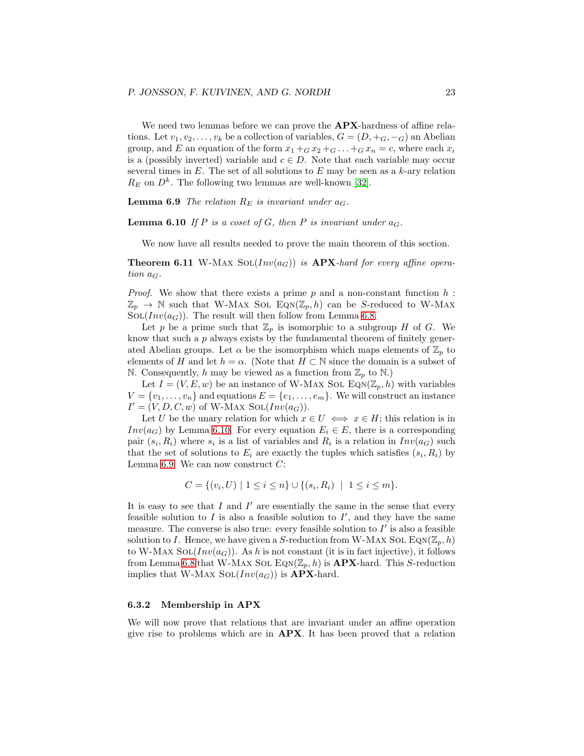We need two lemmas before we can prove the **APX**-hardness of affine relations. Let  $v_1, v_2, \ldots, v_k$  be a collection of variables,  $G = (D, +_G, -_G)$  an Abelian group, and E an equation of the form  $x_1 + G x_2 + G \ldots + G x_n = c$ , where each  $x_i$ is a (possibly inverted) variable and  $c \in D$ . Note that each variable may occur several times in E. The set of all solutions to E may be seen as a  $k$ -ary relation  $R_E$  on  $D^k$ . The following two lemmas are well-known [\[32\]](#page-46-4).

<span id="page-22-2"></span>**Lemma 6.9** The relation  $R_E$  is invariant under  $a_G$ .

**Lemma 6.10** If P is a coset of G, then P is invariant under  $a_G$ .

<span id="page-22-3"></span><span id="page-22-1"></span>We now have all results needed to prove the main theorem of this section.

**Theorem 6.11** W-MAX SOL( $Inv(a_G)$ ) is **APX**-hard for every affine operation  $a_G$ .

*Proof.* We show that there exists a prime  $p$  and a non-constant function  $h$ :  $\mathbb{Z}_p \to \mathbb{N}$  such that W-MAX SOL EQN( $\mathbb{Z}_p$ , h) can be S-reduced to W-MAX  $SOL(Inv(a_G))$ . The result will then follow from Lemma [6.8.](#page-20-2)

Let p be a prime such that  $\mathbb{Z}_p$  is isomorphic to a subgroup H of G. We know that such a  $p$  always exists by the fundamental theorem of finitely generated Abelian groups. Let  $\alpha$  be the isomorphism which maps elements of  $\mathbb{Z}_p$  to elements of H and let  $h = \alpha$ . (Note that  $H \subset \mathbb{N}$  since the domain is a subset of N. Consequently, h may be viewed as a function from  $\mathbb{Z}_p$  to N.)

Let  $I = (V, E, w)$  be an instance of W-MAX SOL EQN( $\mathbb{Z}_p$ , h) with variables  $V = \{v_1, \ldots, v_n\}$  and equations  $E = \{e_1, \ldots, e_m\}$ . We will construct an instance  $I' = (V, D, C, w)$  of W-Max SoL $(Inv(a_G))$ .

Let U be the unary relation for which  $x \in U \iff x \in H$ ; this relation is in  $Inv(a_G)$  by Lemma [6.10.](#page-22-2) For every equation  $E_i \in E$ , there is a corresponding pair  $(s_i, R_i)$  where  $s_i$  is a list of variables and  $R_i$  is a relation in  $Inv(a_G)$  such that the set of solutions to  $E_i$  are exactly the tuples which satisfies  $(s_i, R_i)$  by Lemma [6.9.](#page-22-3) We can now construct  $C$ :

$$
C = \{(v_i, U) \mid 1 \le i \le n\} \cup \{(s_i, R_i) \mid 1 \le i \le m\}.
$$

It is easy to see that  $I$  and  $I'$  are essentially the same in the sense that every feasible solution to  $I$  is also a feasible solution to  $I'$ , and they have the same measure. The converse is also true: every feasible solution to  $I'$  is also a feasible solution to I. Hence, we have given a S-reduction from W-MAX SOL  $\text{EQN}(\mathbb{Z}_p, h)$ to W-MAX SOL( $Inv(a_G)$ ). As h is not constant (it is in fact injective), it follows from Lemma [6.8](#page-20-2) that W-MAX SOL EQN( $\mathbb{Z}_p$ , h) is **APX**-hard. This S-reduction implies that W-MAX SOL( $Inv(a_G)$ ) is **APX**-hard.

#### <span id="page-22-0"></span>6.3.2 Membership in APX

We will now prove that relations that are invariant under an affine operation give rise to problems which are in APX. It has been proved that a relation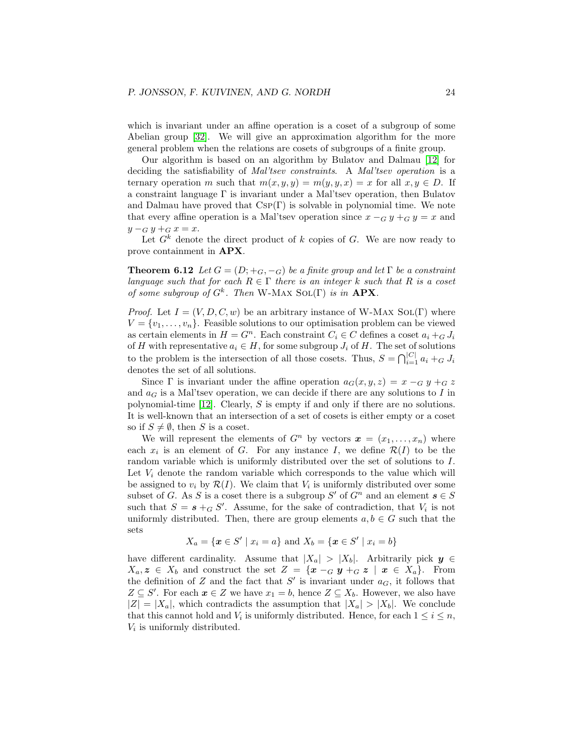which is invariant under an affine operation is a coset of a subgroup of some Abelian group [\[32\]](#page-46-4). We will give an approximation algorithm for the more general problem when the relations are cosets of subgroups of a finite group.

Our algorithm is based on an algorithm by Bulatov and Dalmau [\[12\]](#page-45-13) for deciding the satisfiability of *Mal'tsev constraints*. A *Mal'tsev operation* is a ternary operation m such that  $m(x, y, y) = m(y, y, x) = x$  for all  $x, y \in D$ . If a constraint language  $\Gamma$  is invariant under a Mal'tsev operation, then Bulatov and Dalmau have proved that  $CSP(\Gamma)$  is solvable in polynomial time. We note that every affine operation is a Mal'tsev operation since  $x - G y + G y = x$  and  $y - G y + G x = x.$ 

<span id="page-23-0"></span>Let  $G^k$  denote the direct product of k copies of G. We are now ready to prove containment in APX.

**Theorem 6.12** Let  $G = (D; +_G, -_G)$  be a finite group and let  $\Gamma$  be a constraint language such that for each  $R \in \Gamma$  there is an integer k such that R is a coset of some subgroup of  $G^k$ . Then W-MAX SOL(Γ) is in **APX**.

*Proof.* Let  $I = (V, D, C, w)$  be an arbitrary instance of W-MAX SOL(Γ) where  $V = \{v_1, \ldots, v_n\}$ . Feasible solutions to our optimisation problem can be viewed as certain elements in  $H = G<sup>n</sup>$ . Each constraint  $C<sub>i</sub> \in C$  defines a coset  $a<sub>i</sub> +_{G} J<sub>i</sub>$ of H with representative  $a_i \in H$ , for some subgroup  $J_i$  of H. The set of solutions to the problem is the intersection of all those cosets. Thus,  $S = \bigcap_{i=1}^{|C|} a_i +_G J_i$ denotes the set of all solutions.

Since Γ is invariant under the affine operation  $a_G(x, y, z) = x - G y + G z$ and  $a_G$  is a Mal'tsey operation, we can decide if there are any solutions to I in polynomial-time [\[12\]](#page-45-13). Clearly, S is empty if and only if there are no solutions. It is well-known that an intersection of a set of cosets is either empty or a coset so if  $S \neq \emptyset$ , then S is a coset.

We will represent the elements of  $G^n$  by vectors  $\boldsymbol{x} = (x_1, \ldots, x_n)$  where each  $x_i$  is an element of G. For any instance I, we define  $\mathcal{R}(I)$  to be the random variable which is uniformly distributed over the set of solutions to I. Let  $V_i$  denote the random variable which corresponds to the value which will be assigned to  $v_i$  by  $\mathcal{R}(I)$ . We claim that  $V_i$  is uniformly distributed over some subset of G. As S is a coset there is a subgroup S' of  $G<sup>n</sup>$  and an element  $s \in S$ such that  $S = s +_{G} S'$ . Assume, for the sake of contradiction, that  $V_i$  is not uniformly distributed. Then, there are group elements  $a, b \in G$  such that the sets

$$
X_a = \{ \mathbf{x} \in S' \mid x_i = a \}
$$
 and  $X_b = \{ \mathbf{x} \in S' \mid x_i = b \}$ 

have different cardinality. Assume that  $|X_a| > |X_b|$ . Arbitrarily pick  $y \in$  $X_a, z \in X_b$  and construct the set  $Z = \{x - G \mid y + G \mid x \in X_a\}$ . From the definition of Z and the fact that  $S'$  is invariant under  $a_G$ , it follows that  $Z \subseteq S'$ . For each  $x \in Z$  we have  $x_1 = b$ , hence  $Z \subseteq X_b$ . However, we also have  $|Z| = |X_a|$ , which contradicts the assumption that  $|X_a| > |X_b|$ . We conclude that this cannot hold and  $V_i$  is uniformly distributed. Hence, for each  $1 \leq i \leq n$ ,  $V_i$  is uniformly distributed.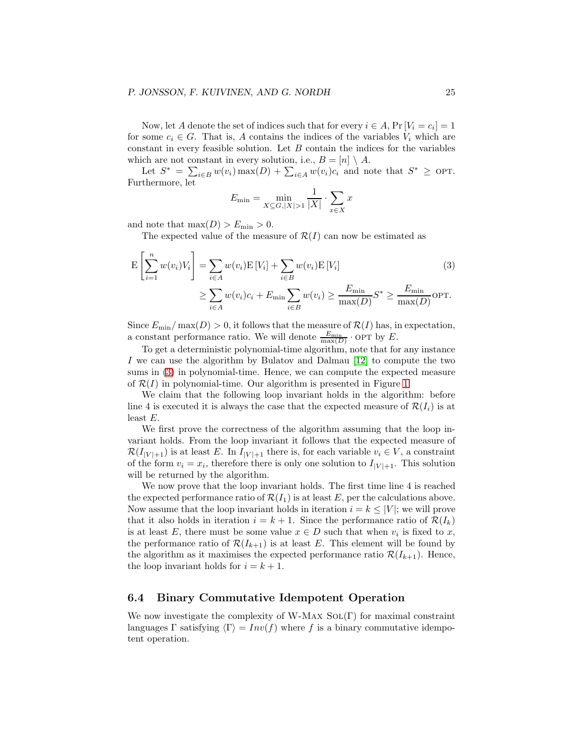#### P. JONSSON, F. KUIVINEN, AND G. NORDH 25

Now, let A denote the set of indices such that for every  $i \in A$ ,  $Pr[V_i = c_i] = 1$ for some  $c_i \in G$ . That is, A contains the indices of the variables  $V_i$  which are constant in every feasible solution. Let  $B$  contain the indices for the variables which are not constant in every solution, i.e.,  $B = [n] \setminus A$ .

Let  $S^* = \sum_{i \in B} w(v_i) \max(D) + \sum_{i \in A} w(v_i)c_i$  and note that  $S^* \geq \text{OPT}$ . Furthermore, let

<span id="page-24-0"></span>
$$
E_{\min} = \min_{X \subseteq G, |X| > 1} \frac{1}{|X|} \cdot \sum_{x \in X} x
$$

and note that  $\max(D) > E_{\min} > 0$ .

The expected value of the measure of  $\mathcal{R}(I)$  can now be estimated as

$$
E\left[\sum_{i=1}^{n} w(v_i)V_i\right] = \sum_{i \in A} w(v_i)E[V_i] + \sum_{i \in B} w(v_i)E[V_i]
$$
(3)  

$$
\geq \sum_{i \in A} w(v_i)c_i + E_{\min} \sum_{i \in B} w(v_i) \geq \frac{E_{\min}}{\max(D)} S^* \geq \frac{E_{\min}}{\max(D)} \text{OPT}.
$$

Since  $E_{\min}/\max(D) > 0$ , it follows that the measure of  $\mathcal{R}(I)$  has, in expectation, a constant performance ratio. We will denote  $\frac{E_{\min}}{\max(D)}$  opt by E.

To get a deterministic polynomial-time algorithm, note that for any instance I we can use the algorithm by Bulatov and Dalmau [\[12\]](#page-45-13) to compute the two sums in [\(3\)](#page-24-0) in polynomial-time. Hence, we can compute the expected measure of  $\mathcal{R}(I)$  in polynomial-time. Our algorithm is presented in Figure [1.](#page-25-0)

We claim that the following loop invariant holds in the algorithm: before line 4 is executed it is always the case that the expected measure of  $\mathcal{R}(I_i)$  is at least  $E$ .

We first prove the correctness of the algorithm assuming that the loop invariant holds. From the loop invariant it follows that the expected measure of  $\mathcal{R}(I_{|V|+1})$  is at least E. In  $I_{|V|+1}$  there is, for each variable  $v_i \in V$ , a constraint of the form  $v_i = x_i$ , therefore there is only one solution to  $I_{|V|+1}$ . This solution will be returned by the algorithm.

We now prove that the loop invariant holds. The first time line 4 is reached the expected performance ratio of  $\mathcal{R}(I_1)$  is at least E, per the calculations above. Now assume that the loop invariant holds in iteration  $i = k \leq |V|$ ; we will prove that it also holds in iteration  $i = k + 1$ . Since the performance ratio of  $\mathcal{R}(I_k)$ is at least E, there must be some value  $x \in D$  such that when  $v_i$  is fixed to x, the performance ratio of  $\mathcal{R}(I_{k+1})$  is at least E. This element will be found by the algorithm as it maximises the expected performance ratio  $\mathcal{R}(I_{k+1})$ . Hence, the loop invariant holds for  $i = k + 1$ .

#### 6.4 Binary Commutative Idempotent Operation

We now investigate the complexity of W-MAX  $SOL(\Gamma)$  for maximal constraint languages Γ satisfying  $\langle \Gamma \rangle = Inv(f)$  where f is a binary commutative idempotent operation.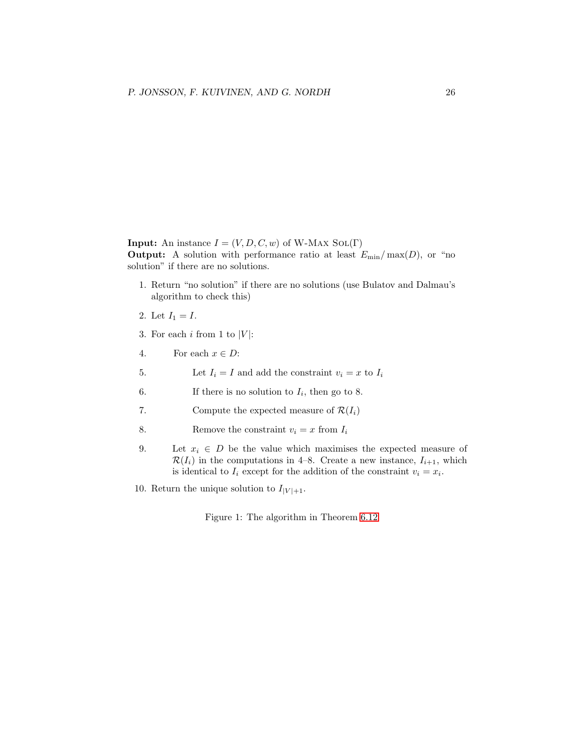**Input:** An instance  $I = (V, D, C, w)$  of W-Max Sol(Γ) **Output:** A solution with performance ratio at least  $E_{\text{min}}/\max(D)$ , or "no solution" if there are no solutions.

- 1. Return "no solution" if there are no solutions (use Bulatov and Dalmau's algorithm to check this)
- 2. Let  $I_1 = I$ .
- 3. For each i from 1 to  $|V|$ :
- 4. For each  $x \in D$ :
- 5. Let  $I_i = I$  and add the constraint  $v_i = x$  to  $I_i$
- 6. If there is no solution to  $I_i$ , then go to 8.
- 7. Compute the expected measure of  $\mathcal{R}(I_i)$
- 8. Remove the constraint  $v_i = x$  from  $I_i$
- 9. Let  $x_i \in D$  be the value which maximises the expected measure of  $\mathcal{R}(I_i)$  in the computations in 4–8. Create a new instance,  $I_{i+1}$ , which is identical to  $I_i$  except for the addition of the constraint  $v_i = x_i$ .
- 10. Return the unique solution to  $I_{|V|+1}$ .

<span id="page-25-0"></span>Figure 1: The algorithm in Theorem [6.12](#page-23-0)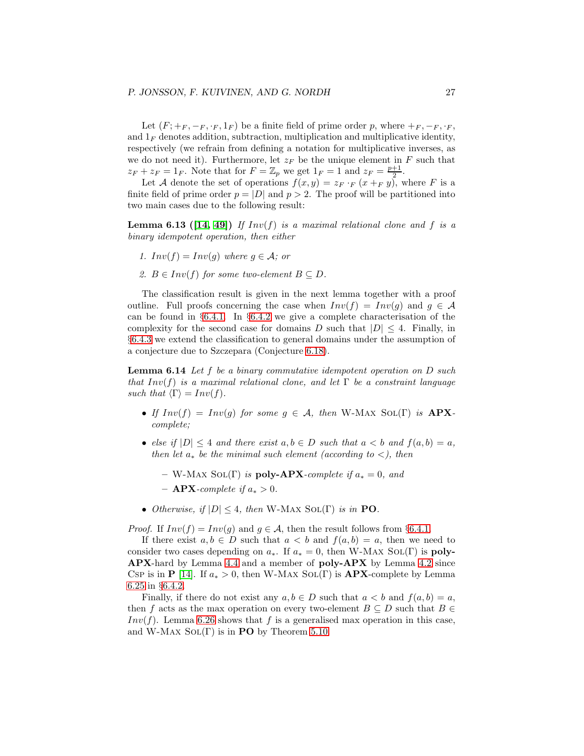Let  $(F; +_F, -_F, \cdot_F, 1_F)$  be a finite field of prime order p, where  $+_F, -_F, \cdot_F,$ and  $1_F$  denotes addition, subtraction, multiplication and multiplicative identity, respectively (we refrain from defining a notation for multiplicative inverses, as we do not need it). Furthermore, let  $z_F$  be the unique element in F such that  $z_F + z_F = 1_F$ . Note that for  $F = \mathbb{Z}_p$  we get  $1_F = 1$  and  $z_F = \frac{p+1}{2}$ .

Let A denote the set of operations  $f(x, y) = z_F \cdot_F (x +_F y)$ , where F is a finite field of prime order  $p = |D|$  and  $p > 2$ . The proof will be partitioned into two main cases due to the following result:

<span id="page-26-0"></span>**Lemma 6.13** ([\[14,](#page-45-3) [49\]](#page-47-12)) If  $Inv(f)$  is a maximal relational clone and f is a binary idempotent operation, then either

- 1.  $Inv(f) = Inv(g)$  where  $g \in \mathcal{A}$ ; or
- 2.  $B \in Inv(f)$  for some two-element  $B \subseteq D$ .

The classification result is given in the next lemma together with a proof outline. Full proofs concerning the case when  $Inv(f) = Inv(q)$  and  $q \in \mathcal{A}$ can be found in  $\S 6.4.1$ . In  $\S 6.4.2$  $\S 6.4.2$  we give a complete characterisation of the complexity for the second case for domains D such that  $|D| \leq 4$ . Finally, in §[6.4.3](#page-29-0) we extend the classification to general domains under the assumption of a conjecture due to Szczepara (Conjecture [6.18\)](#page-29-1).

<span id="page-26-1"></span>Lemma 6.14 Let f be a binary commutative idempotent operation on D such that  $Inv(f)$  is a maximal relational clone, and let  $\Gamma$  be a constraint language such that  $\langle \Gamma \rangle = Inv(f)$ .

- If  $Inv(f) = Inv(q)$  for some  $q \in A$ , then W-MAX SOL(Γ) is **APX**complete;
- else if  $|D| \leq 4$  and there exist  $a, b \in D$  such that  $a \leq b$  and  $f(a, b) = a$ , then let  $a_*$  be the minimal such element (according to <), then
	- W-MAX SOL(Γ) is **poly-APX**-complete if  $a_* = 0$ , and
	- APX-complete if  $a_* > 0$ .
- Otherwise, if  $|D| \leq 4$ , then W-MAX SOL(Γ) is in PO.

*Proof.* If  $Inv(f) = Inv(g)$  and  $g \in A$ , then the result follows from §[6.4.1.](#page-27-0)

If there exist  $a, b \in D$  such that  $a < b$  and  $f(a, b) = a$ , then we need to consider two cases depending on  $a_*$ . If  $a_* = 0$ , then W-MAX SOL(Γ) is **poly-**APX-hard by Lemma [4.4](#page-12-0) and a member of poly-APX by Lemma [4.2](#page-11-2) since CSP is in **P** [\[14\]](#page-45-3). If  $a_* > 0$ , then W-MAX SOL(Γ) is **APX**-complete by Lemma [6.25](#page-31-0) in §[6.4.2.](#page-27-1)

Finally, if there do not exist any  $a, b \in D$  such that  $a < b$  and  $f(a, b) = a$ , then f acts as the max operation on every two-element  $B \subseteq D$  such that  $B \in$  $Inv(f)$ . Lemma [6.26](#page-32-1) shows that f is a generalised max operation in this case, and W-MAX  $SOL(\Gamma)$  is in **PO** by Theorem [5.10.](#page-16-0)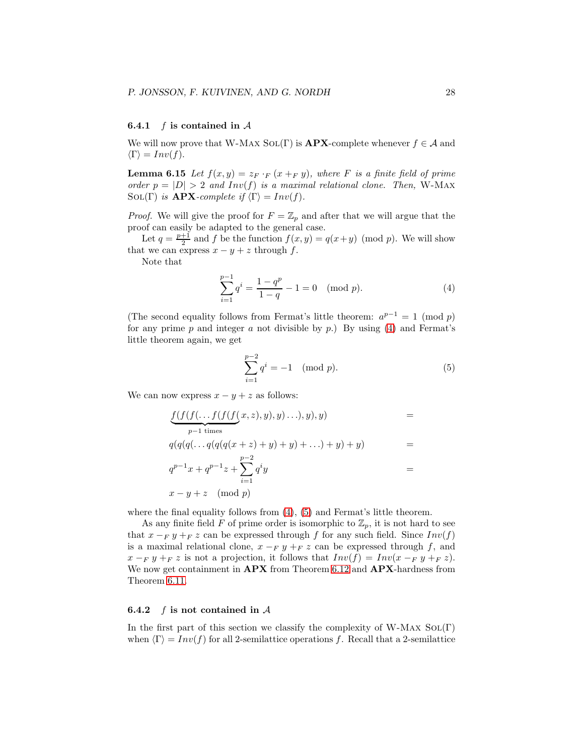#### <span id="page-27-0"></span>**6.4.1** f is contained in  $\mathcal A$

<span id="page-27-4"></span>We will now prove that W-MAX SOL(Γ) is **APX**-complete whenever  $f \in \mathcal{A}$  and  $\langle \Gamma \rangle = Inv(f).$ 

**Lemma 6.15** Let  $f(x,y) = z_F \cdot_F (x +_F y)$ , where F is a finite field of prime order  $p = |D| > 2$  and  $Inv(f)$  is a maximal relational clone. Then, W-MAX SOL(Γ) is **APX**-complete if  $\langle \Gamma \rangle = Inv(f)$ .

*Proof.* We will give the proof for  $F = \mathbb{Z}_p$  and after that we will argue that the proof can easily be adapted to the general case.

Let  $q = \frac{p+1}{2}$  and f be the function  $f(x, y) = q(x+y) \pmod{p}$ . We will show that we can express  $x - y + z$  through f.

Note that

$$
\sum_{i=1}^{p-1} q^i = \frac{1-q^p}{1-q} - 1 = 0 \pmod{p}.
$$
 (4)

(The second equality follows from Fermat's little theorem:  $a^{p-1} = 1 \pmod{p}$ for any prime  $p$  and integer  $a$  not divisible by  $p$ .) By using [\(4\)](#page-27-2) and Fermat's little theorem again, we get

<span id="page-27-3"></span><span id="page-27-2"></span>
$$
\sum_{i=1}^{p-2} q^i = -1 \pmod{p}.
$$
 (5)

We can now express  $x - y + z$  as follows:

$$
\frac{f(f(f(\ldots f(f(f(x, z), y), y) \ldots), y), y)}{p-1 \text{ times}} =
$$
\n
$$
q(q(q(\ldots q(q(q(x + z) + y) + y) + \ldots) + y) + y) =
$$
\n
$$
q^{p-1}x + q^{p-1}z + \sum_{i=1}^{p-2} q^i y =
$$
\n
$$
x - y + z \pmod{p}
$$

where the final equality follows from  $(4)$ ,  $(5)$  and Fermat's little theorem.

As any finite field F of prime order is isomorphic to  $\mathbb{Z}_p$ , it is not hard to see that  $x - F y + F z$  can be expressed through f for any such field. Since  $Inv(f)$ is a maximal relational clone,  $x - F y + F z$  can be expressed through f, and  $x - F y + F z$  is not a projection, it follows that  $Inv(f) = Inv(x - F y + F z)$ . We now get containment in  $APX$  from Theorem [6.12](#page-23-0) and  $APX$ -hardness from Theorem [6.11.](#page-22-1)

#### <span id="page-27-1"></span>6.4.2  $f$  is not contained in  $A$

In the first part of this section we classify the complexity of W-MAX  $SOL(\Gamma)$ when  $\langle \Gamma \rangle = Inv(f)$  for all 2-semilattice operations f. Recall that a 2-semilattice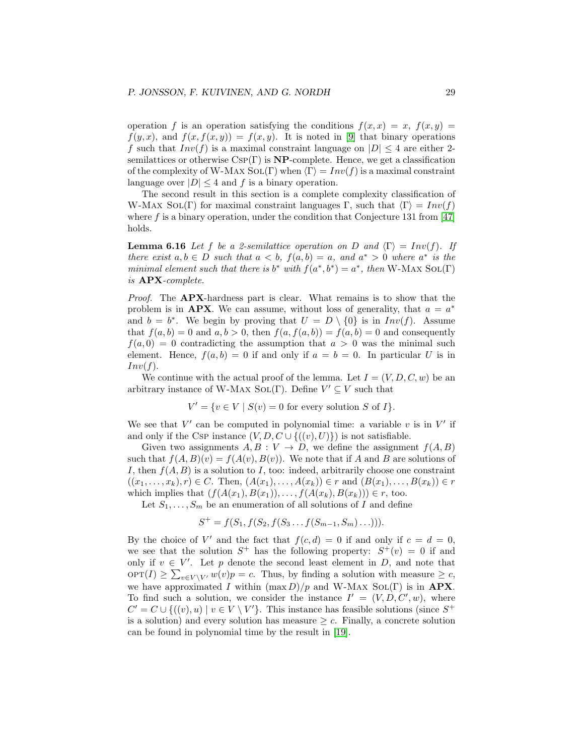operation f is an operation satisfying the conditions  $f(x, x) = x$ ,  $f(x, y) = x$  $f(y, x)$ , and  $f(x, f(x, y)) = f(x, y)$ . It is noted in [\[9\]](#page-44-9) that binary operations f such that  $Inv(f)$  is a maximal constraint language on  $|D| \leq 4$  are either 2semilattices or otherwise  $CSP(\Gamma)$  is **NP**-complete. Hence, we get a classification of the complexity of W-Max SOL(Γ) when  $\langle \Gamma \rangle = Inv(f)$  is a maximal constraint language over  $|D| \leq 4$  and f is a binary operation.

The second result in this section is a complete complexity classification of W-Max SoL(Γ) for maximal constraint languages Γ, such that  $\langle \Gamma \rangle = Inv(f)$ where  $f$  is a binary operation, under the condition that Conjecture 131 from [\[47\]](#page-47-2) holds.

<span id="page-28-0"></span>**Lemma 6.16** Let f be a 2-semilattice operation on D and  $\langle \Gamma \rangle = Inv(f)$ . If there exist  $a, b \in D$  such that  $a < b$ ,  $f(a, b) = a$ , and  $a^* > 0$  where  $a^*$  is the minimal element such that there is  $b^*$  with  $f(a^*, b^*) = a^*$ , then W-MAX SOL(Γ) is APX-complete.

Proof. The **APX**-hardness part is clear. What remains is to show that the problem is in **APX**. We can assume, without loss of generality, that  $a = a^*$ and  $b = b^*$ . We begin by proving that  $U = D \setminus \{0\}$  is in  $Inv(f)$ . Assume that  $f(a, b) = 0$  and  $a, b > 0$ , then  $f(a, f(a, b)) = f(a, b) = 0$  and consequently  $f(a, 0) = 0$  contradicting the assumption that  $a > 0$  was the minimal such element. Hence,  $f(a, b) = 0$  if and only if  $a = b = 0$ . In particular U is in  $Inv(f)$ .

We continue with the actual proof of the lemma. Let  $I = (V, D, C, w)$  be an arbitrary instance of W-MAX SOL(Γ). Define  $V' \subseteq V$  such that

$$
V' = \{ v \in V \mid S(v) = 0 \text{ for every solution } S \text{ of } I \}.
$$

We see that  $V'$  can be computed in polynomial time: a variable  $v$  is in  $V'$  if and only if the CsP instance  $(V, D, C \cup \{(v), U)\})$  is not satisfiable.

Given two assignments  $A, B : V \to D$ , we define the assignment  $f(A, B)$ such that  $f(A, B)(v) = f(A(v), B(v))$ . We note that if A and B are solutions of I, then  $f(A, B)$  is a solution to I, too: indeed, arbitrarily choose one constraint  $((x_1, \ldots, x_k), r) \in C$ . Then,  $(A(x_1), \ldots, A(x_k)) \in r$  and  $(B(x_1), \ldots, B(x_k)) \in r$ which implies that  $(f(A(x_1), B(x_1)), \ldots, f(A(x_k), B(x_k))) \in r$ , too.

Let  $S_1, \ldots, S_m$  be an enumeration of all solutions of I and define

$$
S^+ = f(S_1, f(S_2, f(S_3 \dots f(S_{m-1}, S_m) \dots))).
$$

By the choice of V' and the fact that  $f(c,d) = 0$  if and only if  $c = d = 0$ , we see that the solution  $S^+$  has the following property:  $S^+(v) = 0$  if and only if  $v \in V'$ . Let p denote the second least element in D, and note that  $\text{OPT}(I) \geq \sum_{v \in V \setminus V'} w(v)p = c$ . Thus, by finding a solution with measure  $\geq c$ , we have approximated I within  $(\max D)/p$  and W-MAX SOL(Γ) is in **APX**. To find such a solution, we consider the instance  $I' = (V, D, C', w)$ , where  $C' = C \cup \{((v), u) \mid v \in V \setminus V'\}.$  This instance has feasible solutions (since  $S^+$ is a solution) and every solution has measure  $\geq c$ . Finally, a concrete solution can be found in polynomial time by the result in [\[19\]](#page-45-11).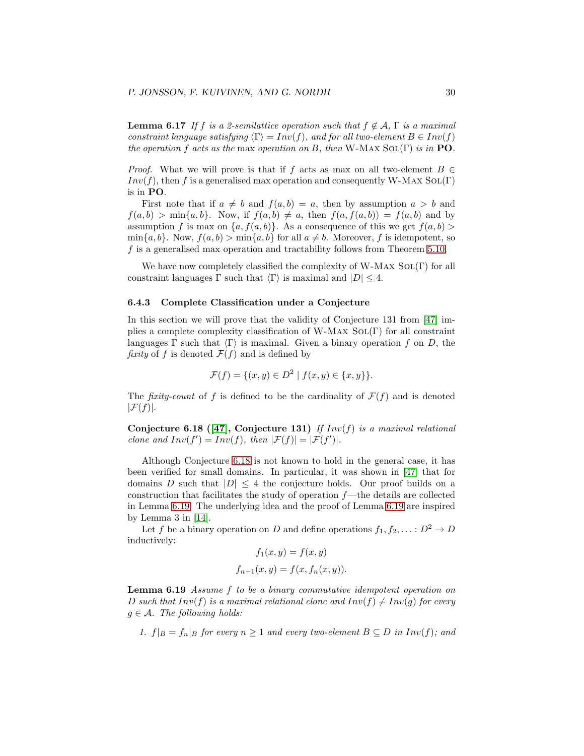**Lemma 6.17** If f is a 2-semilattice operation such that  $f \notin A$ ,  $\Gamma$  is a maximal constraint language satisfying  $\langle \Gamma \rangle = Inv(f)$ , and for all two-element  $B \in Inv(f)$ the operation f acts as the max operation on B, then W-MAX SOL(Γ) is in PO.

*Proof.* What we will prove is that if f acts as max on all two-element  $B \in$  $Inv(f)$ , then f is a generalised max operation and consequently W-MAX SOL(Γ) is in PO.

First note that if  $a \neq b$  and  $f(a, b) = a$ , then by assumption  $a > b$  and  $f(a, b) > min\{a, b\}$ . Now, if  $f(a, b) \neq a$ , then  $f(a, f(a, b)) = f(a, b)$  and by assumption f is max on  $\{a, f(a, b)\}\$ . As a consequence of this we get  $f(a, b)$  $\min\{a, b\}$ . Now,  $f(a, b) > \min\{a, b\}$  for all  $a \neq b$ . Moreover, f is idempotent, so f is a generalised max operation and tractability follows from Theorem [5.10.](#page-16-0)

We have now completely classified the complexity of W-MAX  $SOL(\Gamma)$  for all constraint languages Γ such that  $\langle \Gamma \rangle$  is maximal and  $|D| \leq 4$ .

#### <span id="page-29-0"></span>6.4.3 Complete Classification under a Conjecture

In this section we will prove that the validity of Conjecture 131 from [\[47\]](#page-47-2) implies a complete complexity classification of W-MAX  $SOL(\Gamma)$  for all constraint languages Γ such that  $\langle \Gamma \rangle$  is maximal. Given a binary operation f on D, the fixity of f is denoted  $\mathcal{F}(f)$  and is defined by

$$
\mathcal{F}(f) = \{(x, y) \in D^2 \mid f(x, y) \in \{x, y\}\}.
$$

<span id="page-29-1"></span>The fixity-count of f is defined to be the cardinality of  $\mathcal{F}(f)$  and is denoted  $|\mathcal{F}(f)|$ .

Conjecture 6.18 ([\[47\]](#page-47-2), Conjecture 131) If  $Inv(f)$  is a maximal relational clone and  $Inv(f') = Inv(f)$ , then  $|\mathcal{F}(f)| = |\mathcal{F}(f')|$ .

Although Conjecture [6.18](#page-29-1) is not known to hold in the general case, it has been verified for small domains. In particular, it was shown in [\[47\]](#page-47-2) that for domains D such that  $|D| \leq 4$  the conjecture holds. Our proof builds on a construction that facilitates the study of operation  $f$ —the details are collected in Lemma [6.19.](#page-29-2) The underlying idea and the proof of Lemma [6.19](#page-29-2) are inspired by Lemma 3 in [\[14\]](#page-45-3).

Let f be a binary operation on D and define operations  $f_1, f_2, \ldots : D^2 \to D$ inductively:  $f(x, y) = f(x)$ 

$$
f_1(x, y) = f(x, y)
$$

$$
f_{n+1}(x, y) = f(x, f_n(x, y)).
$$

<span id="page-29-2"></span>Lemma 6.19 Assume f to be a binary commutative idempotent operation on D such that  $Inv(f)$  is a maximal relational clone and  $Inv(f) \neq Inv(g)$  for every  $q \in \mathcal{A}$ . The following holds:

1.  $f|_B = f_n|_B$  for every  $n \ge 1$  and every two-element  $B \subseteq D$  in  $Inv(f)$ ; and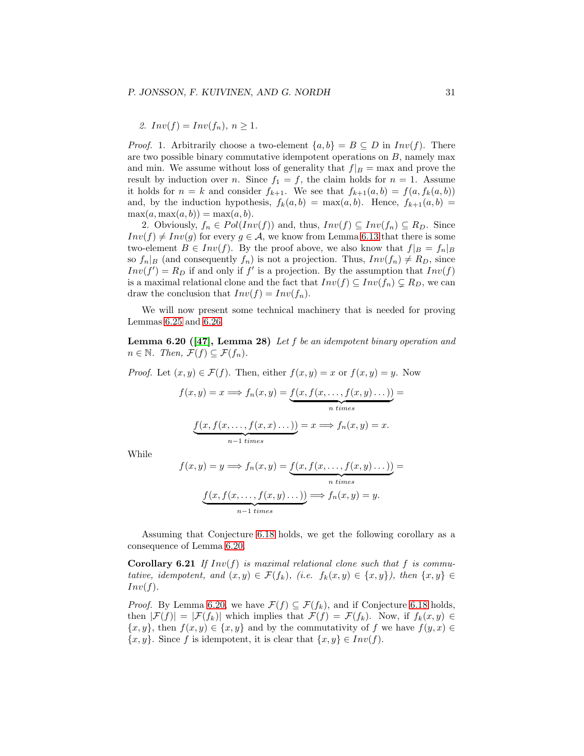$$
2. Inv(f) = Inv(f_n), n \ge 1.
$$

*Proof.* 1. Arbitrarily choose a two-element  $\{a, b\} = B \subseteq D$  in  $Inv(f)$ . There are two possible binary commutative idempotent operations on  $B$ , namely max and min. We assume without loss of generality that  $f|_B = \max$  and prove the result by induction over n. Since  $f_1 = f$ , the claim holds for  $n = 1$ . Assume it holds for  $n = k$  and consider  $f_{k+1}$ . We see that  $f_{k+1}(a, b) = f(a, f_k(a, b))$ and, by the induction hypothesis,  $f_k(a, b) = \max(a, b)$ . Hence,  $f_{k+1}(a, b) =$  $\max(a, \max(a, b)) = \max(a, b).$ 

2. Obviously,  $f_n \in Pol(Inv(f))$  and, thus,  $Inv(f) \subseteq Inv(f_n) \subseteq R_D$ . Since  $Inv(f) \neq Inv(g)$  for every  $g \in A$ , we know from Lemma [6.13](#page-26-0) that there is some two-element  $B \in Inv(f)$ . By the proof above, we also know that  $f|_B = f_n|_B$ so  $f_n|_B$  (and consequently  $f_n$ ) is not a projection. Thus,  $Inv(f_n) \neq R_D$ , since  $Inv(f') = R_D$  if and only if f' is a projection. By the assumption that  $Inv(f)$ is a maximal relational clone and the fact that  $Inv(f) \subseteq Inv(f_n) \subseteq R_D$ , we can draw the conclusion that  $Inv(f) = Inv(f_n)$ .

<span id="page-30-0"></span>We will now present some technical machinery that is needed for proving Lemmas [6.25](#page-31-0) and [6.26.](#page-32-1)

Lemma 6.20 ([\[47\]](#page-47-2), Lemma 28) Let f be an idempotent binary operation and  $n \in \mathbb{N}$ . Then,  $\mathcal{F}(f) \subseteq \mathcal{F}(f_n)$ .

*Proof.* Let  $(x, y) \in \mathcal{F}(f)$ . Then, either  $f(x, y) = x$  or  $f(x, y) = y$ . Now

$$
f(x,y) = x \Longrightarrow f_n(x,y) = \underbrace{f(x,f(x,\ldots,f(x,y)\ldots))}_{n \text{ times}} =
$$

$$
\underbrace{f(x,f(x,\ldots,f(x,x)\ldots))}_{n-1 \text{ times}} = x \Longrightarrow f_n(x,y) = x.
$$

While

<span id="page-30-1"></span>
$$
f(x,y) = y \Longrightarrow f_n(x,y) = \underbrace{f(x, f(x, \dots, f(x,y) \dots))}_{n \text{ times}} =
$$

$$
\underbrace{f(x, f(x, \dots, f(x,y) \dots))}_{n-1 \text{ times}} \Longrightarrow f_n(x,y) = y.
$$

Assuming that Conjecture [6.18](#page-29-1) holds, we get the following corollary as a consequence of Lemma [6.20.](#page-30-0)

**Corollary 6.21** If  $Inv(f)$  is maximal relational clone such that f is commutative, idempotent, and  $(x, y) \in \mathcal{F}(f_k)$ , (i.e.  $f_k(x, y) \in \{x, y\}$ ), then  $\{x, y\} \in$  $Inv(f)$ .

*Proof.* By Lemma [6.20,](#page-30-0) we have  $\mathcal{F}(f) \subseteq \mathcal{F}(f_k)$ , and if Conjecture [6.18](#page-29-1) holds, then  $|\mathcal{F}(f)| = |\mathcal{F}(f_k)|$  which implies that  $\mathcal{F}(f) = \mathcal{F}(f_k)$ . Now, if  $f_k(x, y) \in$  ${x, y}$ , then  $f(x, y) \in {x, y}$  and by the commutativity of f we have  $f(y, x) \in$  $\{x, y\}$ . Since f is idempotent, it is clear that  $\{x, y\} \in Inv(f)$ .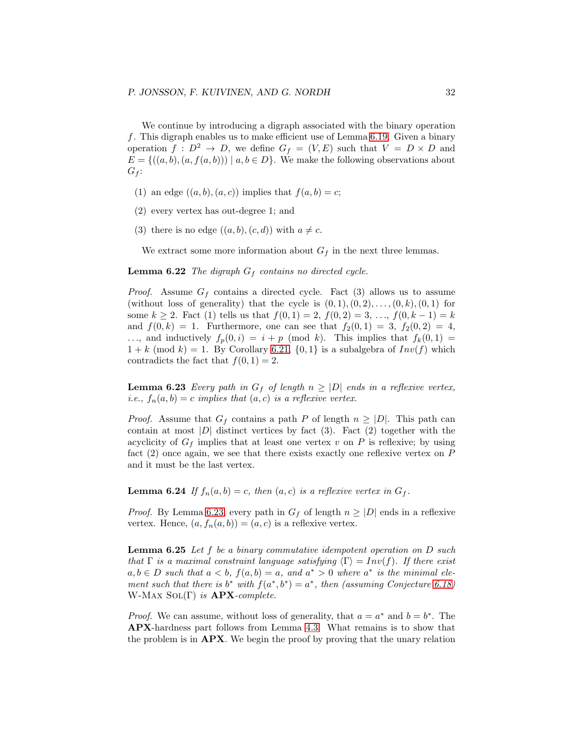We continue by introducing a digraph associated with the binary operation f. This digraph enables us to make efficient use of Lemma [6.19.](#page-29-2) Given a binary operation  $f: D^2 \to D$ , we define  $G_f = (V, E)$  such that  $V = D \times D$  and  $E = \{((a, b), (a, f(a, b))) \mid a, b \in D\}$ . We make the following observations about  $G_f$ :

- (1) an edge  $((a, b), (a, c))$  implies that  $f(a, b) = c$ ;
- (2) every vertex has out-degree 1; and
- (3) there is no edge  $((a, b), (c, d))$  with  $a \neq c$ .

<span id="page-31-2"></span>We extract some more information about  $G_f$  in the next three lemmas.

**Lemma 6.22** The digraph  $G_f$  contains no directed cycle.

*Proof.* Assume  $G_f$  contains a directed cycle. Fact (3) allows us to assume (without loss of generality) that the cycle is  $(0, 1), (0, 2), \ldots, (0, k), (0, 1)$  for some  $k \ge 2$ . Fact (1) tells us that  $f(0, 1) = 2$ ,  $f(0, 2) = 3, \ldots, f(0, k - 1) = k$ and  $f(0, k) = 1$ . Furthermore, one can see that  $f_2(0, 1) = 3$ ,  $f_2(0, 2) = 4$ ,  $\ldots$ , and inductively  $f_p(0, i) = i + p \pmod{k}$ . This implies that  $f_k(0, 1) =$  $1 + k \pmod{k} = 1$ . By Corollary [6.21,](#page-30-1)  $\{0, 1\}$  is a subalgebra of  $Inv(f)$  which contradicts the fact that  $f(0, 1) = 2$ .

<span id="page-31-1"></span>**Lemma 6.23** Every path in  $G_f$  of length  $n \geq |D|$  ends in a reflexive vertex, *i.e.*,  $f_n(a, b) = c$  implies that  $(a, c)$  is a reflexive vertex.

*Proof.* Assume that  $G_f$  contains a path P of length  $n \geq |D|$ . This path can contain at most  $|D|$  distinct vertices by fact (3). Fact (2) together with the acyclicity of  $G_f$  implies that at least one vertex v on P is reflexive; by using fact (2) once again, we see that there exists exactly one reflexive vertex on P and it must be the last vertex.

<span id="page-31-3"></span>**Lemma 6.24** If  $f_n(a, b) = c$ , then  $(a, c)$  is a reflexive vertex in  $G_f$ .

<span id="page-31-0"></span>*Proof.* By Lemma [6.23,](#page-31-1) every path in  $G_f$  of length  $n \geq |D|$  ends in a reflexive vertex. Hence,  $(a, f_n(a, b)) = (a, c)$  is a reflexive vertex.

**Lemma 6.25** Let  $f$  be a binary commutative idempotent operation on  $D$  such that Γ is a maximal constraint language satisfying  $\langle \Gamma \rangle = Inv(f)$ . If there exist  $a, b \in D$  such that  $a < b$ ,  $f(a, b) = a$ , and  $a^* > 0$  where  $a^*$  is the minimal element such that there is  $b^*$  with  $f(a^*, b^*) = a^*$ , then (assuming Conjecture [6.18\)](#page-29-1) W-MAX  $SOL(\Gamma)$  is  $APX$ -complete.

*Proof.* We can assume, without loss of generality, that  $a = a^*$  and  $b = b^*$ . The APX-hardness part follows from Lemma [4.3.](#page-11-3) What remains is to show that the problem is in APX. We begin the proof by proving that the unary relation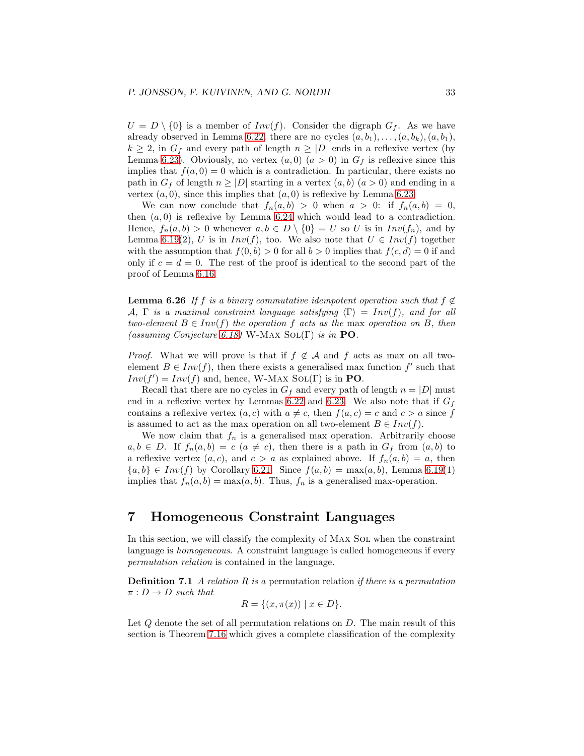$U = D \setminus \{0\}$  is a member of  $Inv(f)$ . Consider the digraph  $G_f$ . As we have already observed in Lemma [6.22,](#page-31-2) there are no cycles  $(a, b_1), \ldots, (a, b_k), (a, b_1),$  $k \geq 2$ , in  $G_f$  and every path of length  $n \geq |D|$  ends in a reflexive vertex (by Lemma [6.23\)](#page-31-1). Obviously, no vertex  $(a, 0)$   $(a > 0)$  in  $G<sub>f</sub>$  is reflexive since this implies that  $f(a, 0) = 0$  which is a contradiction. In particular, there exists no path in  $G_f$  of length  $n \geq |D|$  starting in a vertex  $(a, b)$   $(a > 0)$  and ending in a vertex  $(a, 0)$ , since this implies that  $(a, 0)$  is reflexive by Lemma [6.23.](#page-31-1)

We can now conclude that  $f_n(a, b) > 0$  when  $a > 0$ : if  $f_n(a, b) = 0$ , then  $(a, 0)$  is reflexive by Lemma [6.24](#page-31-3) which would lead to a contradiction. Hence,  $f_n(a, b) > 0$  whenever  $a, b \in D \setminus \{0\} = U$  so U is in  $Inv(f_n)$ , and by Lemma [6.19\(](#page-29-2)2), U is in  $Inv(f)$ , too. We also note that  $U \in Inv(f)$  together with the assumption that  $f(0, b) > 0$  for all  $b > 0$  implies that  $f(c, d) = 0$  if and only if  $c = d = 0$ . The rest of the proof is identical to the second part of the proof of Lemma [6.16.](#page-28-0)

<span id="page-32-1"></span>**Lemma 6.26** If f is a binary commutative idempotent operation such that  $f \notin$ A, Γ is a maximal constraint language satisfying  $\langle \Gamma \rangle = Inv(f)$ , and for all two-element  $B \in Inv(f)$  the operation f acts as the max operation on B, then (assuming Conjecture [6.18\)](#page-29-1) W-MAX  $SOL(\Gamma)$  is in PO.

*Proof.* What we will prove is that if  $f \notin A$  and f acts as max on all twoelement  $B \in Inv(f)$ , then there exists a generalised max function  $f'$  such that  $Inv(f') = Inv(f)$  and, hence, W-MAX SOL(Γ) is in PO.

Recall that there are no cycles in  $G_f$  and every path of length  $n = |D|$  must end in a reflexive vertex by Lemmas [6.22](#page-31-2) and [6.23.](#page-31-1) We also note that if  $G_f$ contains a reflexive vertex  $(a, c)$  with  $a \neq c$ , then  $f(a, c) = c$  and  $c > a$  since f is assumed to act as the max operation on all two-element  $B \in Inv(f)$ .

We now claim that  $f_n$  is a generalised max operation. Arbitrarily choose  $a, b \in D$ . If  $f_n(a, b) = c \ (a \neq c)$ , then there is a path in  $G_f$  from  $(a, b)$  to a reflexive vertex  $(a, c)$ , and  $c > a$  as explained above. If  $f_n(a, b) = a$ , then  ${a, b} \in Inv(f)$  by Corollary [6.21.](#page-30-1) Since  $f(a, b) = max(a, b)$ , Lemma [6.19\(](#page-29-2)1) implies that  $f_n(a, b) = \max(a, b)$ . Thus,  $f_n$  is a generalised max-operation.

### <span id="page-32-0"></span>7 Homogeneous Constraint Languages

In this section, we will classify the complexity of Max Sol when the constraint language is homogeneous. A constraint language is called homogeneous if every permutation relation is contained in the language.

**Definition 7.1** A relation  $R$  is a permutation relation if there is a permutation  $\pi: D \to D$  such that

$$
R = \{ (x, \pi(x)) \mid x \in D \}.
$$

Let Q denote the set of all permutation relations on D. The main result of this section is Theorem [7.16](#page-41-0) which gives a complete classification of the complexity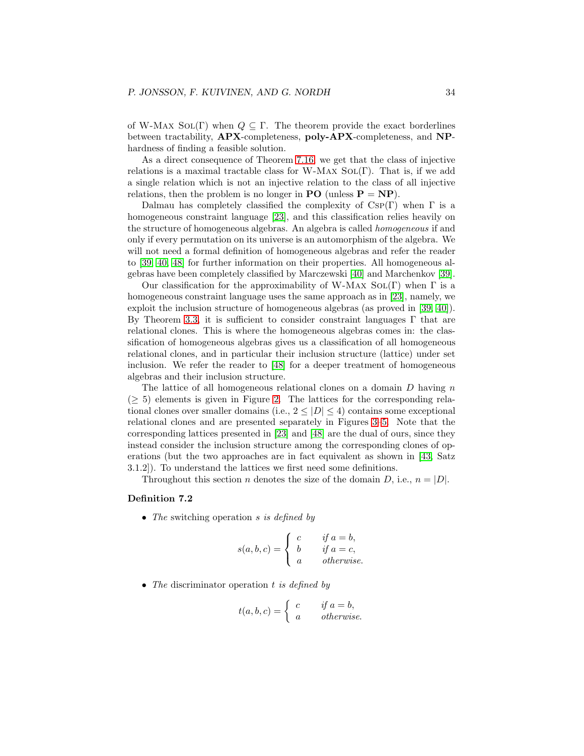of W-Max SoL(Γ) when  $Q \subseteq \Gamma$ . The theorem provide the exact borderlines between tractability, APX-completeness, poly-APX-completeness, and NPhardness of finding a feasible solution.

As a direct consequence of Theorem [7.16,](#page-41-0) we get that the class of injective relations is a maximal tractable class for W-MAX  $SOL(\Gamma)$ . That is, if we add a single relation which is not an injective relation to the class of all injective relations, then the problem is no longer in **PO** (unless  $P = NP$ ).

Dalmau has completely classified the complexity of  $CSP(\Gamma)$  when  $\Gamma$  is a homogeneous constraint language [\[23\]](#page-45-6), and this classification relies heavily on the structure of homogeneous algebras. An algebra is called homogeneous if and only if every permutation on its universe is an automorphism of the algebra. We will not need a formal definition of homogeneous algebras and refer the reader to [\[39,](#page-47-7) [40,](#page-47-6) [48\]](#page-47-5) for further information on their properties. All homogeneous algebras have been completely classified by Marczewski [\[40\]](#page-47-6) and Marchenkov [\[39\]](#page-47-7).

Our classification for the approximability of W-MAX  $SOL(\Gamma)$  when  $\Gamma$  is a homogeneous constraint language uses the same approach as in [\[23\]](#page-45-6), namely, we exploit the inclusion structure of homogeneous algebras (as proved in [\[39,](#page-47-7) [40\]](#page-47-6)). By Theorem [3.3,](#page-9-0) it is sufficient to consider constraint languages  $\Gamma$  that are relational clones. This is where the homogeneous algebras comes in: the classification of homogeneous algebras gives us a classification of all homogeneous relational clones, and in particular their inclusion structure (lattice) under set inclusion. We refer the reader to [\[48\]](#page-47-5) for a deeper treatment of homogeneous algebras and their inclusion structure.

The lattice of all homogeneous relational clones on a domain  $D$  having  $n$  $($   $\geq$  5) elements is given in Figure [2.](#page-34-0) The lattices for the corresponding relational clones over smaller domains (i.e.,  $2 \leq |D| \leq 4$ ) contains some exceptional relational clones and are presented separately in Figures [3–](#page-35-0)[5.](#page-36-0) Note that the corresponding lattices presented in [\[23\]](#page-45-6) and [\[48\]](#page-47-5) are the dual of ours, since they instead consider the inclusion structure among the corresponding clones of operations (but the two approaches are in fact equivalent as shown in [\[43,](#page-47-9) Satz 3.1.2]). To understand the lattices we first need some definitions.

Throughout this section *n* denotes the size of the domain *D*, i.e.,  $n = |D|$ .

#### Definition 7.2

• The switching operation *s is defined by* 

$$
s(a,b,c) = \begin{cases} c & \text{if } a = b, \\ b & \text{if } a = c, \\ a & \text{otherwise.} \end{cases}
$$

• The discriminator operation  $t$  is defined by

$$
t(a, b, c) = \begin{cases} c & \text{if } a = b, \\ a & \text{otherwise.} \end{cases}
$$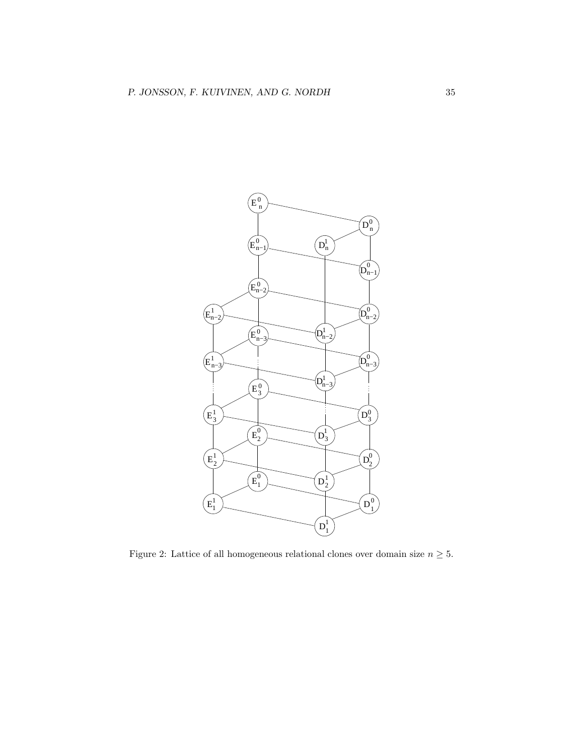

<span id="page-34-0"></span>Figure 2: Lattice of all homogeneous relational clones over domain size  $n\geq 5.$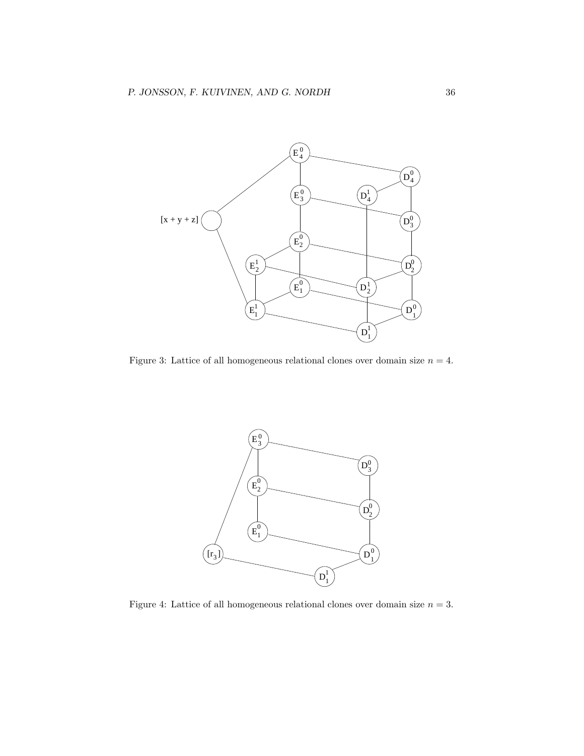

<span id="page-35-0"></span>Figure 3: Lattice of all homogeneous relational clones over domain size  $n = 4$ .



<span id="page-35-1"></span>Figure 4: Lattice of all homogeneous relational clones over domain size  $n = 3$ .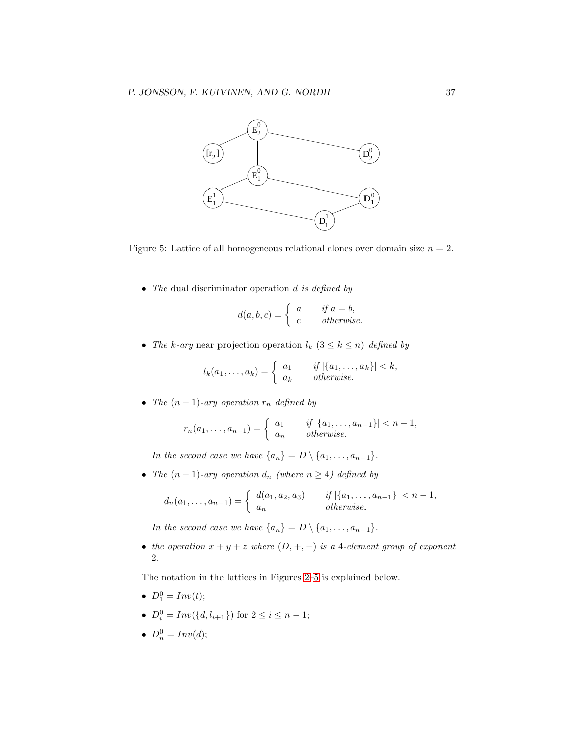

<span id="page-36-0"></span>Figure 5: Lattice of all homogeneous relational clones over domain size  $n = 2$ .

• The dual discriminator operation  $d$  is defined by

$$
d(a, b, c) = \begin{cases} a & \text{if } a = b, \\ c & \text{otherwise.} \end{cases}
$$

• The k-ary near projection operation  $l_k$   $(3 \leq k \leq n)$  defined by

$$
l_k(a_1,\ldots,a_k) = \begin{cases} a_1 & \text{if } |\{a_1,\ldots,a_k\}| < k, \\ a_k & \text{otherwise.} \end{cases}
$$

• The  $(n-1)$ -ary operation  $r_n$  defined by

$$
r_n(a_1,\ldots,a_{n-1})=\begin{cases}a_1 & \text{if }|\{a_1,\ldots,a_{n-1}\}|
$$

In the second case we have  $\{a_n\} = D \setminus \{a_1, \ldots, a_{n-1}\}.$ 

• The  $(n-1)$ -ary operation  $d_n$  (where  $n \geq 4$ ) defined by

$$
d_n(a_1, ..., a_{n-1}) = \begin{cases} d(a_1, a_2, a_3) & \text{if } |\{a_1, ..., a_{n-1}\}| < n-1, \\ a_n & \text{otherwise.} \end{cases}
$$

In the second case we have  $\{a_n\} = D \setminus \{a_1, \ldots, a_{n-1}\}.$ 

• the operation  $x + y + z$  where  $(D, +, -)$  is a 4-element group of exponent 2.

The notation in the lattices in Figures [2](#page-34-0)[–5](#page-36-0) is explained below.

- $D_1^0 = Inv(t);$
- $D_i^0 = Inv(\{d, l_{i+1}\})$  for  $2 \le i \le n-1$ ;
- $D_n^0 = Inv(d);$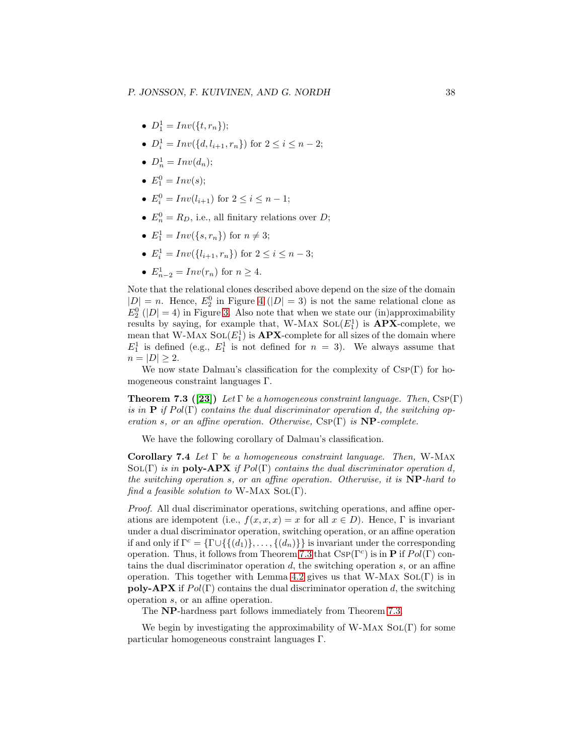- $D_1^1 = Inv({t, r_n})$ ;
- $D_i^1 = Inv(\{d, l_{i+1}, r_n\})$  for  $2 \le i \le n-2$ ;
- $D_n^1 = Inv(d_n);$
- $E_1^0 = Inv(s);$
- $E_i^0 = Inv(l_{i+1})$  for  $2 \le i \le n-1$ ;
- $E_n^0 = R_D$ , i.e., all finitary relations over D;
- $E_1^1 = Inv({s, r_n})$  for  $n \neq 3$ ;
- $E_i^1 = Inv(\{l_{i+1}, r_n\})$  for  $2 \le i \le n-3$ ;
- $E_{n-2}^1 = Inv(r_n)$  for  $n \ge 4$ .

Note that the relational clones described above depend on the size of the domain  $|D| = n$ . Hence,  $E_2^0$  in Figure [4](#page-35-1) ( $|D| = 3$ ) is not the same relational clone as  $E_2^0$  (|D| = 4) in Figure [3.](#page-35-0) Also note that when we state our (in)approximability results by saying, for example that, W-MAX  $SOL(E_1^1)$  is  $APX$ -complete, we mean that W-MAX  $\text{SOL}(E_1^1)$  is  $\text{APX}$ -complete for all sizes of the domain where  $E_1^1$  is defined (e.g.,  $E_1^1$  is not defined for  $n = 3$ ). We always assume that  $n = |D| \geq 2.$ 

We now state Dalmau's classification for the complexity of  $CSP(\Gamma)$  for homogeneous constraint languages Γ.

**Theorem 7.3** ([\[23\]](#page-45-6)) Let  $\Gamma$  be a homogeneous constraint language. Then, CSP( $\Gamma$ ) is in **P** if  $Pol(\Gamma)$  contains the dual discriminator operation d, the switching operation s, or an affine operation. Otherwise,  $CSP(\Gamma)$  is  $NP$ -complete.

<span id="page-37-1"></span><span id="page-37-0"></span>We have the following corollary of Dalmau's classification.

Corollary 7.4 Let  $\Gamma$  be a homogeneous constraint language. Then, W-MAX SOL(Γ) is in **poly-APX** if  $Pol(\Gamma)$  contains the dual discriminator operation d, the switching operation s, or an affine operation. Otherwise, it is  $NP$ -hard to find a feasible solution to W-MAX SOL(Γ).

Proof. All dual discriminator operations, switching operations, and affine operations are idempotent (i.e.,  $f(x, x, x) = x$  for all  $x \in D$ ). Hence, Γ is invariant under a dual discriminator operation, switching operation, or an affine operation if and only if  $\Gamma^c = {\Gamma \cup {\{(d_1)\}, \ldots, (d_n)\}}$  is invariant under the corresponding operation. Thus, it follows from Theorem [7.3](#page-37-0) that  $CSP(\Gamma^c)$  is in **P** if  $Pol(\Gamma)$  contains the dual discriminator operation  $d$ , the switching operation  $s$ , or an affine operation. This together with Lemma [4.2](#page-11-2) gives us that W-MAX  $SOL(\Gamma)$  is in **poly-APX** if  $Pol(\Gamma)$  contains the dual discriminator operation d, the switching operation s, or an affine operation.

<span id="page-37-2"></span>The NP-hardness part follows immediately from Theorem [7.3.](#page-37-0)

We begin by investigating the approximability of W-MAX  $SOL(\Gamma)$  for some particular homogeneous constraint languages Γ.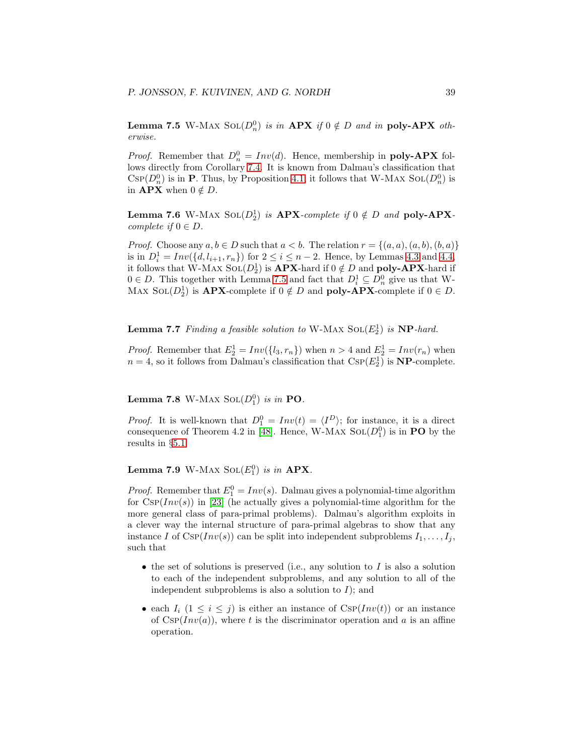**Lemma 7.5** W-MAX  $\text{SOL}(D_n^0)$  is in **APX** if  $0 \notin D$  and in **poly-APX** otherwise.

*Proof.* Remember that  $D_n^0 = Inv(d)$ . Hence, membership in **poly-APX** follows directly from Corollary [7.4.](#page-37-1) It is known from Dalmau's classification that  $CSP(D_n^0)$  is in **P**. Thus, by Proposition [4.1,](#page-11-1) it follows that W-MAX  $SOL(D_n^0)$  is in **APX** when  $0 \notin D$ .

<span id="page-38-2"></span>**Lemma 7.6** W-MAX  $\text{SOL}(D_2^1)$  is  $APX$ -complete if  $0 \notin D$  and  $\text{poly-APX-}$ complete if  $0 \in D$ .

*Proof.* Choose any  $a, b \in D$  such that  $a < b$ . The relation  $r = \{(a, a), (a, b), (b, a)\}\$ is in  $D_i^1 = Inv({d, l_{i+1}, r_n})$  for  $2 \le i \le n-2$ . Hence, by Lemmas [4.3](#page-11-3) and [4.4,](#page-12-0) it follows that W-MAX SOL $(D_2^1)$  is  $APX$ -hard if  $0 \notin D$  and  $\textbf{poly-APX}$ -hard if  $0 \in D$ . This together with Lemma [7.5](#page-37-2) and fact that  $D_i^1 \subseteq D_n^0$  give us that W-MAX SOL( $D_2^1$ ) is **APX**-complete if  $0 \notin D$  and **poly-APX**-complete if  $0 \in D$ .

<span id="page-38-3"></span>**Lemma 7.7** Finding a feasible solution to W-MAX  $\text{SOL}(E_2^1)$  is  $\text{NP-hard.}$ 

*Proof.* Remember that  $E_2^1 = Inv(\lbrace l_3, r_n \rbrace)$  when  $n > 4$  and  $E_2^1 = Inv(r_n)$  when  $n = 4$ , so it follows from Dalmau's classification that  $CSP(E_2^1)$  is **NP**-complete.

<span id="page-38-0"></span>**Lemma 7.8** W-MAX  $\text{SOL}(D_1^0)$  is in **PO**.

*Proof.* It is well-known that  $D_1^0 = Inv(t) = \langle I^D \rangle$ ; for instance, it is a direct consequence of Theorem 4.2 in [\[48\]](#page-47-5). Hence, W-MAX  $\text{SOL}(D_1^0)$  is in PO by the results in §[5.1.](#page-13-1)

<span id="page-38-1"></span>**Lemma 7.9** W-MAX  $\text{SOL}(E_1^0)$  is in **APX**.

*Proof.* Remember that  $E_1^0 = Inv(s)$ . Dalmau gives a polynomial-time algorithm for  $CSP(Inv(s))$  in [\[23\]](#page-45-6) (he actually gives a polynomial-time algorithm for the more general class of para-primal problems). Dalmau's algorithm exploits in a clever way the internal structure of para-primal algebras to show that any instance I of  $Csp(Inv(s))$  can be split into independent subproblems  $I_1, \ldots, I_j$ , such that

- the set of solutions is preserved (i.e., any solution to  $I$  is also a solution to each of the independent subproblems, and any solution to all of the independent subproblems is also a solution to  $I$ ); and
- each  $I_i$   $(1 \leq i \leq j)$  is either an instance of  $CSP(Inv(t))$  or an instance of  $Csp(Inv(a))$ , where t is the discriminator operation and a is an affine operation.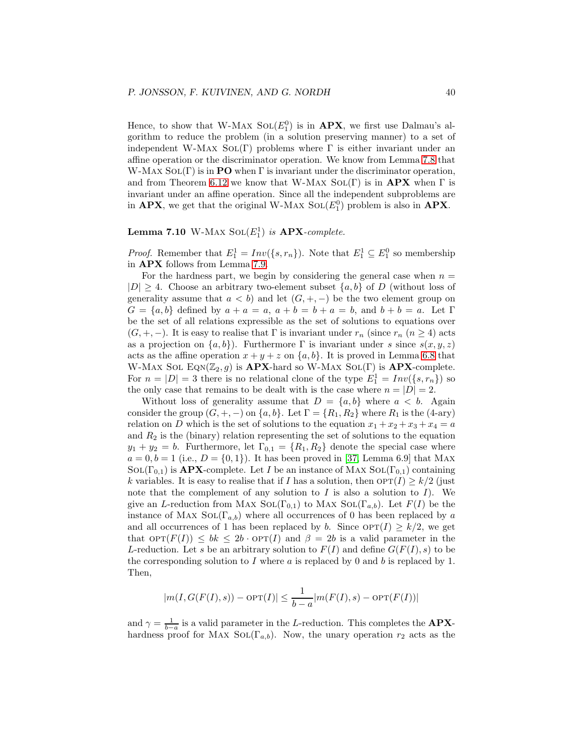Hence, to show that W-MAX  $\text{SOL}(E_1^0)$  is in  $APX$ , we first use Dalmau's algorithm to reduce the problem (in a solution preserving manner) to a set of independent W-Max Sol(Γ) problems where  $\Gamma$  is either invariant under an affine operation or the discriminator operation. We know from Lemma [7.8](#page-38-0) that W-MAX  $SOL(\Gamma)$  is in PO when  $\Gamma$  is invariant under the discriminator operation, and from Theorem [6.12](#page-23-0) we know that W-MAX  $SOL(\Gamma)$  is in **APX** when  $\Gamma$  is invariant under an affine operation. Since all the independent subproblems are in **APX**, we get that the original W-MAX  $\text{SOL}(E_1^0)$  problem is also in **APX**.

### <span id="page-39-0"></span>**Lemma 7.10** W-MAX  $\text{SOL}(E_1^1)$  is  $\text{APX-complete.}$

*Proof.* Remember that  $E_1^1 = Inv({s, r_n})$ . Note that  $E_1^1 \subseteq E_1^0$  so membership in APX follows from Lemma [7.9.](#page-38-1)

For the hardness part, we begin by considering the general case when  $n =$  $|D| \geq 4$ . Choose an arbitrary two-element subset  $\{a, b\}$  of D (without loss of generality assume that  $a < b$ ) and let  $(G, +, -)$  be the two element group on  $G = \{a, b\}$  defined by  $a + a = a$ ,  $a + b = b + a = b$ , and  $b + b = a$ . Let  $\Gamma$ be the set of all relations expressible as the set of solutions to equations over  $(G, +, -)$ . It is easy to realise that  $\Gamma$  is invariant under  $r_n$  (since  $r_n$   $(n \geq 4)$  acts as a projection on  $\{a, b\}$ . Furthermore  $\Gamma$  is invariant under s since  $s(x, y, z)$ acts as the affine operation  $x + y + z$  on  $\{a, b\}$ . It is proved in Lemma [6.8](#page-20-2) that W-MAX SOL EQN( $\mathbb{Z}_2$ , g) is **APX**-hard so W-MAX SOL(Γ) is **APX**-complete. For  $n = |D| = 3$  there is no relational clone of the type  $E_1^1 = Inv({s, r_n})$  so the only case that remains to be dealt with is the case where  $n = |D| = 2$ .

Without loss of generality assume that  $D = \{a, b\}$  where  $a < b$ . Again consider the group  $(G, +, -)$  on  $\{a, b\}$ . Let  $\Gamma = \{R_1, R_2\}$  where  $R_1$  is the (4-ary) relation on D which is the set of solutions to the equation  $x_1 + x_2 + x_3 + x_4 = a$ and  $R_2$  is the (binary) relation representing the set of solutions to the equation  $y_1 + y_2 = b$ . Furthermore, let  $\Gamma_{0,1} = \{R_1, R_2\}$  denote the special case where  $a = 0, b = 1$  (i.e.,  $D = \{0, 1\}$ ). It has been proved in [\[37,](#page-46-0) Lemma 6.9] that MAX  $SOL(\Gamma_{0,1})$  is **APX**-complete. Let I be an instance of MAX  $SOL(\Gamma_{0,1})$  containing k variables. It is easy to realise that if I has a solution, then  $\text{OPT}(I) \geq k/2$  (just note that the complement of any solution to  $I$  is also a solution to  $I$ ). We give an L-reduction from MAX  $\text{SOL}(\Gamma_{0,1})$  to MAX  $\text{SOL}(\Gamma_{a,b})$ . Let  $F(I)$  be the instance of MAX  $\text{SOL}(\Gamma_{a,b})$  where all occurrences of 0 has been replaced by a and all occurrences of 1 has been replaced by b. Since  $\text{OPT}(I) \geq k/2$ , we get that  $\text{OPT}(F(I)) \le bk \le 2b \cdot \text{OPT}(I)$  and  $\beta = 2b$  is a valid parameter in the L-reduction. Let s be an arbitrary solution to  $F(I)$  and define  $G(F(I), s)$  to be the corresponding solution to  $I$  where  $a$  is replaced by 0 and  $b$  is replaced by 1. Then,

$$
|m(I, G(F(I), s)) - \text{OPT}(I)| \le \frac{1}{b-a}|m(F(I), s) - \text{OPT}(F(I))|
$$

and  $\gamma = \frac{1}{b-a}$  is a valid parameter in the L-reduction. This completes the **APX**hardness proof for MAX SOL( $\Gamma_{a,b}$ ). Now, the unary operation  $r_2$  acts as the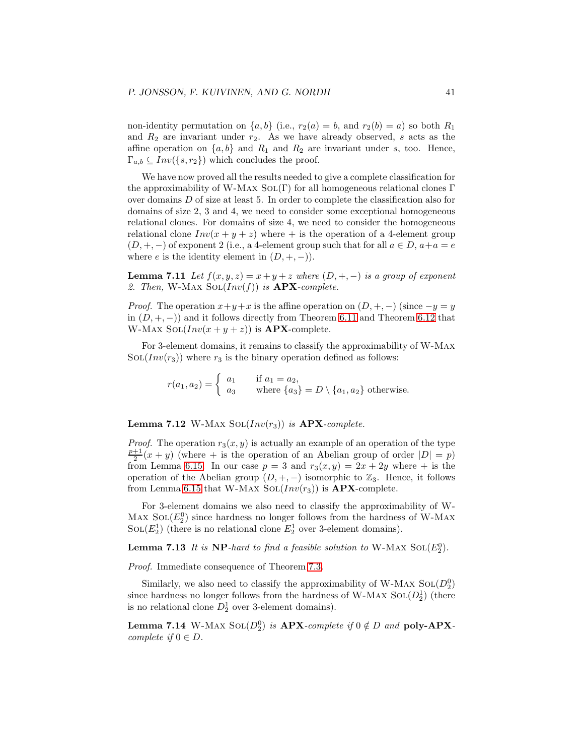non-identity permutation on  $\{a, b\}$  (i.e.,  $r_2(a) = b$ , and  $r_2(b) = a$ ) so both  $R_1$ and  $R_2$  are invariant under  $r_2$ . As we have already observed, s acts as the affine operation on  $\{a, b\}$  and  $R_1$  and  $R_2$  are invariant under s, too. Hence,  $\Gamma_{a,b} \subseteq Inv({s, r_2})$  which concludes the proof.

We have now proved all the results needed to give a complete classification for the approximability of W-Max Sol(Γ) for all homogeneous relational clones  $\Gamma$ over domains D of size at least 5. In order to complete the classification also for domains of size 2, 3 and 4, we need to consider some exceptional homogeneous relational clones. For domains of size 4, we need to consider the homogeneous relational clone  $Inv(x + y + z)$  where  $+$  is the operation of a 4-element group  $(D, +, -)$  of exponent 2 (i.e., a 4-element group such that for all  $a \in D$ ,  $a+a=e$ where e is the identity element in  $(D, +, -)$ ).

<span id="page-40-2"></span>**Lemma 7.11** Let  $f(x, y, z) = x + y + z$  where  $(D, +, -)$  is a group of exponent 2. Then, W-MAX  $\text{SOL}(Inv(f))$  is  $APX$ -complete.

*Proof.* The operation  $x+y+x$  is the affine operation on  $(D, +, -)$  (since  $-y=y$ ) in  $(D, +, -)$  and it follows directly from Theorem [6.11](#page-22-1) and Theorem [6.12](#page-23-0) that W-MAX SOL $(Inv(x + y + z))$  is **APX**-complete.

For 3-element domains, it remains to classify the approximability of W-Max  $SOL(Inv(r<sub>3</sub>))$  where  $r<sub>3</sub>$  is the binary operation defined as follows:

> $r(a_1, a_2) = \begin{cases} a_1 & \text{if } a_1 = a_2, \\ a_2 & \text{when } a_2 \end{cases}$  $a_3$  where  $\{a_3\} = D \setminus \{a_1, a_2\}$  otherwise.

<span id="page-40-3"></span>Lemma 7.12 W-MAX  $SOL(Inv(r_3))$  is  $APX$ -complete.

*Proof.* The operation  $r_3(x, y)$  is actually an example of an operation of the type  $\frac{p+1}{2}(x+y)$  (where  $+$  is the operation of an Abelian group of order  $|D| = p$ ) from Lemma [6.15.](#page-27-4) In our case  $p = 3$  and  $r_3(x, y) = 2x + 2y$  where  $+$  is the operation of the Abelian group  $(D, +, -)$  isomorphic to  $\mathbb{Z}_3$ . Hence, it follows from Lemma [6.15](#page-27-4) that W-MAX SOL( $Inv(r_3)$ ) is **APX**-complete.

<span id="page-40-0"></span>For 3-element domains we also need to classify the approximability of W-MAX  $\text{SOL}(E_2^0)$  since hardness no longer follows from the hardness of W-MAX Sol $(E_2^1)$  (there is no relational clone  $E_2^1$  over 3-element domains).

**Lemma 7.13** It is NP-hard to find a feasible solution to W-MAX  $\text{SOL}(E_2^0)$ .

Proof. Immediate consequence of Theorem [7.3.](#page-37-0)

Similarly, we also need to classify the approximability of W-MAX  $\text{SOL}(D_2^0)$ since hardness no longer follows from the hardness of W-MAX  $\text{Sol}(D_2^1)$  (there is no relational clone  $D_2^1$  over 3-element domains).

<span id="page-40-1"></span>**Lemma 7.14** W-MAX  $\text{SOL}(D_2^0)$  is **APX**-complete if  $0 \notin D$  and **poly-APX**complete if  $0 \in D$ .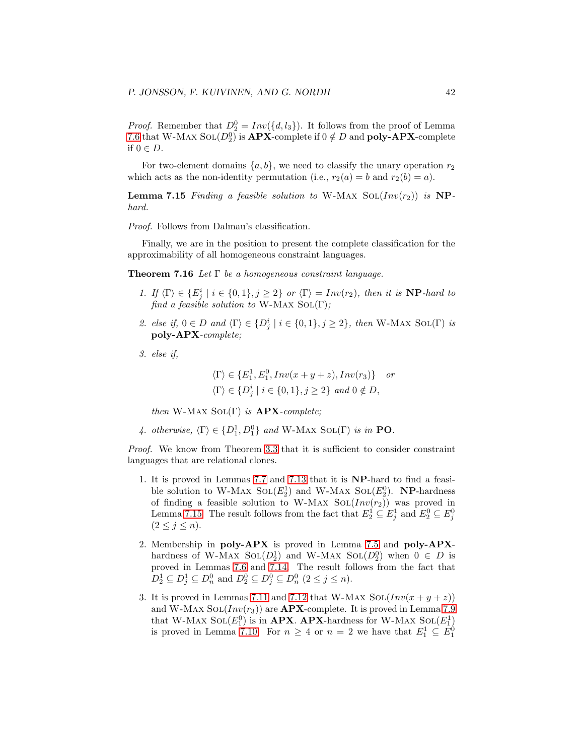*Proof.* Remember that  $D_2^0 = Inv(\lbrace d, l_3 \rbrace)$ . It follows from the proof of Lemma [7.6](#page-38-2) that W-MAX  $\text{SOL}(D_2^0)$  is  $\text{APX}$ -complete if  $0 \notin D$  and  $\text{poly-APX}$ -complete if  $0 \in D$ .

For two-element domains  $\{a, b\}$ , we need to classify the unary operation  $r_2$ which acts as the non-identity permutation (i.e.,  $r_2(a) = b$  and  $r_2(b) = a$ ).

**Lemma 7.15** Finding a feasible solution to W-MAX  $\text{SOL}(Inv(r_2))$  is NPhard.

Proof. Follows from Dalmau's classification.

Finally, we are in the position to present the complete classification for the approximability of all homogeneous constraint languages.

**Theorem 7.16** Let  $\Gamma$  be a homogeneous constraint language.

- 1. If  $\langle \Gamma \rangle \in \{E^i_j \mid i \in \{0,1\}, j \geq 2\}$  or  $\langle \Gamma \rangle = Inv(r_2)$ , then it is **NP**-hard to find a feasible solution to W-MAX SOL(Γ);
- 2. else if,  $0 \in D$  and  $\langle \Gamma \rangle \in \{D_j^i \mid i \in \{0,1\}, j \geq 2\}$ , then W-MAX SOL( $\Gamma$ ) is poly-APX-complete;
- 3. else if,

<span id="page-41-1"></span><span id="page-41-0"></span>
$$
\langle \Gamma \rangle \in \{E_1^1, E_1^0, Inv(x+y+z), Inv(r_3) \} \quad or
$$
  

$$
\langle \Gamma \rangle \in \{D_j^i \mid i \in \{0,1\}, j \ge 2 \} \text{ and } 0 \notin D,
$$

then W-MAX  $SOL(\Gamma)$  is  $APX$ -complete;

4. otherwise,  $\langle \Gamma \rangle \in \{D_1^1, D_1^0\}$  and W-MAX SOL( $\Gamma$ ) is in **PO**.

Proof. We know from Theorem [3.3](#page-9-0) that it is sufficient to consider constraint languages that are relational clones.

- 1. It is proved in Lemmas [7.7](#page-38-3) and [7.13](#page-40-0) that it is NP-hard to find a feasible solution to W-MAX  $SOL(E_2^1)$  and W-MAX  $SOL(E_2^0)$ . **NP**-hardness of finding a feasible solution to W-MAX  $SOL(Inv(r<sub>2</sub>))$  was proved in Lemma [7.15.](#page-41-1) The result follows from the fact that  $E_2^1 \subseteq E_j^1$  and  $E_2^0 \subseteq E_j^0$  $(2 \leq j \leq n).$
- 2. Membership in poly-APX is proved in Lemma [7.5](#page-37-2) and poly-APXhardness of W-MAX  $\text{SOL}(D_2^1)$  and W-MAX  $\text{SOL}(D_2^0)$  when  $0 \in D$  is proved in Lemmas [7.6](#page-38-2) and [7.14.](#page-40-1) The result follows from the fact that  $D_2^1 \subseteq D_j^1 \subseteq D_n^0$  and  $D_2^0 \subseteq D_j^0 \subseteq D_n^0$   $(2 \le j \le n)$ .
- 3. It is proved in Lemmas [7.11](#page-40-2) and [7.12](#page-40-3) that W-MAX  $\text{SOL}(Inv(x + y + z))$ and W-MAX SOL( $Inv(r_3)$ ) are **APX**-complete. It is proved in Lemma [7.9](#page-38-1) that W-Max Sol $(E_1^0)$  is in **APX. APX**-hardness for W-Max Sol $(E_1^1)$ is proved in Lemma [7.10.](#page-39-0) For  $n \geq 4$  or  $n = 2$  we have that  $E_1^1 \subseteq E_1^0$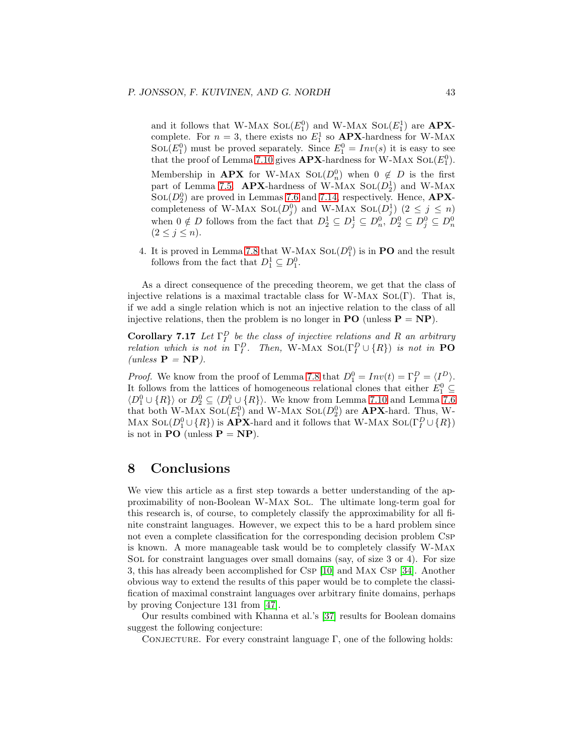and it follows that W-MAX  $\text{SOL}(E_1^0)$  and W-MAX  $\text{SOL}(E_1^1)$  are **APX**complete. For  $n = 3$ , there exists no  $E_1^1$  so  $APX$ -hardness for W-MAX  $\text{SOL}(E_1^0)$  must be proved separately. Since  $E_1^0 = Inv(s)$  it is easy to see that the proof of Lemma [7.10](#page-39-0) gives  $APX$ -hardness for W-MAX  $SOL(E_1^0)$ . Membership in **APX** for W-MAX  $\text{SOL}(D_n^0)$  when  $0 \notin D$  is the first part of Lemma [7.5.](#page-37-2) **APX**-hardness of W-MAX  $\text{SOL}(D_2^1)$  and W-MAX  $\text{SOL}(D_2^0)$  are proved in Lemmas [7.6](#page-38-2) and [7.14,](#page-40-1) respectively. Hence,  $\text{APX}$ completeness of W-Max Sol $(D_j^0)$  and W-Max Sol $(D_j^1)$   $(2 \leq j \leq n)$ when  $0 \notin D$  follows from the fact that  $D_2^1 \subseteq D_j^1 \subseteq D_n^0$ ,  $D_2^0 \subseteq D_j^0 \subseteq D_n^0$  $(2 < i < n).$ 

4. It is proved in Lemma [7.8](#page-38-0) that W-MAX  $\text{SOL}(D_1^0)$  is in **PO** and the result follows from the fact that  $D_1^1 \subseteq D_1^0$ .

As a direct consequence of the preceding theorem, we get that the class of injective relations is a maximal tractable class for W-MAX  $SOL(\Gamma)$ . That is, if we add a single relation which is not an injective relation to the class of all injective relations, then the problem is no longer in **PO** (unless  $P = NP$ ).

**Corollary 7.17** Let  $\Gamma_I^D$  be the class of injective relations and R an arbitrary relation which is not in  $\Gamma_I^D$ . Then, W-MAX  $\text{Sol}(\Gamma_I^D \cup \{R\})$  is not in **PO** (*unless*  $\mathbf{P} = \mathbf{NP}$ ).

*Proof.* We know from the proof of Lemma [7.8](#page-38-0) that  $D_1^0 = Inv(t) = \Gamma_I^D = \langle I_{\perp}^D \rangle$ . It follows from the lattices of homogeneous relational clones that either  $E_1^0 \subseteq$  $\langle D_1^0 \cup \{R\} \rangle$  or  $D_2^0 \subseteq \langle D_1^0 \cup \{R\} \rangle$ . We know from Lemma [7.10](#page-39-0) and Lemma [7.6](#page-38-2) that both W-MAX  $\text{SOL}(E_1^0)$  and W-MAX  $\text{SOL}(D_2^0)$  are **APX**-hard. Thus, W-MAX SOL( $D_1^0 \cup \{R\}$ ) is **APX**-hard and it follows that W-MAX SOL( $\Gamma_I^D \cup \{R\}$ ) is not in **PO** (unless  $P = NP$ ).

### <span id="page-42-0"></span>8 Conclusions

We view this article as a first step towards a better understanding of the approximability of non-Boolean W-Max Sol. The ultimate long-term goal for this research is, of course, to completely classify the approximability for all finite constraint languages. However, we expect this to be a hard problem since not even a complete classification for the corresponding decision problem Csp is known. A more manageable task would be to completely classify W-Max Sol for constraint languages over small domains (say, of size 3 or 4). For size 3, this has already been accomplished for Csp [\[10\]](#page-44-2) and Max Csp [\[34\]](#page-46-5). Another obvious way to extend the results of this paper would be to complete the classification of maximal constraint languages over arbitrary finite domains, perhaps by proving Conjecture 131 from [\[47\]](#page-47-2).

Our results combined with Khanna et al.'s [\[37\]](#page-46-0) results for Boolean domains suggest the following conjecture:

CONJECTURE. For every constraint language  $\Gamma$ , one of the following holds: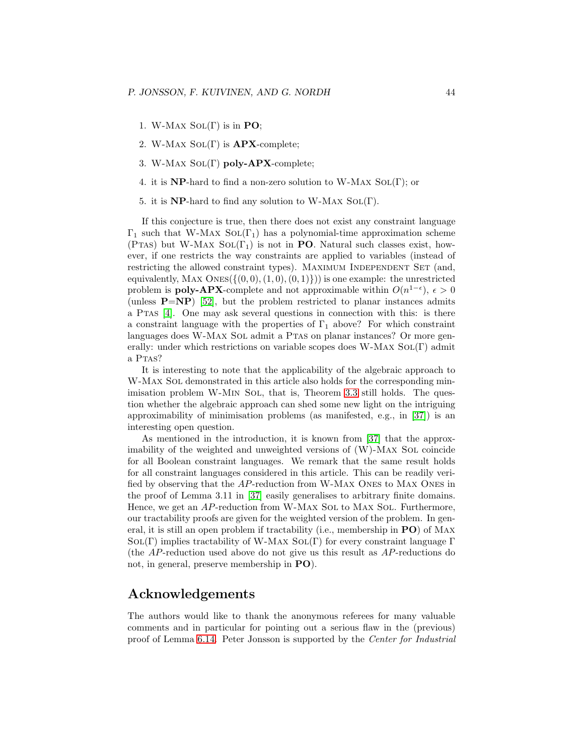- 1. W-MAX  $SOL(\Gamma)$  is in **PO**;
- 2. W-MAX  $SOL(\Gamma)$  is  $APX$ -complete;
- 3. W-Max Sol(Γ) poly-APX-complete;
- 4. it is  $NP$ -hard to find a non-zero solution to W-MAX SOL(Γ); or
- 5. it is  $NP$ -hard to find any solution to W-MAX SOL(Γ).

If this conjecture is true, then there does not exist any constraint language  $\Gamma_1$  such that W-MAX SOL( $\Gamma_1$ ) has a polynomial-time approximation scheme (PTAS) but W-MAX  $SOL(\Gamma_1)$  is not in PO. Natural such classes exist, however, if one restricts the way constraints are applied to variables (instead of restricting the allowed constraint types). MAXIMUM INDEPENDENT SET (and, equivalently, MAX ONES( $\{(0, 0), (1, 0), (0, 1)\}\$ ) is one example: the unrestricted problem is **poly-APX**-complete and not approximable within  $O(n^{1-\epsilon}), \epsilon > 0$ (unless  $\mathbf{P} = \mathbf{NP}$ ) [\[52\]](#page-47-13), but the problem restricted to planar instances admits a Ptas [\[4\]](#page-44-10). One may ask several questions in connection with this: is there a constraint language with the properties of  $\Gamma_1$  above? For which constraint languages does W-MAX SOL admit a PTAS on planar instances? Or more generally: under which restrictions on variable scopes does W-MAX  $SOL(\Gamma)$  admit a Ptas?

It is interesting to note that the applicability of the algebraic approach to W-MAX SOL demonstrated in this article also holds for the corresponding min-imisation problem W-MIN SoL, that is, Theorem [3.3](#page-9-0) still holds. The question whether the algebraic approach can shed some new light on the intriguing approximability of minimisation problems (as manifested, e.g., in [\[37\]](#page-46-0)) is an interesting open question.

As mentioned in the introduction, it is known from [\[37\]](#page-46-0) that the approximability of the weighted and unweighted versions of (W)-MAX SOL coincide for all Boolean constraint languages. We remark that the same result holds for all constraint languages considered in this article. This can be readily verified by observing that the AP-reduction from W-Max Ones to Max Ones in the proof of Lemma 3.11 in [\[37\]](#page-46-0) easily generalises to arbitrary finite domains. Hence, we get an AP-reduction from W-MAX Sol to MAX Sol. Furthermore, our tractability proofs are given for the weighted version of the problem. In general, it is still an open problem if tractability (i.e., membership in PO) of Max SOL(Γ) implies tractability of W-MAX SOL(Γ) for every constraint language Γ (the AP-reduction used above do not give us this result as AP-reductions do not, in general, preserve membership in PO).

### Acknowledgements

The authors would like to thank the anonymous referees for many valuable comments and in particular for pointing out a serious flaw in the (previous) proof of Lemma [6.14.](#page-26-1) Peter Jonsson is supported by the Center for Industrial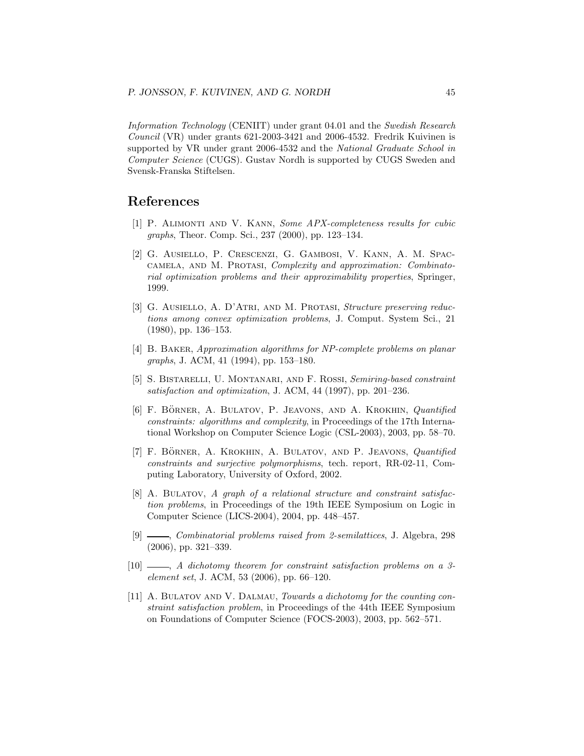Information Technology (CENIIT) under grant 04.01 and the Swedish Research Council (VR) under grants 621-2003-3421 and 2006-4532. Fredrik Kuivinen is supported by VR under grant 2006-4532 and the National Graduate School in Computer Science (CUGS). Gustav Nordh is supported by CUGS Sweden and Svensk-Franska Stiftelsen.

### <span id="page-44-8"></span>References

- [1] P. Alimonti and V. Kann, Some APX-completeness results for cubic graphs, Theor. Comp. Sci., 237 (2000), pp. 123–134.
- <span id="page-44-0"></span>[2] G. Ausiello, P. Crescenzi, G. Gambosi, V. Kann, A. M. Spaccamela, and M. Protasi, Complexity and approximation: Combinatorial optimization problems and their approximability properties, Springer, 1999.
- <span id="page-44-1"></span>[3] G. AUSIELLO, A. D'ATRI, AND M. PROTASI, Structure preserving reductions among convex optimization problems, J. Comput. System Sci., 21 (1980), pp. 136–153.
- <span id="page-44-10"></span>[4] B. Baker, Approximation algorithms for NP-complete problems on planar graphs, J. ACM, 41 (1994), pp. 153–180.
- <span id="page-44-7"></span>[5] S. Bistarelli, U. Montanari, and F. Rossi, Semiring-based constraint satisfaction and optimization, J. ACM, 44 (1997), pp. 201–236.
- <span id="page-44-6"></span>[6] F. BÖRNER, A. BULATOV, P. JEAVONS, AND A. KROKHIN, Quantified constraints: algorithms and complexity, in Proceedings of the 17th International Workshop on Computer Science Logic (CSL-2003), 2003, pp. 58–70.
- <span id="page-44-3"></span>[7] F. BÖRNER, A. KROKHIN, A. BULATOV, AND P. JEAVONS, Quantified constraints and surjective polymorphisms, tech. report, RR-02-11, Computing Laboratory, University of Oxford, 2002.
- <span id="page-44-5"></span>[8] A. Bulatov, A graph of a relational structure and constraint satisfaction problems, in Proceedings of the 19th IEEE Symposium on Logic in Computer Science (LICS-2004), 2004, pp. 448–457.
- <span id="page-44-9"></span>[9]  $\_\_\_\_\_$  Combinatorial problems raised from 2-semilattices, J. Algebra, 298 (2006), pp. 321–339.
- <span id="page-44-2"></span> $[10]$  , A dichotomy theorem for constraint satisfaction problems on a 3element set, J. ACM, 53 (2006), pp. 66–120.
- <span id="page-44-4"></span>[11] A. BULATOV AND V. DALMAU, Towards a dichotomy for the counting constraint satisfaction problem, in Proceedings of the 44th IEEE Symposium on Foundations of Computer Science (FOCS-2003), 2003, pp. 562–571.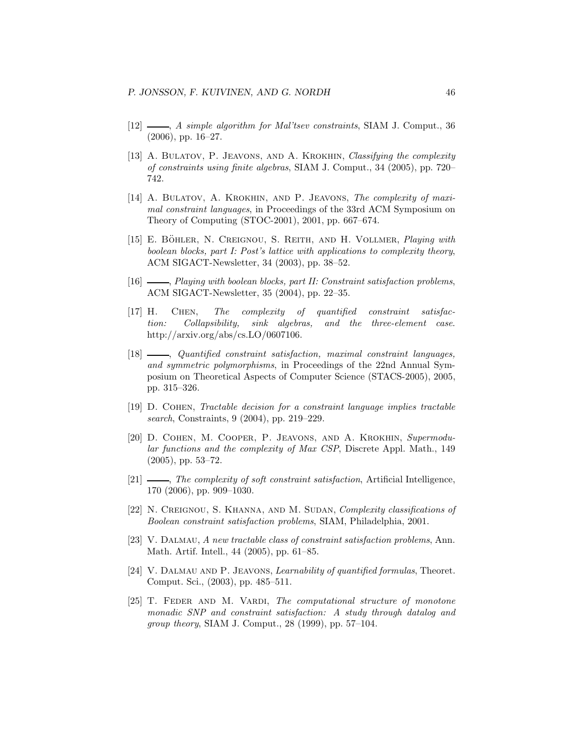- <span id="page-45-13"></span>[12]  $\_\_\_\_\_\$  A simple algorithm for Mal'tsev constraints, SIAM J. Comput., 36 (2006), pp. 16–27.
- <span id="page-45-1"></span>[13] A. Bulatov, P. Jeavons, and A. Krokhin, Classifying the complexity of constraints using finite algebras, SIAM J. Comput., 34 (2005), pp. 720– 742.
- <span id="page-45-3"></span>[14] A. Bulatov, A. Krokhin, and P. Jeavons, The complexity of maximal constraint languages, in Proceedings of the 33rd ACM Symposium on Theory of Computing (STOC-2001), 2001, pp. 667–674.
- <span id="page-45-9"></span>[15] E. BÖHLER, N. CREIGNOU, S. REITH, AND H. VOLLMER, Playing with boolean blocks, part I: Post's lattice with applications to complexity theory, ACM SIGACT-Newsletter, 34 (2003), pp. 38–52.
- <span id="page-45-10"></span><span id="page-45-2"></span>[16] , Playing with boolean blocks, part II: Constraint satisfaction problems, ACM SIGACT-Newsletter, 35 (2004), pp. 22–35.
- [17] H. Chen, The complexity of quantified constraint satisfaction: Collapsibility, sink algebras, and the three-element case. http://arxiv.org/abs/cs.LO/0607106.
- <span id="page-45-5"></span>[18]  $\_\_\_\_\_\_$  Quantified constraint satisfaction, maximal constraint languages, and symmetric polymorphisms, in Proceedings of the 22nd Annual Symposium on Theoretical Aspects of Computer Science (STACS-2005), 2005, pp. 315–326.
- <span id="page-45-11"></span>[19] D. Cohen, Tractable decision for a constraint language implies tractable search, Constraints, 9 (2004), pp. 219–229.
- <span id="page-45-12"></span>[20] D. Cohen, M. Cooper, P. Jeavons, and A. Krokhin, Supermodular functions and the complexity of Max CSP, Discrete Appl. Math., 149 (2005), pp. 53–72.
- <span id="page-45-7"></span> $[21]$  —, The complexity of soft constraint satisfaction, Artificial Intelligence, 170 (2006), pp. 909–1030.
- <span id="page-45-8"></span>[22] N. CREIGNOU, S. KHANNA, AND M. SUDAN, Complexity classifications of Boolean constraint satisfaction problems, SIAM, Philadelphia, 2001.
- <span id="page-45-6"></span>[23] V. DALMAU, A new tractable class of constraint satisfaction problems, Ann. Math. Artif. Intell., 44 (2005), pp. 61–85.
- <span id="page-45-4"></span>[24] V. DALMAU AND P. JEAVONS, *Learnability of quantified formulas*, Theoret. Comput. Sci., (2003), pp. 485–511.
- <span id="page-45-0"></span>[25] T. FEDER AND M. VARDI, The computational structure of monotone monadic SNP and constraint satisfaction: A study through datalog and group theory, SIAM J. Comput., 28 (1999), pp. 57–104.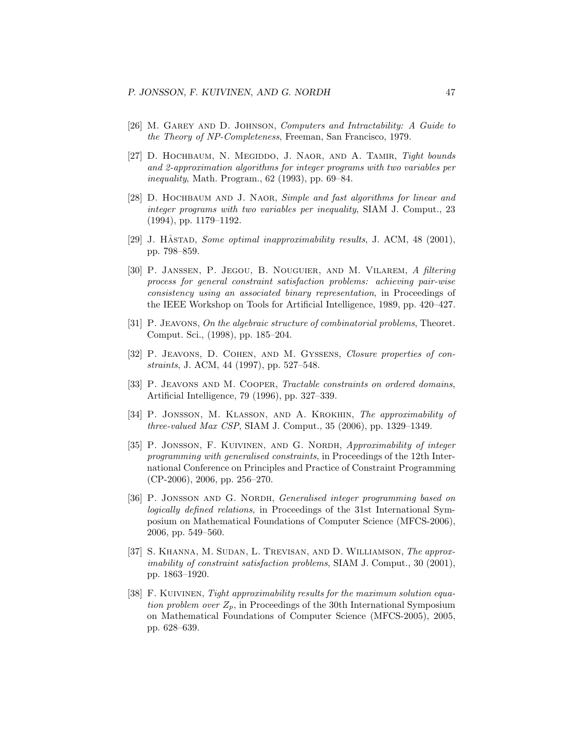- <span id="page-46-12"></span><span id="page-46-7"></span>[26] M. GAREY AND D. JOHNSON, Computers and Intractability: A Guide to the Theory of NP-Completeness, Freeman, San Francisco, 1979.
- [27] D. Hochbaum, N. Megiddo, J. Naor, and A. Tamir, Tight bounds and 2-approximation algorithms for integer programs with two variables per inequality, Math. Program., 62 (1993), pp. 69–84.
- <span id="page-46-1"></span>[28] D. HOCHBAUM AND J. NAOR, Simple and fast algorithms for linear and integer programs with two variables per inequality, SIAM J. Comput., 23 (1994), pp. 1179–1192.
- <span id="page-46-10"></span><span id="page-46-9"></span>[29] J. HÅSTAD, Some optimal inapproximability results, J. ACM,  $48$  (2001), pp. 798–859.
- [30] P. Janssen, P. Jegou, B. Nouguier, and M. Vilarem, A filtering process for general constraint satisfaction problems: achieving pair-wise consistency using an associated binary representation, in Proceedings of the IEEE Workshop on Tools for Artificial Intelligence, 1989, pp. 420–427.
- <span id="page-46-11"></span><span id="page-46-4"></span>[31] P. Jeavons, On the algebraic structure of combinatorial problems, Theoret. Comput. Sci., (1998), pp. 185–204.
- <span id="page-46-8"></span>[32] P. Jeavons, D. Cohen, and M. Gyssens, Closure properties of constraints, J. ACM, 44 (1997), pp. 527–548.
- [33] P. JEAVONS AND M. COOPER, Tractable constraints on ordered domains, Artificial Intelligence, 79 (1996), pp. 327–339.
- <span id="page-46-5"></span>[34] P. Jonsson, M. Klasson, and A. Krokhin, The approximability of three-valued Max CSP, SIAM J. Comput., 35 (2006), pp. 1329–1349.
- <span id="page-46-6"></span>[35] P. JONSSON, F. KUIVINEN, AND G. NORDH, Approximability of integer programming with generalised constraints, in Proceedings of the 12th International Conference on Principles and Practice of Constraint Programming (CP-2006), 2006, pp. 256–270.
- <span id="page-46-2"></span>[36] P. JONSSON AND G. NORDH, Generalised integer programming based on logically defined relations, in Proceedings of the 31st International Symposium on Mathematical Foundations of Computer Science (MFCS-2006), 2006, pp. 549–560.
- <span id="page-46-0"></span>[37] S. KHANNA, M. SUDAN, L. TREVISAN, AND D. WILLIAMSON, The approximability of constraint satisfaction problems, SIAM J. Comput., 30 (2001), pp. 1863–1920.
- <span id="page-46-3"></span>[38] F. KUIVINEN, Tight approximability results for the maximum solution equation problem over  $Z_p$ , in Proceedings of the 30th International Symposium on Mathematical Foundations of Computer Science (MFCS-2005), 2005, pp. 628–639.